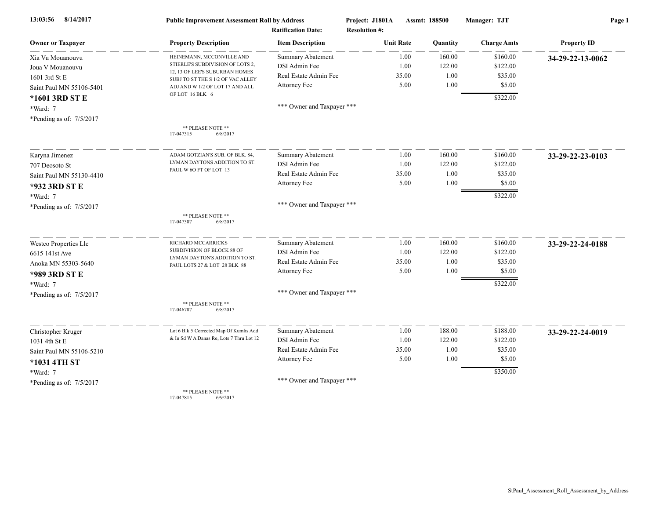| 8/14/2017<br>13:03:56      | <b>Public Improvement Assessment Roll by Address</b>                |                            | Project: J1801A      | Assmt: 188500 | Manager: TJT       | Page 1             |  |
|----------------------------|---------------------------------------------------------------------|----------------------------|----------------------|---------------|--------------------|--------------------|--|
|                            | <b>Ratification Date:</b>                                           |                            | <b>Resolution #:</b> |               |                    |                    |  |
| <b>Owner or Taxpayer</b>   | <b>Property Description</b>                                         | <b>Item Description</b>    | <b>Unit Rate</b>     | Quantity      | <b>Charge Amts</b> | <b>Property ID</b> |  |
| Xia Vu Mouanouvu           | HEINEMANN, MCCONVILLE AND                                           | <b>Summary Abatement</b>   | 1.00                 | 160.00        | \$160.00           | 34-29-22-13-0062   |  |
| Joua V Mouanouvu           | STIERLE'S SUBDIVISION OF LOTS 2,                                    | DSI Admin Fee              | 1.00                 | 122.00        | \$122.00           |                    |  |
| 1601 3rd St E              | 12, 13 OF LEE'S SUBURBAN HOMES<br>SUBJ TO ST THE S 1/2 OF VAC ALLEY | Real Estate Admin Fee      | 35.00                | 1.00          | \$35.00            |                    |  |
| Saint Paul MN 55106-5401   | ADJ AND W 1/2 OF LOT 17 AND ALL                                     | Attorney Fee               | 5.00                 | 1.00          | \$5.00             |                    |  |
| *1601 3RD ST E             | OF LOT 16 BLK 6                                                     |                            |                      |               | \$322.00           |                    |  |
| *Ward: 7                   |                                                                     | *** Owner and Taxpayer *** |                      |               |                    |                    |  |
| *Pending as of: 7/5/2017   |                                                                     |                            |                      |               |                    |                    |  |
|                            | ** PLEASE NOTE **<br>17-047315<br>6/8/2017                          |                            |                      |               |                    |                    |  |
| Karyna Jimenez             | ADAM GOTZIAN'S SUB. OF BLK. 84.                                     | <b>Summary Abatement</b>   | 1.00                 | 160.00        | \$160.00           | 33-29-22-23-0103   |  |
| 707 Deosoto St             | LYMAN DAYTONS ADDITION TO ST.                                       | DSI Admin Fee              | 1.00                 | 122.00        | \$122.00           |                    |  |
| Saint Paul MN 55130-4410   | PAUL W 60 FT OF LOT 13                                              | Real Estate Admin Fee      | 35.00                | 1.00          | \$35.00            |                    |  |
| *932 3RD ST E              |                                                                     | Attorney Fee               | 5.00                 | 1.00          | \$5.00             |                    |  |
| *Ward: 7                   |                                                                     |                            |                      |               | \$322.00           |                    |  |
| *Pending as of: $7/5/2017$ |                                                                     | *** Owner and Taxpayer *** |                      |               |                    |                    |  |
|                            | ** PLEASE NOTE **<br>17-047307<br>6/8/2017                          |                            |                      |               |                    |                    |  |
| Westco Properties Llc      | RICHARD MCCARRICKS                                                  | Summary Abatement          | 1.00                 | 160.00        | \$160.00           | 33-29-22-24-0188   |  |
| 6615 141st Ave             | SUBDIVISION OF BLOCK 88 OF                                          | DSI Admin Fee              | 1.00                 | 122.00        | \$122.00           |                    |  |
| Anoka MN 55303-5640        | LYMAN DAYTON'S ADDITION TO ST.<br>PAUL LOTS 27 & LOT 28 BLK 88      | Real Estate Admin Fee      | 35.00                | 1.00          | \$35.00            |                    |  |
| *989 3RD ST E              |                                                                     | Attorney Fee               | 5.00                 | 1.00          | \$5.00             |                    |  |
| *Ward: 7                   |                                                                     |                            |                      |               | \$322.00           |                    |  |
| *Pending as of: 7/5/2017   |                                                                     | *** Owner and Taxpayer *** |                      |               |                    |                    |  |
|                            | ** PLEASE NOTE **<br>6/8/2017<br>17-046787                          |                            |                      |               |                    |                    |  |
| Christopher Kruger         | Lot 6 Blk 5 Corrected Map Of Kumlis Add                             | Summary Abatement          | 1.00                 | 188.00        | \$188.00           | 33-29-22-24-0019   |  |
| 1031 4th St E              | & In Sd W A Danas Re, Lots 7 Thru Lot 12                            | DSI Admin Fee              | 1.00                 | 122.00        | \$122.00           |                    |  |
| Saint Paul MN 55106-5210   |                                                                     | Real Estate Admin Fee      | 35.00                | 1.00          | \$35.00            |                    |  |
| *1031 4TH ST               |                                                                     | Attorney Fee               | 5.00                 | 1.00          | \$5.00             |                    |  |
| *Ward: 7                   |                                                                     |                            |                      |               | \$350.00           |                    |  |
| *Pending as of: 7/5/2017   |                                                                     | *** Owner and Taxpayer *** |                      |               |                    |                    |  |
|                            | ** PLEASE NOTE **                                                   |                            |                      |               |                    |                    |  |

17-047815 6/9/2017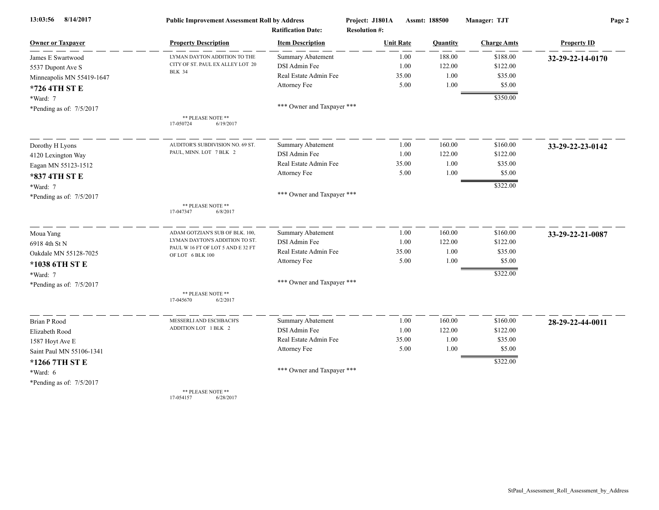| 8/14/2017<br>13:03:56      | <b>Public Improvement Assessment Roll by Address</b>  |                                                      | Project: J1801A                          |       | Assmt: 188500 | Manager: TJT       | Page 2             |  |
|----------------------------|-------------------------------------------------------|------------------------------------------------------|------------------------------------------|-------|---------------|--------------------|--------------------|--|
| <b>Owner or Taxpayer</b>   | <b>Property Description</b>                           | <b>Ratification Date:</b><br><b>Item Description</b> | <b>Resolution #:</b><br><b>Unit Rate</b> |       | Quantity      | <b>Charge Amts</b> | <b>Property ID</b> |  |
| James E Swartwood          | LYMAN DAYTON ADDITION TO THE                          | <b>Summary Abatement</b>                             |                                          | 1.00  | 188.00        | \$188.00           | 32-29-22-14-0170   |  |
| 5537 Dupont Ave S          | CITY OF ST. PAUL EX ALLEY LOT 20                      | DSI Admin Fee                                        |                                          | 1.00  | 122.00        | \$122.00           |                    |  |
| Minneapolis MN 55419-1647  | <b>BLK 34</b>                                         | Real Estate Admin Fee                                |                                          | 35.00 | 1.00          | \$35.00            |                    |  |
| *726 4TH ST E              |                                                       | Attorney Fee                                         |                                          | 5.00  | 1.00          | \$5.00             |                    |  |
| *Ward: 7                   |                                                       |                                                      |                                          |       |               | \$350.00           |                    |  |
| *Pending as of: 7/5/2017   |                                                       | *** Owner and Taxpayer ***                           |                                          |       |               |                    |                    |  |
|                            | ** PLEASE NOTE **<br>17-050724<br>6/19/2017           |                                                      |                                          |       |               |                    |                    |  |
| Dorothy H Lyons            | AUDITOR'S SUBDIVISION NO. 69 ST                       | <b>Summary Abatement</b>                             |                                          | 1.00  | 160.00        | \$160.00           | 33-29-22-23-0142   |  |
| 4120 Lexington Way         | PAUL, MINN. LOT 7 BLK 2                               | DSI Admin Fee                                        |                                          | 1.00  | 122.00        | \$122.00           |                    |  |
| Eagan MN 55123-1512        |                                                       | Real Estate Admin Fee                                |                                          | 35.00 | 1.00          | \$35.00            |                    |  |
| *837 4TH ST E              |                                                       | Attorney Fee                                         |                                          | 5.00  | 1.00          | \$5.00             |                    |  |
| *Ward: 7                   |                                                       |                                                      |                                          |       |               | \$322.00           |                    |  |
| *Pending as of: $7/5/2017$ |                                                       | *** Owner and Taxpayer ***                           |                                          |       |               |                    |                    |  |
|                            | ** PLEASE NOTE **<br>17-047347<br>6/8/2017            |                                                      |                                          |       |               |                    |                    |  |
| Moua Yang                  | ADAM GOTZIAN'S SUB OF BLK. 100,                       | <b>Summary Abatement</b>                             |                                          | 1.00  | 160.00        | \$160.00           | 33-29-22-21-0087   |  |
| 6918 4th St N              | LYMAN DAYTON'S ADDITION TO ST.                        | DSI Admin Fee                                        |                                          | 1.00  | 122.00        | \$122.00           |                    |  |
| Oakdale MN 55128-7025      | PAUL W 16 FT OF LOT 5 AND E 32 FT<br>OF LOT 6 BLK 100 | Real Estate Admin Fee                                |                                          | 35.00 | 1.00          | \$35.00            |                    |  |
| *1038 6TH ST E             |                                                       | Attorney Fee                                         |                                          | 5.00  | 1.00          | \$5.00             |                    |  |
| *Ward: 7                   |                                                       |                                                      |                                          |       |               | \$322.00           |                    |  |
| *Pending as of: 7/5/2017   |                                                       | *** Owner and Taxpayer ***                           |                                          |       |               |                    |                    |  |
|                            | ** PLEASE NOTE **<br>17-045670<br>6/2/2017            |                                                      |                                          |       |               |                    |                    |  |
| Brian P Rood               | MESSERLI AND ESCHBACH'S                               | Summary Abatement                                    |                                          | 1.00  | 160.00        | \$160.00           | 28-29-22-44-0011   |  |
| Elizabeth Rood             | ADDITION LOT 1 BLK 2                                  | DSI Admin Fee                                        |                                          | 1.00  | 122.00        | \$122.00           |                    |  |
| 1587 Hoyt Ave E            |                                                       | Real Estate Admin Fee                                |                                          | 35.00 | 1.00          | \$35.00            |                    |  |
| Saint Paul MN 55106-1341   |                                                       | Attorney Fee                                         |                                          | 5.00  | 1.00          | \$5.00             |                    |  |
| *1266 7TH ST E             |                                                       |                                                      |                                          |       |               | \$322.00           |                    |  |
| *Ward: 6                   |                                                       | *** Owner and Taxpayer ***                           |                                          |       |               |                    |                    |  |
| *Pending as of: $7/5/2017$ |                                                       |                                                      |                                          |       |               |                    |                    |  |
|                            | ** PLEASE NOTE **                                     |                                                      |                                          |       |               |                    |                    |  |

17-054157 6/28/2017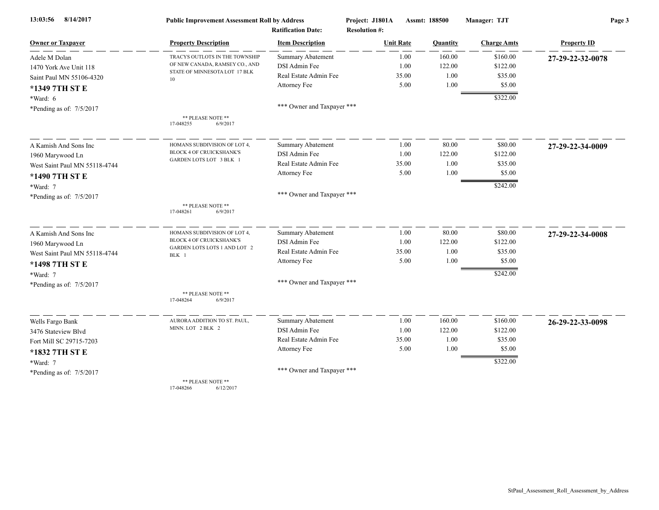| 8/14/2017<br>13:03:56         | <b>Public Improvement Assessment Roll by Address</b>                   |                            | Project: J1801A      | Assmt: 188500   | Manager: TJT       | Page 3             |  |
|-------------------------------|------------------------------------------------------------------------|----------------------------|----------------------|-----------------|--------------------|--------------------|--|
|                               |                                                                        | <b>Ratification Date:</b>  | <b>Resolution #:</b> |                 |                    |                    |  |
| <b>Owner or Taxpayer</b>      | <b>Property Description</b>                                            | <b>Item Description</b>    | <b>Unit Rate</b>     | <b>Quantity</b> | <b>Charge Amts</b> | <b>Property ID</b> |  |
| Adele M Dolan                 | TRACYS OUTLOTS IN THE TOWNSHIP                                         | <b>Summary Abatement</b>   | 1.00                 | 160.00          | \$160.00           | 27-29-22-32-0078   |  |
| 1470 York Ave Unit 118        | OF NEW CANADA, RAMSEY CO., AND<br>STATE OF MINNESOTA LOT 17 BLK        | DSI Admin Fee              | 1.00                 | 122.00          | \$122.00           |                    |  |
| Saint Paul MN 55106-4320      | 10                                                                     | Real Estate Admin Fee      | 35.00                | 1.00            | \$35.00            |                    |  |
| *1349 7TH ST E                |                                                                        | Attorney Fee               | 5.00                 | 1.00            | \$5.00             |                    |  |
| *Ward: 6                      |                                                                        |                            |                      |                 | \$322.00           |                    |  |
| *Pending as of: 7/5/2017      |                                                                        | *** Owner and Taxpayer *** |                      |                 |                    |                    |  |
|                               | ** PLEASE NOTE **<br>17-048255<br>6/9/2017                             |                            |                      |                 |                    |                    |  |
| A Kamish And Sons Inc         | HOMANS SUBDIVISION OF LOT 4,                                           | <b>Summary Abatement</b>   | 1.00                 | 80.00           | \$80.00            | 27-29-22-34-0009   |  |
| 1960 Marywood Ln              | BLOCK 4 OF CRUICKSHANK'S                                               | DSI Admin Fee              | 1.00                 | 122.00          | \$122.00           |                    |  |
| West Saint Paul MN 55118-4744 | <b>GARDEN LOTS LOT 3 BLK 1</b>                                         | Real Estate Admin Fee      | 35.00                | 1.00            | \$35.00            |                    |  |
| *1490 7TH ST E                |                                                                        | Attorney Fee               | 5.00                 | 1.00            | \$5.00             |                    |  |
| *Ward: 7                      |                                                                        |                            |                      |                 | \$242.00           |                    |  |
| *Pending as of: 7/5/2017      |                                                                        | *** Owner and Taxpayer *** |                      |                 |                    |                    |  |
|                               | ** PLEASE NOTE **<br>17-048261<br>6/9/2017                             |                            |                      |                 |                    |                    |  |
| A Kamish And Sons Inc         | HOMANS SUBDIVISION OF LOT 4,                                           | Summary Abatement          | 1.00                 | 80.00           | \$80.00            | 27-29-22-34-0008   |  |
| 1960 Marywood Ln              | <b>BLOCK 4 OF CRUICKSHANK'S</b><br><b>GARDEN LOTS LOTS 1 AND LOT 2</b> | DSI Admin Fee              | 1.00                 | 122.00          | \$122.00           |                    |  |
| West Saint Paul MN 55118-4744 | BLK 1                                                                  | Real Estate Admin Fee      | 35.00                | 1.00            | \$35.00            |                    |  |
| *1498 7TH ST E                |                                                                        | Attorney Fee               | 5.00                 | 1.00            | \$5.00             |                    |  |
| *Ward: 7                      |                                                                        |                            |                      |                 | \$242.00           |                    |  |
| *Pending as of: 7/5/2017      |                                                                        | *** Owner and Taxpayer *** |                      |                 |                    |                    |  |
|                               | ** PLEASE NOTE **<br>17-048264<br>6/9/2017                             |                            |                      |                 |                    |                    |  |
| Wells Fargo Bank              | AURORA ADDITION TO ST. PAUL,                                           | <b>Summary Abatement</b>   | 1.00                 | 160.00          | \$160.00           | 26-29-22-33-0098   |  |
| 3476 Stateview Blyd           | MINN. LOT 2 BLK 2                                                      | DSI Admin Fee              | 1.00                 | 122.00          | \$122.00           |                    |  |
| Fort Mill SC 29715-7203       |                                                                        | Real Estate Admin Fee      | 35.00                | 1.00            | \$35.00            |                    |  |
| *1832 7TH ST E                |                                                                        | Attorney Fee               | 5.00                 | 1.00            | \$5.00             |                    |  |
| *Ward: 7                      |                                                                        |                            |                      |                 | \$322.00           |                    |  |
| *Pending as of: 7/5/2017      |                                                                        | *** Owner and Taxpayer *** |                      |                 |                    |                    |  |
|                               | ** PLEASE NOTE **                                                      |                            |                      |                 |                    |                    |  |

17-048266 6/12/2017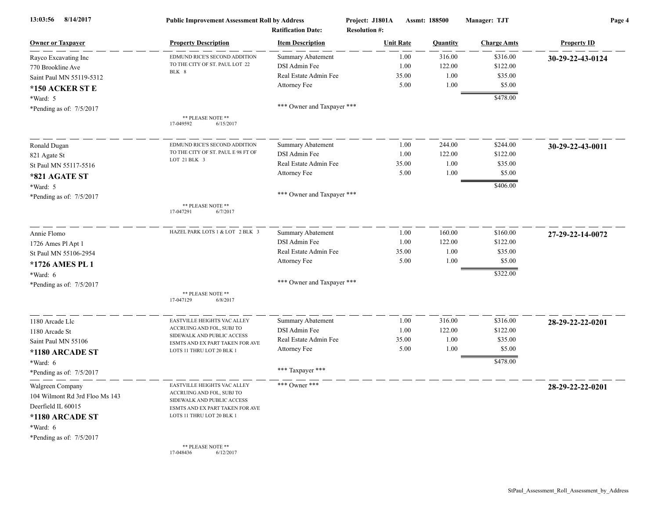| 8/14/2017<br>13:03:56          | <b>Public Improvement Assessment Roll by Address</b><br><b>Ratification Date:</b> |                            | Project: J1801A<br>Assmt: 188500<br><b>Resolution #:</b> |                  | Manager: TJT | Page 4             |                    |
|--------------------------------|-----------------------------------------------------------------------------------|----------------------------|----------------------------------------------------------|------------------|--------------|--------------------|--------------------|
| <b>Owner or Taxpayer</b>       | <b>Property Description</b>                                                       | <b>Item Description</b>    |                                                          | <b>Unit Rate</b> | Quantity     | <b>Charge Amts</b> | <b>Property ID</b> |
| Rayco Excavating Inc           | EDMUND RICE'S SECOND ADDITION                                                     | <b>Summary Abatement</b>   |                                                          | 1.00             | 316.00       | \$316.00           | 30-29-22-43-0124   |
| 770 Brookline Ave              | TO THE CITY OF ST. PAUL LOT 22                                                    | DSI Admin Fee              |                                                          | 1.00             | 122.00       | \$122.00           |                    |
| Saint Paul MN 55119-5312       | BLK 8                                                                             | Real Estate Admin Fee      |                                                          | 35.00            | 1.00         | \$35.00            |                    |
| *150 ACKER ST E                |                                                                                   | Attorney Fee               |                                                          | 5.00             | 1.00         | \$5.00             |                    |
| *Ward: 5                       |                                                                                   |                            |                                                          |                  |              | \$478.00           |                    |
| *Pending as of: 7/5/2017       |                                                                                   | *** Owner and Taxpayer *** |                                                          |                  |              |                    |                    |
|                                | ** PLEASE NOTE **<br>17-049592<br>6/15/2017                                       |                            |                                                          |                  |              |                    |                    |
| Ronald Dugan                   | EDMUND RICE'S SECOND ADDITION                                                     | Summary Abatement          |                                                          | 1.00             | 244.00       | \$244.00           | 30-29-22-43-0011   |
| 821 Agate St                   | TO THE CITY OF ST. PAUL E 98 FT OF                                                | DSI Admin Fee              |                                                          | 1.00             | 122.00       | \$122.00           |                    |
| St Paul MN 55117-5516          | LOT 21 BLK 3                                                                      | Real Estate Admin Fee      |                                                          | 35.00            | 1.00         | \$35.00            |                    |
| *821 AGATE ST                  |                                                                                   | Attorney Fee               |                                                          | 5.00             | 1.00         | \$5.00             |                    |
| *Ward: 5                       |                                                                                   |                            |                                                          |                  |              | \$406.00           |                    |
| *Pending as of: 7/5/2017       |                                                                                   | *** Owner and Taxpayer *** |                                                          |                  |              |                    |                    |
|                                | ** PLEASE NOTE **<br>17-047291<br>6/7/2017                                        |                            |                                                          |                  |              |                    |                    |
| Annie Flomo                    | HAZEL PARK LOTS 1 & LOT 2 BLK 3                                                   | Summary Abatement          |                                                          | 1.00             | 160.00       | \$160.00           | 27-29-22-14-0072   |
| 1726 Ames Pl Apt 1             |                                                                                   | DSI Admin Fee              |                                                          | 1.00             | 122.00       | \$122.00           |                    |
| St Paul MN 55106-2954          |                                                                                   | Real Estate Admin Fee      |                                                          | 35.00            | 1.00         | \$35.00            |                    |
| *1726 AMES PL 1                |                                                                                   | Attorney Fee               |                                                          | 5.00             | 1.00         | \$5.00             |                    |
| *Ward: 6                       |                                                                                   |                            |                                                          |                  |              | \$322.00           |                    |
| *Pending as of: 7/5/2017       |                                                                                   | *** Owner and Taxpayer *** |                                                          |                  |              |                    |                    |
|                                | ** PLEASE NOTE **<br>17-047129<br>6/8/2017                                        |                            |                                                          |                  |              |                    |                    |
| 1180 Arcade Llc                | EASTVILLE HEIGHTS VAC ALLEY                                                       | <b>Summary Abatement</b>   |                                                          | 1.00             | 316.00       | \$316.00           | 28-29-22-22-0201   |
| 1180 Arcade St                 | ACCRUING AND FOL, SUBJ TO                                                         | DSI Admin Fee              |                                                          | 1.00             | 122.00       | \$122.00           |                    |
| Saint Paul MN 55106            | SIDEWALK AND PUBLIC ACCESS<br>ESMTS AND EX PART TAKEN FOR AVE                     | Real Estate Admin Fee      |                                                          | 35.00            | 1.00         | \$35.00            |                    |
| *1180 ARCADE ST                | LOTS 11 THRU LOT 20 BLK 1                                                         | Attorney Fee               |                                                          | 5.00             | 1.00         | \$5.00             |                    |
| *Ward: 6                       |                                                                                   |                            |                                                          |                  |              | \$478.00           |                    |
| *Pending as of: 7/5/2017       |                                                                                   | *** Taxpayer ***           |                                                          |                  |              |                    |                    |
| Walgreen Company               | <b>EASTVILLE HEIGHTS VAC ALLEY</b>                                                | *** Owner ***              |                                                          |                  |              |                    | 28-29-22-22-0201   |
| 104 Wilmont Rd 3rd Floo Ms 143 | ACCRUING AND FOL, SUBJ TO<br>SIDEWALK AND PUBLIC ACCESS                           |                            |                                                          |                  |              |                    |                    |
| Deerfield IL 60015             | ESMTS AND EX PART TAKEN FOR AVE                                                   |                            |                                                          |                  |              |                    |                    |
| *1180 ARCADE ST                | LOTS 11 THRU LOT 20 BLK 1                                                         |                            |                                                          |                  |              |                    |                    |
| *Ward: 6                       |                                                                                   |                            |                                                          |                  |              |                    |                    |
| *Pending as of: 7/5/2017       |                                                                                   |                            |                                                          |                  |              |                    |                    |
|                                | ** PLEASE NOTE **<br>6/12/2017<br>17-048436                                       |                            |                                                          |                  |              |                    |                    |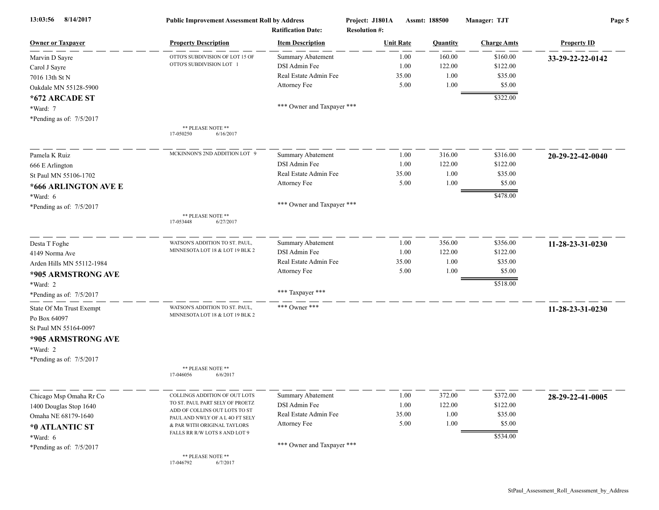| 8/14/2017<br>13:03:56      | <b>Public Improvement Assessment Roll by Address</b><br><b>Ratification Date:</b> |                            | Project: J1801A<br>Assmt: 188500<br><b>Resolution #:</b> |                  |          | Manager: TJT       | Page 5             |  |
|----------------------------|-----------------------------------------------------------------------------------|----------------------------|----------------------------------------------------------|------------------|----------|--------------------|--------------------|--|
| <b>Owner or Taxpayer</b>   | <b>Property Description</b>                                                       | <b>Item Description</b>    |                                                          | <b>Unit Rate</b> | Quantity | <b>Charge Amts</b> | <b>Property ID</b> |  |
| Marvin D Sayre             | OTTO'S SUBDIVISION OF LOT 15 OF                                                   | <b>Summary Abatement</b>   |                                                          | 1.00             | 160.00   | \$160.00           | 33-29-22-22-0142   |  |
| Carol J Sayre              | OTTO'S SUBDIVISION LOT 1                                                          | DSI Admin Fee              |                                                          | 1.00             | 122.00   | \$122.00           |                    |  |
| 7016 13th St N             |                                                                                   | Real Estate Admin Fee      |                                                          | 35.00            | 1.00     | \$35.00            |                    |  |
| Oakdale MN 55128-5900      |                                                                                   | Attorney Fee               |                                                          | 5.00             | 1.00     | \$5.00             |                    |  |
| *672 ARCADE ST             |                                                                                   |                            |                                                          |                  |          | \$322.00           |                    |  |
| *Ward: 7                   |                                                                                   | *** Owner and Taxpayer *** |                                                          |                  |          |                    |                    |  |
| *Pending as of: 7/5/2017   |                                                                                   |                            |                                                          |                  |          |                    |                    |  |
|                            | ** PLEASE NOTE **<br>6/16/2017<br>17-050250                                       |                            |                                                          |                  |          |                    |                    |  |
| Pamela K Ruiz              | MCKINNON'S 2ND ADDITION LOT 9                                                     | <b>Summary Abatement</b>   |                                                          | 1.00             | 316.00   | \$316.00           | 20-29-22-42-0040   |  |
| 666 E Arlington            |                                                                                   | DSI Admin Fee              |                                                          | 1.00             | 122.00   | \$122.00           |                    |  |
| St Paul MN 55106-1702      |                                                                                   | Real Estate Admin Fee      |                                                          | 35.00            | 1.00     | \$35.00            |                    |  |
| *666 ARLINGTON AVE E       |                                                                                   | Attorney Fee               |                                                          | 5.00             | 1.00     | \$5.00             |                    |  |
| *Ward: 6                   |                                                                                   |                            |                                                          |                  |          | \$478.00           |                    |  |
| *Pending as of: 7/5/2017   |                                                                                   | *** Owner and Taxpayer *** |                                                          |                  |          |                    |                    |  |
|                            | ** PLEASE NOTE **<br>17-053448<br>6/27/2017                                       |                            |                                                          |                  |          |                    |                    |  |
| Desta T Foghe              | WATSON'S ADDITION TO ST. PAUL,                                                    | <b>Summary Abatement</b>   |                                                          | 1.00             | 356.00   | \$356.00           | 11-28-23-31-0230   |  |
| 4149 Norma Ave             | MINNESOTA LOT 18 & LOT 19 BLK 2                                                   | DSI Admin Fee              |                                                          | 1.00             | 122.00   | \$122.00           |                    |  |
| Arden Hills MN 55112-1984  |                                                                                   | Real Estate Admin Fee      |                                                          | 35.00            | 1.00     | \$35.00            |                    |  |
| *905 ARMSTRONG AVE         |                                                                                   | Attorney Fee               |                                                          | 5.00             | 1.00     | \$5.00             |                    |  |
| $*Ward: 2$                 |                                                                                   |                            |                                                          |                  |          | \$518.00           |                    |  |
| *Pending as of: $7/5/2017$ |                                                                                   | *** Taxpayer ***           |                                                          |                  |          |                    |                    |  |
| State Of Mn Trust Exempt   | WATSON'S ADDITION TO ST. PAUL,                                                    | *** Owner ***              |                                                          |                  |          |                    | 11-28-23-31-0230   |  |
| Po Box 64097               | MINNESOTA LOT 18 & LOT 19 BLK 2                                                   |                            |                                                          |                  |          |                    |                    |  |
| St Paul MN 55164-0097      |                                                                                   |                            |                                                          |                  |          |                    |                    |  |
| *905 ARMSTRONG AVE         |                                                                                   |                            |                                                          |                  |          |                    |                    |  |
| *Ward: 2                   |                                                                                   |                            |                                                          |                  |          |                    |                    |  |
| *Pending as of: 7/5/2017   |                                                                                   |                            |                                                          |                  |          |                    |                    |  |
|                            | ** PLEASE NOTE **<br>17-046056<br>6/6/2017                                        |                            |                                                          |                  |          |                    |                    |  |
| Chicago Msp Omaha Rr Co    | COLLINGS ADDITION OF OUT LOTS                                                     | <b>Summary Abatement</b>   |                                                          | 1.00             | 372.00   | \$372.00           | 28-29-22-41-0005   |  |
| 1400 Douglas Stop 1640     | TO ST. PAUL PART SELY OF PROETZ                                                   | DSI Admin Fee              |                                                          | 1.00             | 122.00   | \$122.00           |                    |  |
| Omaha NE 68179-1640        | ADD OF COLLINS OUT LOTS TO ST<br>PAUL AND NWLY OF A L 40 FT SELY                  | Real Estate Admin Fee      |                                                          | 35.00            | 1.00     | \$35.00            |                    |  |
| *0 ATLANTIC ST             | & PAR WITH ORIGINAL TAYLORS                                                       | Attorney Fee               |                                                          | 5.00             | 1.00     | \$5.00             |                    |  |
| *Ward: 6                   | FALLS RR R/W LOTS 8 AND LOT 9                                                     |                            |                                                          |                  |          | \$534.00           |                    |  |
| *Pending as of: 7/5/2017   |                                                                                   | *** Owner and Taxpayer *** |                                                          |                  |          |                    |                    |  |
|                            | ** PLEASE NOTE **<br>17-046792<br>6/7/2017                                        |                            |                                                          |                  |          |                    |                    |  |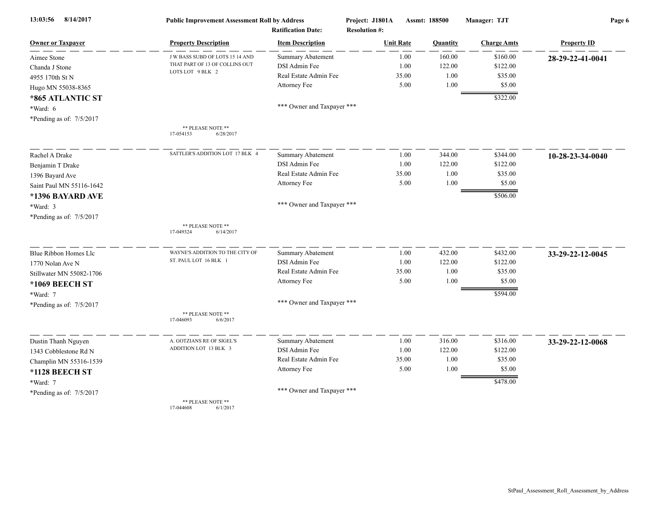| 13:03:56<br>8/14/2017      | <b>Public Improvement Assessment Roll by Address</b><br><b>Ratification Date:</b> |                            | Project: J1801A<br><b>Resolution #:</b> | Assmt: 188500 |          | Manager: TJT       | Page 6             |  |
|----------------------------|-----------------------------------------------------------------------------------|----------------------------|-----------------------------------------|---------------|----------|--------------------|--------------------|--|
| <b>Owner or Taxpayer</b>   | <b>Property Description</b>                                                       | <b>Item Description</b>    | <b>Unit Rate</b>                        |               | Quantity | <b>Charge Amts</b> | <b>Property ID</b> |  |
| Aimee Stone                | J W BASS SUBD OF LOTS 15 14 AND                                                   | <b>Summary Abatement</b>   |                                         | 1.00          | 160.00   | \$160.00           | 28-29-22-41-0041   |  |
| Chanda J Stone             | THAT PART OF 13 OF COLLINS OUT                                                    | DSI Admin Fee              |                                         | 1.00          | 122.00   | \$122.00           |                    |  |
| 4955 170th St N            | LOTS LOT 9 BLK 2                                                                  | Real Estate Admin Fee      |                                         | 35.00         | 1.00     | \$35.00            |                    |  |
| Hugo MN 55038-8365         |                                                                                   | Attorney Fee               |                                         | 5.00          | 1.00     | \$5.00             |                    |  |
| *865 ATLANTIC ST           |                                                                                   |                            |                                         |               |          | \$322.00           |                    |  |
| *Ward: 6                   |                                                                                   | *** Owner and Taxpayer *** |                                         |               |          |                    |                    |  |
| *Pending as of: 7/5/2017   |                                                                                   |                            |                                         |               |          |                    |                    |  |
|                            | ** PLEASE NOTE **<br>17-054153<br>6/28/2017                                       |                            |                                         |               |          |                    |                    |  |
| Rachel A Drake             | SATTLER'S ADDITION LOT 17 BLK 4                                                   | <b>Summary Abatement</b>   |                                         | 1.00          | 344.00   | \$344.00           | 10-28-23-34-0040   |  |
| Benjamin T Drake           |                                                                                   | DSI Admin Fee              |                                         | 1.00          | 122.00   | \$122.00           |                    |  |
| 1396 Bayard Ave            |                                                                                   | Real Estate Admin Fee      |                                         | 35.00         | 1.00     | \$35.00            |                    |  |
| Saint Paul MN 55116-1642   |                                                                                   | Attorney Fee               |                                         | 5.00          | 1.00     | \$5.00             |                    |  |
| *1396 BAYARD AVE           |                                                                                   |                            |                                         |               |          | \$506.00           |                    |  |
| *Ward: 3                   |                                                                                   | *** Owner and Taxpayer *** |                                         |               |          |                    |                    |  |
| *Pending as of: 7/5/2017   |                                                                                   |                            |                                         |               |          |                    |                    |  |
|                            | ** PLEASE NOTE **<br>17-049324<br>6/14/2017                                       |                            |                                         |               |          |                    |                    |  |
| Blue Ribbon Homes Llc      | WAYNE'S ADDITION TO THE CITY OF                                                   | <b>Summary Abatement</b>   |                                         | 1.00          | 432.00   | \$432.00           | 33-29-22-12-0045   |  |
| 1770 Nolan Ave N           | ST. PAUL LOT 16 BLK 1                                                             | DSI Admin Fee              |                                         | 1.00          | 122.00   | \$122.00           |                    |  |
| Stillwater MN 55082-1706   |                                                                                   | Real Estate Admin Fee      |                                         | 35.00         | 1.00     | \$35.00            |                    |  |
| *1069 BEECH ST             |                                                                                   | Attorney Fee               |                                         | 5.00          | 1.00     | \$5.00             |                    |  |
| *Ward: 7                   |                                                                                   |                            |                                         |               |          | \$594.00           |                    |  |
| *Pending as of: $7/5/2017$ |                                                                                   | *** Owner and Taxpayer *** |                                         |               |          |                    |                    |  |
|                            | ** PLEASE NOTE **<br>17-046093<br>6/6/2017                                        |                            |                                         |               |          |                    |                    |  |
| Dustin Thanh Nguyen        | A. GOTZIANS RE OF SIGEL'S                                                         | Summary Abatement          |                                         | 1.00          | 316.00   | \$316.00           | 33-29-22-12-0068   |  |
| 1343 Cobblestone Rd N      | ADDITION LOT 13 BLK 3                                                             | DSI Admin Fee              |                                         | 1.00          | 122.00   | \$122.00           |                    |  |
| Champlin MN 55316-1539     |                                                                                   | Real Estate Admin Fee      |                                         | 35.00         | 1.00     | \$35.00            |                    |  |
| *1128 BEECH ST             |                                                                                   | Attorney Fee               |                                         | 5.00          | 1.00     | \$5.00             |                    |  |
| *Ward: 7                   |                                                                                   |                            |                                         |               |          | \$478.00           |                    |  |
| *Pending as of: 7/5/2017   |                                                                                   | *** Owner and Taxpayer *** |                                         |               |          |                    |                    |  |
|                            | <b>** DI EA CE MOTE **</b>                                                        |                            |                                         |               |          |                    |                    |  |

\*\* PLEASE NOTE<br>17-044608 6/1/ 6/1/2017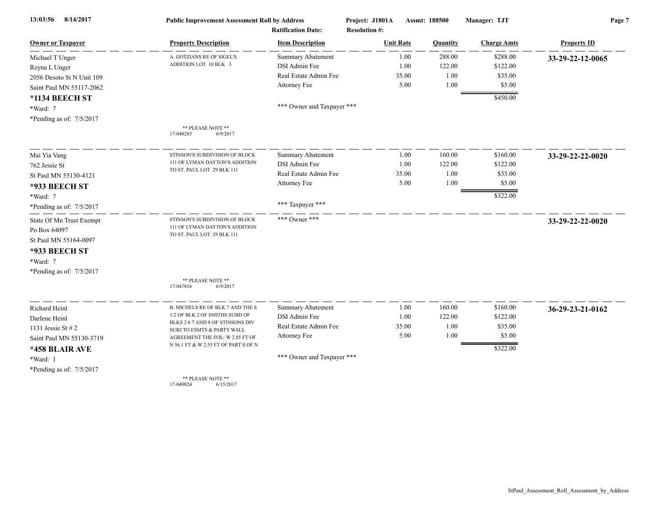| 8/14/2017<br>13:03:56     | <b>Public Improvement Assessment Roll by Address</b>           |                            | Project: J1801A      | Assmt: 188500 | Manager: TJT       | Page 7             |  |
|---------------------------|----------------------------------------------------------------|----------------------------|----------------------|---------------|--------------------|--------------------|--|
|                           |                                                                | <b>Ratification Date:</b>  | <b>Resolution #:</b> |               |                    |                    |  |
| <b>Owner or Taxpayer</b>  | <b>Property Description</b>                                    | <b>Item Description</b>    | <b>Unit Rate</b>     | Quantity      | <b>Charge Amts</b> | <b>Property ID</b> |  |
| Michael T Unger           | A. GOTZIANS RE OF SIGEL'S<br>ADDITION LOT 10 BLK 3             | <b>Summary Abatement</b>   | 1.00                 | 288.00        | \$288.00           | 33-29-22-12-0065   |  |
| Reyna L Unger             |                                                                | DSI Admin Fee              | 1.00                 | 122.00        | \$122.00           |                    |  |
| 2056 Desoto St N Unit 109 |                                                                | Real Estate Admin Fee      | 35.00                | 1.00          | \$35.00            |                    |  |
| Saint Paul MN 55117-2062  |                                                                | Attorney Fee               | 5.00                 | 1.00          | \$5.00             |                    |  |
| *1134 BEECH ST            |                                                                |                            |                      |               | \$450.00           |                    |  |
| *Ward: 7                  |                                                                | *** Owner and Taxpayer *** |                      |               |                    |                    |  |
| *Pending as of: 7/5/2017  |                                                                |                            |                      |               |                    |                    |  |
|                           | ** PLEASE NOTE **<br>17-048285<br>6/9/2017                     |                            |                      |               |                    |                    |  |
| Mai Yia Vang              | STINSON'S SUBDIVISION OF BLOCK                                 | <b>Summary Abatement</b>   | 1.00                 | 160.00        | \$160.00           | 33-29-22-22-0020   |  |
| 762 Jessie St             | 111 OF LYMAN DAYTON'S ADDITION                                 | DSI Admin Fee              | 1.00                 | 122.00        | \$122.00           |                    |  |
| St Paul MN 55130-4121     | TO ST. PAUL LOT 29 BLK 111                                     | Real Estate Admin Fee      | 35.00                | 1.00          | \$35.00            |                    |  |
| *933 BEECH ST             |                                                                | Attorney Fee               | 5.00                 | 1.00          | \$5.00             |                    |  |
| *Ward: 7                  |                                                                |                            |                      |               | \$322.00           |                    |  |
| *Pending as of: 7/5/2017  |                                                                | *** Taxpayer ***           |                      |               |                    |                    |  |
| State Of Mn Trust Exempt  | STINSON'S SUBDIVISION OF BLOCK                                 | *** Owner ***              |                      |               |                    | 33-29-22-22-0020   |  |
| Po Box 64097              | 111 OF LYMAN DAYTON'S ADDITION<br>TO ST. PAUL LOT 29 BLK 111   |                            |                      |               |                    |                    |  |
| St Paul MN 55164-0097     |                                                                |                            |                      |               |                    |                    |  |
| *933 BEECH ST             |                                                                |                            |                      |               |                    |                    |  |
| *Ward: 7                  |                                                                |                            |                      |               |                    |                    |  |
| *Pending as of: 7/5/2017  |                                                                |                            |                      |               |                    |                    |  |
|                           | ** PLEASE NOTE **<br>17-047816<br>6/9/2017                     |                            |                      |               |                    |                    |  |
| Richard Heinl             | <b>B. MICHELS RE OF BLK 7 AND THE S</b>                        | Summary Abatement          | 1.00                 | 160.00        | \$160.00           | 36-29-23-21-0162   |  |
| Darlene Heinl             | 1/2 OF BLK 2 OF SMITHS SUBD OF                                 | DSI Admin Fee              | 1.00                 | 122.00        | \$122.00           |                    |  |
| 1131 Jessie St $# 2$      | BLKS 2 6 7 AND 8 OF STINSONS DIV<br>SUBJ TO ESMTS & PARTY WALL | Real Estate Admin Fee      | 35.00                | 1.00          | \$35.00            |                    |  |
| Saint Paul MN 55130-3719  | AGREEMENT THE FOL; W 2.85 FT OF                                | Attorney Fee               | 5.00                 | 1.00          | \$5.00             |                    |  |
| *458 BLAIR AVE            | N 56.1 FT & W 2.55 FT OF PART S OF N                           |                            |                      |               | \$322.00           |                    |  |
| *Ward: 1                  |                                                                | *** Owner and Taxpayer *** |                      |               |                    |                    |  |
| *Pending as of: 7/5/2017  |                                                                |                            |                      |               |                    |                    |  |
|                           | ** PLEASE NOTE **<br>17-049824<br>6/15/2017                    |                            |                      |               |                    |                    |  |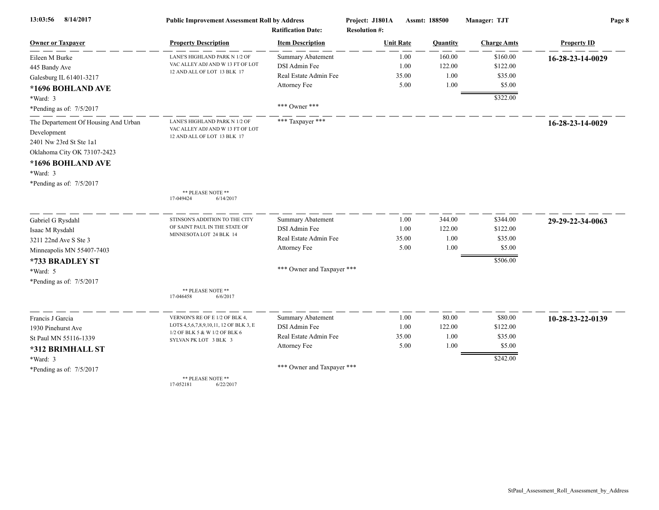| 8/14/2017<br>13:03:56                | <b>Public Improvement Assessment Roll by Address</b><br><b>Ratification Date:</b> |                            | Project: J1801A<br><b>Resolution #:</b> | Assmt: 188500 | Manager: TJT       | Page 8             |  |
|--------------------------------------|-----------------------------------------------------------------------------------|----------------------------|-----------------------------------------|---------------|--------------------|--------------------|--|
| <b>Owner or Taxpayer</b>             | <b>Property Description</b>                                                       | <b>Item Description</b>    | <b>Unit Rate</b>                        | Quantity      | <b>Charge Amts</b> | <b>Property ID</b> |  |
| Eileen M Burke                       | LANE'S HIGHLAND PARK N 1/2 OF                                                     | <b>Summary Abatement</b>   | 1.00                                    | 160.00        | \$160.00           | 16-28-23-14-0029   |  |
| 445 Bandy Ave                        | VAC ALLEY ADJ AND W 13 FT OF LOT<br>12 AND ALL OF LOT 13 BLK 17                   | DSI Admin Fee              | 1.00                                    | 122.00        | \$122.00           |                    |  |
| Galesburg IL 61401-3217              |                                                                                   | Real Estate Admin Fee      | 35.00                                   | 1.00          | \$35.00            |                    |  |
| *1696 BOHLAND AVE                    |                                                                                   | Attorney Fee               | 5.00                                    | 1.00          | \$5.00             |                    |  |
| *Ward: 3                             |                                                                                   |                            |                                         |               | \$322.00           |                    |  |
| *Pending as of: $7/5/2017$           |                                                                                   | *** Owner ***              |                                         |               |                    |                    |  |
| The Departement Of Housing And Urban | LANE'S HIGHLAND PARK N 1/2 OF                                                     | *** Taxpayer ***           |                                         |               |                    | 16-28-23-14-0029   |  |
| Development                          | VAC ALLEY ADJ AND W 13 FT OF LOT                                                  |                            |                                         |               |                    |                    |  |
| 2401 Nw 23rd St Ste 1a1              | 12 AND ALL OF LOT 13 BLK 17                                                       |                            |                                         |               |                    |                    |  |
| Oklahoma City OK 73107-2423          |                                                                                   |                            |                                         |               |                    |                    |  |
| *1696 BOHLAND AVE                    |                                                                                   |                            |                                         |               |                    |                    |  |
| $*Ward: 3$                           |                                                                                   |                            |                                         |               |                    |                    |  |
| *Pending as of: 7/5/2017             |                                                                                   |                            |                                         |               |                    |                    |  |
|                                      | ** PLEASE NOTE **<br>17-049424<br>6/14/2017                                       |                            |                                         |               |                    |                    |  |
| Gabriel G Rysdahl                    | STINSON'S ADDITION TO THE CITY                                                    | <b>Summary Abatement</b>   | 1.00                                    | 344.00        | \$344.00           | 29-29-22-34-0063   |  |
| Isaac M Rysdahl                      | OF SAINT PAUL IN THE STATE OF                                                     | DSI Admin Fee              | 1.00                                    | 122.00        | \$122.00           |                    |  |
| 3211 22nd Ave S Ste 3                | MINNESOTA LOT 24 BLK 14                                                           | Real Estate Admin Fee      | 35.00                                   | 1.00          | \$35.00            |                    |  |
| Minneapolis MN 55407-7403            |                                                                                   | Attorney Fee               | 5.00                                    | 1.00          | \$5.00             |                    |  |
| *733 BRADLEY ST                      |                                                                                   |                            |                                         |               | \$506.00           |                    |  |
| *Ward: 5                             |                                                                                   | *** Owner and Taxpayer *** |                                         |               |                    |                    |  |
| *Pending as of: 7/5/2017             |                                                                                   |                            |                                         |               |                    |                    |  |
|                                      | ** PLEASE NOTE **                                                                 |                            |                                         |               |                    |                    |  |
|                                      | 17-046458<br>6/6/2017                                                             |                            |                                         |               |                    |                    |  |
| Francis J Garcia                     | VERNON'S RE OF E 1/2 OF BLK 4,                                                    | Summary Abatement          | 1.00                                    | 80.00         | \$80.00            | 10-28-23-22-0139   |  |
| 1930 Pinehurst Ave                   | LOTS 4,5,6,7,8,9,10,11, 12 OF BLK 3, E                                            | DSI Admin Fee              | 1.00                                    | 122.00        | \$122.00           |                    |  |
| St Paul MN 55116-1339                | 1/2 OF BLK 5 & W 1/2 OF BLK 6<br>SYLVAN PK LOT 3 BLK 3                            | Real Estate Admin Fee      | 35.00                                   | 1.00          | \$35.00            |                    |  |
| *312 BRIMHALL ST                     |                                                                                   | Attorney Fee               | 5.00                                    | 1.00          | \$5.00             |                    |  |
| *Ward: 3                             |                                                                                   |                            |                                         |               | \$242.00           |                    |  |
| *Pending as of: 7/5/2017             |                                                                                   | *** Owner and Taxpayer *** |                                         |               |                    |                    |  |
|                                      | ** PLEASE NOTE **<br>17-052181<br>6/22/2017                                       |                            |                                         |               |                    |                    |  |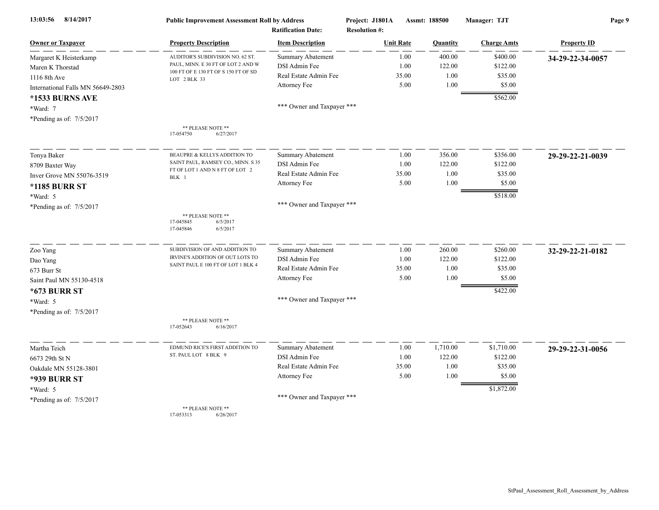| 8/14/2017<br>13:03:56             | <b>Public Improvement Assessment Roll by Address</b><br><b>Ratification Date:</b> |                            | Project: J1801A<br><b>Resolution #:</b> | Assmt: 188500 |          | Manager: TJT       | Page 9             |  |
|-----------------------------------|-----------------------------------------------------------------------------------|----------------------------|-----------------------------------------|---------------|----------|--------------------|--------------------|--|
| <b>Owner or Taxpayer</b>          | <b>Property Description</b>                                                       | <b>Item Description</b>    | <b>Unit Rate</b>                        |               | Quantity | <b>Charge Amts</b> | <b>Property ID</b> |  |
| Margaret K Heisterkamp            | AUDITOR'S SUBDIVISION NO. 62 ST.                                                  | <b>Summary Abatement</b>   |                                         | 1.00          | 400.00   | \$400.00           | 34-29-22-34-0057   |  |
| Maren K Thorstad                  | PAUL, MINN. E 30 FT OF LOT 2 AND W                                                | DSI Admin Fee              |                                         | 1.00          | 122.00   | \$122.00           |                    |  |
| 1116 8th Ave                      | 100 FT OF E 130 FT OF S 150 FT OF SD<br>LOT 2 BLK 33                              | Real Estate Admin Fee      |                                         | 35.00         | 1.00     | \$35.00            |                    |  |
| International Falls MN 56649-2803 |                                                                                   | Attorney Fee               |                                         | 5.00          | 1.00     | \$5.00             |                    |  |
| *1533 BURNS AVE                   |                                                                                   |                            |                                         |               |          | \$562.00           |                    |  |
| *Ward: 7                          |                                                                                   | *** Owner and Taxpayer *** |                                         |               |          |                    |                    |  |
| *Pending as of: 7/5/2017          |                                                                                   |                            |                                         |               |          |                    |                    |  |
|                                   | ** PLEASE NOTE **<br>17-054750<br>6/27/2017                                       |                            |                                         |               |          |                    |                    |  |
| Tonya Baker                       | BEAUPRE & KELLYS ADDITION TO                                                      | Summary Abatement          |                                         | 1.00          | 356.00   | \$356.00           | 29-29-22-21-0039   |  |
| 8709 Baxter Way                   | SAINT PAUL, RAMSEY CO., MINN. S 35                                                | DSI Admin Fee              |                                         | 1.00          | 122.00   | \$122.00           |                    |  |
| Inver Grove MN 55076-3519         | FT OF LOT 1 AND N 8 FT OF LOT 2<br>BLK 1                                          | Real Estate Admin Fee      |                                         | 35.00         | 1.00     | \$35.00            |                    |  |
| <b>*1185 BURR ST</b>              |                                                                                   | Attorney Fee               |                                         | 5.00          | 1.00     | \$5.00             |                    |  |
| *Ward: 5                          |                                                                                   |                            |                                         |               |          | \$518.00           |                    |  |
| *Pending as of: 7/5/2017          |                                                                                   | *** Owner and Taxpayer *** |                                         |               |          |                    |                    |  |
|                                   | ** PLEASE NOTE **<br>17-045845<br>6/5/2017<br>17-045846<br>6/5/2017               |                            |                                         |               |          |                    |                    |  |
| Zoo Yang                          | SUBDIVISION OF AND ADDITION TO                                                    | Summary Abatement          |                                         | 1.00          | 260.00   | \$260.00           | 32-29-22-21-0182   |  |
| Dao Yang                          | IRVINE'S ADDITION OF OUT LOTS TO                                                  | DSI Admin Fee              |                                         | 1.00          | 122.00   | \$122.00           |                    |  |
| 673 Burr St                       | SAINT PAUL E 100 FT OF LOT 1 BLK 4                                                | Real Estate Admin Fee      |                                         | 35.00         | 1.00     | \$35.00            |                    |  |
| Saint Paul MN 55130-4518          |                                                                                   | Attorney Fee               |                                         | 5.00          | 1.00     | \$5.00             |                    |  |
| <b>*673 BURR ST</b>               |                                                                                   |                            |                                         |               |          | \$422.00           |                    |  |
| *Ward: 5                          |                                                                                   | *** Owner and Taxpayer *** |                                         |               |          |                    |                    |  |
| *Pending as of: 7/5/2017          |                                                                                   |                            |                                         |               |          |                    |                    |  |
|                                   | ** PLEASE NOTE **<br>17-052643<br>6/16/2017                                       |                            |                                         |               |          |                    |                    |  |
| Martha Teich                      | EDMUND RICE'S FIRST ADDITION TO                                                   | Summary Abatement          |                                         | 1.00          | 1,710.00 | \$1,710.00         | 29-29-22-31-0056   |  |
| 6673 29th St N                    | ST. PAUL LOT 8 BLK 9                                                              | DSI Admin Fee              |                                         | 1.00          | 122.00   | \$122.00           |                    |  |
| Oakdale MN 55128-3801             |                                                                                   | Real Estate Admin Fee      |                                         | 35.00         | 1.00     | \$35.00            |                    |  |
| <b>*939 BURR ST</b>               |                                                                                   | Attorney Fee               |                                         | 5.00          | 1.00     | \$5.00             |                    |  |
| *Ward: 5                          |                                                                                   |                            |                                         |               |          | \$1,872.00         |                    |  |
| *Pending as of: 7/5/2017          |                                                                                   | *** Owner and Taxpayer *** |                                         |               |          |                    |                    |  |
|                                   | ** PLEASE NOTE **<br>17-053313<br>6/26/2017                                       |                            |                                         |               |          |                    |                    |  |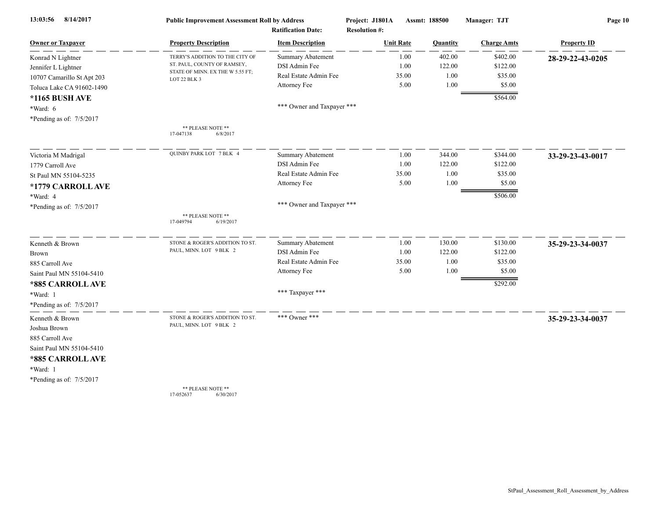| 8/14/2017<br>13:03:56      | <b>Public Improvement Assessment Roll by Address</b><br><b>Ratification Date:</b> |                            | Project: J1801A      | Assmt: 188500 |          | Manager: TJT       | Page 10            |  |
|----------------------------|-----------------------------------------------------------------------------------|----------------------------|----------------------|---------------|----------|--------------------|--------------------|--|
|                            |                                                                                   |                            | <b>Resolution #:</b> |               |          |                    |                    |  |
| <b>Owner or Taxpayer</b>   | <b>Property Description</b>                                                       | <b>Item Description</b>    | <b>Unit Rate</b>     |               | Quantity | <b>Charge Amts</b> | <b>Property ID</b> |  |
| Konrad N Lightner          | TERRY'S ADDITION TO THE CITY OF                                                   | Summary Abatement          |                      | 1.00          | 402.00   | \$402.00           | 28-29-22-43-0205   |  |
| Jennifer L Lightner        | ST. PAUL, COUNTY OF RAMSEY,                                                       | DSI Admin Fee              |                      | 1.00          | 122.00   | \$122.00           |                    |  |
| 10707 Camarillo St Apt 203 | STATE OF MINN. EX THE W 5.55 FT;<br>LOT 22 BLK 3                                  | Real Estate Admin Fee      |                      | 35.00         | 1.00     | \$35.00            |                    |  |
| Toluca Lake CA 91602-1490  |                                                                                   | Attorney Fee               |                      | 5.00          | 1.00     | \$5.00             |                    |  |
| *1165 BUSH AVE             |                                                                                   |                            |                      |               |          | \$564.00           |                    |  |
| *Ward: 6                   |                                                                                   | *** Owner and Taxpayer *** |                      |               |          |                    |                    |  |
| *Pending as of: 7/5/2017   |                                                                                   |                            |                      |               |          |                    |                    |  |
|                            | ** PLEASE NOTE **<br>17-047138<br>6/8/2017                                        |                            |                      |               |          |                    |                    |  |
| Victoria M Madrigal        | QUINBY PARK LOT 7 BLK 4                                                           | <b>Summary Abatement</b>   |                      | 1.00          | 344.00   | \$344.00           | 33-29-23-43-0017   |  |
| 1779 Carroll Ave           |                                                                                   | DSI Admin Fee              |                      | 1.00          | 122.00   | \$122.00           |                    |  |
| St Paul MN 55104-5235      |                                                                                   | Real Estate Admin Fee      |                      | 35.00         | 1.00     | \$35.00            |                    |  |
| *1779 CARROLL AVE          |                                                                                   | Attorney Fee               |                      | 5.00          | 1.00     | \$5.00             |                    |  |
| *Ward: 4                   |                                                                                   |                            |                      |               |          | \$506.00           |                    |  |
| *Pending as of: 7/5/2017   |                                                                                   | *** Owner and Taxpayer *** |                      |               |          |                    |                    |  |
|                            | ** PLEASE NOTE **<br>17-049794<br>6/19/2017                                       |                            |                      |               |          |                    |                    |  |
|                            |                                                                                   |                            |                      |               |          |                    |                    |  |
| Kenneth & Brown            | STONE & ROGER'S ADDITION TO ST.                                                   | Summary Abatement          |                      | 1.00          | 130.00   | \$130.00           | 35-29-23-34-0037   |  |
| <b>Brown</b>               | PAUL, MINN. LOT 9 BLK 2                                                           | DSI Admin Fee              |                      | 1.00          | 122.00   | \$122.00           |                    |  |
| 885 Carroll Ave            |                                                                                   | Real Estate Admin Fee      |                      | 35.00         | 1.00     | \$35.00            |                    |  |
| Saint Paul MN 55104-5410   |                                                                                   | Attorney Fee               |                      | 5.00          | 1.00     | \$5.00             |                    |  |
| *885 CARROLL AVE           |                                                                                   |                            |                      |               |          | \$292.00           |                    |  |
| *Ward: 1                   |                                                                                   | *** Taxpayer ***           |                      |               |          |                    |                    |  |
| *Pending as of: 7/5/2017   |                                                                                   |                            |                      |               |          |                    |                    |  |
| Kenneth & Brown            | STONE & ROGER'S ADDITION TO ST.                                                   | *** Owner ***              |                      |               |          |                    | 35-29-23-34-0037   |  |
| Joshua Brown               | PAUL, MINN. LOT 9 BLK 2                                                           |                            |                      |               |          |                    |                    |  |
| 885 Carroll Ave            |                                                                                   |                            |                      |               |          |                    |                    |  |
| Saint Paul MN 55104-5410   |                                                                                   |                            |                      |               |          |                    |                    |  |
| *885 CARROLL AVE           |                                                                                   |                            |                      |               |          |                    |                    |  |
| *Ward: 1                   |                                                                                   |                            |                      |               |          |                    |                    |  |
| *Pending as of: 7/5/2017   |                                                                                   |                            |                      |               |          |                    |                    |  |
|                            | ** PLEASE NOTE **                                                                 |                            |                      |               |          |                    |                    |  |
|                            | 17-052637<br>6/30/2017                                                            |                            |                      |               |          |                    |                    |  |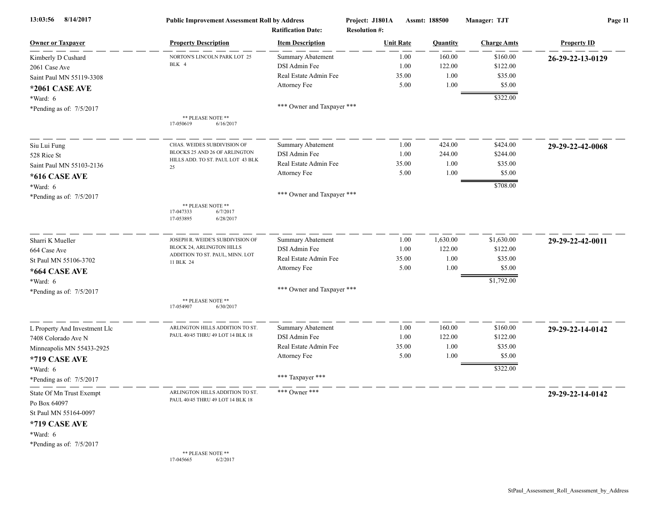| 8/14/2017<br>13:03:56         | <b>Public Improvement Assessment Roll by Address</b><br><b>Ratification Date:</b> |                            | Project: J1801A<br>Assmt: 188500<br><b>Resolution #:</b> |                  | Manager: TJT | Page 11            |                    |
|-------------------------------|-----------------------------------------------------------------------------------|----------------------------|----------------------------------------------------------|------------------|--------------|--------------------|--------------------|
| <b>Owner or Taxpayer</b>      | <b>Property Description</b>                                                       | <b>Item Description</b>    |                                                          | <b>Unit Rate</b> | Quantity     | <b>Charge Amts</b> | <b>Property ID</b> |
| Kimberly D Cushard            | NORTON'S LINCOLN PARK LOT 25                                                      | <b>Summary Abatement</b>   |                                                          | 1.00             | 160.00       | \$160.00           | 26-29-22-13-0129   |
| 2061 Case Ave                 | BLK 4                                                                             | DSI Admin Fee              |                                                          | 1.00             | 122.00       | \$122.00           |                    |
| Saint Paul MN 55119-3308      |                                                                                   | Real Estate Admin Fee      |                                                          | 35.00            | 1.00         | \$35.00            |                    |
| *2061 CASE AVE                |                                                                                   | Attorney Fee               |                                                          | 5.00             | 1.00         | \$5.00             |                    |
| *Ward: 6                      |                                                                                   |                            |                                                          |                  |              | \$322.00           |                    |
| *Pending as of: 7/5/2017      |                                                                                   | *** Owner and Taxpayer *** |                                                          |                  |              |                    |                    |
|                               | ** PLEASE NOTE **<br>17-050619<br>6/16/2017                                       |                            |                                                          |                  |              |                    |                    |
| Siu Lui Fung                  | CHAS. WEIDES SUBDIVISION OF                                                       | <b>Summary Abatement</b>   |                                                          | 1.00             | 424.00       | \$424.00           | 29-29-22-42-0068   |
| 528 Rice St                   | BLOCKS 25 AND 26 OF ARLINGTON                                                     | DSI Admin Fee              |                                                          | 1.00             | 244.00       | \$244.00           |                    |
| Saint Paul MN 55103-2136      | HILLS ADD. TO ST. PAUL LOT 43 BLK<br>25                                           | Real Estate Admin Fee      |                                                          | 35.00            | 1.00         | \$35.00            |                    |
| *616 CASE AVE                 |                                                                                   | Attorney Fee               |                                                          | 5.00             | 1.00         | \$5.00             |                    |
| *Ward: 6                      |                                                                                   |                            |                                                          |                  |              | \$708.00           |                    |
| *Pending as of: 7/5/2017      |                                                                                   | *** Owner and Taxpayer *** |                                                          |                  |              |                    |                    |
|                               | ** PLEASE NOTE **<br>6/7/2017<br>17-047333<br>17-053895<br>6/28/2017              |                            |                                                          |                  |              |                    |                    |
| Sharri K Mueller              | JOSEPH R. WEIDE'S SUBDIVISION OF                                                  | <b>Summary Abatement</b>   |                                                          | 1.00             | 1,630.00     | \$1,630.00         | 29-29-22-42-0011   |
| 664 Case Ave                  | BLOCK 24, ARLINGTON HILLS                                                         | DSI Admin Fee              |                                                          | 1.00             | 122.00       | \$122.00           |                    |
| St Paul MN 55106-3702         | ADDITION TO ST. PAUL, MINN. LOT<br>11 BLK 24                                      | Real Estate Admin Fee      |                                                          | 35.00            | 1.00         | \$35.00            |                    |
| *664 CASE AVE                 |                                                                                   | Attorney Fee               |                                                          | 5.00             | 1.00         | \$5.00             |                    |
| *Ward: 6                      |                                                                                   |                            |                                                          |                  |              | \$1,792.00         |                    |
| *Pending as of: 7/5/2017      |                                                                                   | *** Owner and Taxpayer *** |                                                          |                  |              |                    |                    |
|                               | ** PLEASE NOTE **<br>17-054907<br>6/30/2017                                       |                            |                                                          |                  |              |                    |                    |
| L Property And Investment Llc | ARLINGTON HILLS ADDITION TO ST.                                                   | <b>Summary Abatement</b>   |                                                          | 1.00             | 160.00       | \$160.00           | 29-29-22-14-0142   |
| 7408 Colorado Ave N           | PAUL 40/45 THRU 49 LOT 14 BLK 18                                                  | DSI Admin Fee              |                                                          | 1.00             | 122.00       | \$122.00           |                    |
| Minneapolis MN 55433-2925     |                                                                                   | Real Estate Admin Fee      |                                                          | 35.00            | 1.00         | \$35.00            |                    |
| *719 CASE AVE                 |                                                                                   | Attorney Fee               |                                                          | 5.00             | 1.00         | \$5.00             |                    |
| *Ward: 6                      |                                                                                   |                            |                                                          |                  |              | \$322.00           |                    |
| *Pending as of: 7/5/2017      |                                                                                   | *** Taxpayer ***           |                                                          |                  |              |                    |                    |
| State Of Mn Trust Exempt      | ARLINGTON HILLS ADDITION TO ST.                                                   | *** Owner ***              |                                                          |                  |              |                    | 29-29-22-14-0142   |
| Po Box 64097                  | PAUL 40/45 THRU 49 LOT 14 BLK 18                                                  |                            |                                                          |                  |              |                    |                    |
| St Paul MN 55164-0097         |                                                                                   |                            |                                                          |                  |              |                    |                    |
| *719 CASE AVE                 |                                                                                   |                            |                                                          |                  |              |                    |                    |
| *Ward: 6                      |                                                                                   |                            |                                                          |                  |              |                    |                    |
| *Pending as of: 7/5/2017      |                                                                                   |                            |                                                          |                  |              |                    |                    |
|                               | ** PLEASE NOTE **<br>6/2/2017<br>17-045665                                        |                            |                                                          |                  |              |                    |                    |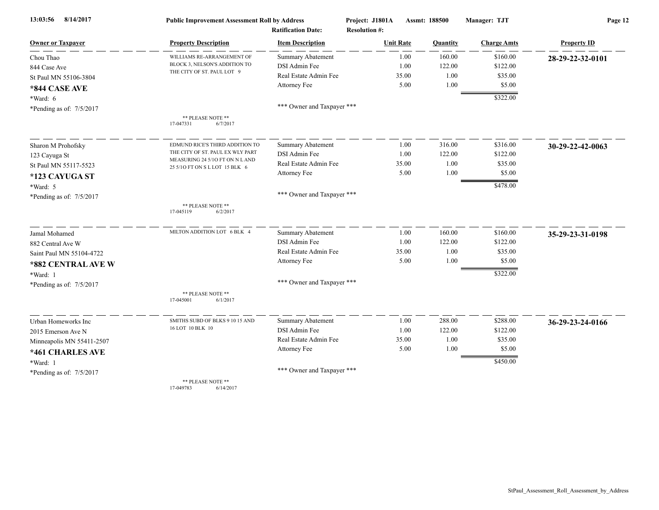| 13:03:56<br>8/14/2017      | <b>Public Improvement Assessment Roll by Address</b>              |                            | Project: J1801A      | Manager: TJT<br>Assmt: 188500 |                      | Page 12            |  |
|----------------------------|-------------------------------------------------------------------|----------------------------|----------------------|-------------------------------|----------------------|--------------------|--|
|                            |                                                                   | <b>Ratification Date:</b>  | <b>Resolution #:</b> |                               |                      |                    |  |
| <b>Owner or Taxpayer</b>   | <b>Property Description</b>                                       | <b>Item Description</b>    | <b>Unit Rate</b>     | Quantity                      | <b>Charge Amts</b>   | <b>Property ID</b> |  |
| Chou Thao                  | WILLIAMS RE-ARRANGEMENT OF                                        | <b>Summary Abatement</b>   | 1.00                 | 160.00                        | \$160.00             | 28-29-22-32-0101   |  |
| 844 Case Ave               | BLOCK 3, NELSON'S ADDITION TO                                     | DSI Admin Fee              | 1.00                 | 122.00                        | \$122.00             |                    |  |
| St Paul MN 55106-3804      | THE CITY OF ST. PAUL LOT 9                                        | Real Estate Admin Fee      | 35.00                | 1.00                          | \$35.00              |                    |  |
| *844 CASE AVE              |                                                                   | Attorney Fee               | 5.00                 | 1.00                          | \$5.00               |                    |  |
| *Ward: 6                   |                                                                   |                            |                      |                               | \$322.00             |                    |  |
| *Pending as of: 7/5/2017   |                                                                   | *** Owner and Taxpayer *** |                      |                               |                      |                    |  |
|                            | ** PLEASE NOTE **<br>17-047331<br>6/7/2017                        |                            |                      |                               |                      |                    |  |
| Sharon M Prohofsky         | EDMUND RICE'S THIRD ADDITION TO                                   | <b>Summary Abatement</b>   | 1.00                 | 316.00                        | \$316.00             | 30-29-22-42-0063   |  |
| 123 Cayuga St              | THE CITY OF ST. PAUL EX WLY PART                                  | DSI Admin Fee              | 1.00                 | 122.00                        | \$122.00             |                    |  |
| St Paul MN 55117-5523      | MEASURING 24 5/10 FT ON N L AND<br>25 5/10 FT ON S L LOT 15 BLK 6 | Real Estate Admin Fee      | 35.00                | 1.00                          | \$35.00              |                    |  |
| *123 CAYUGA ST             |                                                                   | Attorney Fee               | 5.00                 | 1.00                          | \$5.00               |                    |  |
| *Ward: 5                   |                                                                   |                            |                      |                               | \$478.00             |                    |  |
| *Pending as of: $7/5/2017$ |                                                                   | *** Owner and Taxpayer *** |                      |                               |                      |                    |  |
|                            | ** PLEASE NOTE **<br>17-045119<br>6/2/2017                        |                            |                      |                               |                      |                    |  |
| Jamal Mohamed              | MILTON ADDITION LOT 6 BLK 4                                       | Summary Abatement          | 1.00                 | 160.00                        | \$160.00             | 35-29-23-31-0198   |  |
| 882 Central Ave W          |                                                                   | DSI Admin Fee              | 1.00                 | 122.00                        | \$122.00             |                    |  |
| Saint Paul MN 55104-4722   |                                                                   | Real Estate Admin Fee      | 35.00                | 1.00                          | \$35.00              |                    |  |
| *882 CENTRAL AVE W         |                                                                   | Attorney Fee               | 5.00                 | 1.00                          | \$5.00               |                    |  |
| *Ward: 1                   |                                                                   |                            |                      |                               | \$322.00             |                    |  |
| *Pending as of: 7/5/2017   |                                                                   | *** Owner and Taxpayer *** |                      |                               |                      |                    |  |
|                            | ** PLEASE NOTE **<br>17-045001<br>6/1/2017                        |                            |                      |                               |                      |                    |  |
| Urban Homeworks Inc        | SMITHS SUBD OF BLKS 9 10 15 AND                                   | Summary Abatement          | 1.00                 | 288.00                        | \$288.00             | 36-29-23-24-0166   |  |
| 2015 Emerson Ave N         | 16 LOT 10 BLK 10                                                  | DSI Admin Fee              | 1.00                 | 122.00                        | \$122.00             |                    |  |
| Minneapolis MN 55411-2507  |                                                                   | Real Estate Admin Fee      | 35.00                | 1.00                          | \$35.00              |                    |  |
| *461 CHARLES AVE           |                                                                   | Attorney Fee               | 5.00                 | 1.00                          | \$5.00               |                    |  |
| *Ward: 1                   |                                                                   |                            |                      |                               | $\overline{$450.00}$ |                    |  |
| *Pending as of: 7/5/2017   |                                                                   | *** Owner and Taxpayer *** |                      |                               |                      |                    |  |
|                            | ** PLEASE NOTE **                                                 |                            |                      |                               |                      |                    |  |

17-049783 6/14/2017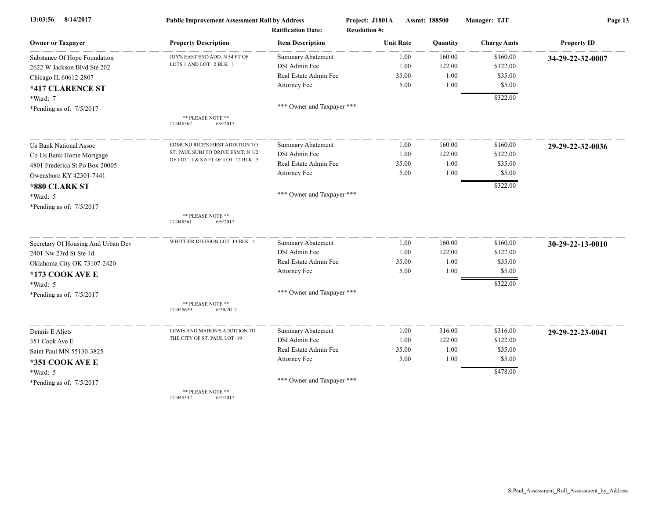| 8/14/2017<br>13:03:56              | <b>Public Improvement Assessment Roll by Address</b> |                                                      | Project: J1801A<br><b>Resolution #:</b> | Assmt: 188500 | Manager: TJT       | Page 13            |  |
|------------------------------------|------------------------------------------------------|------------------------------------------------------|-----------------------------------------|---------------|--------------------|--------------------|--|
| <b>Owner or Taxpayer</b>           | <b>Property Description</b>                          | <b>Ratification Date:</b><br><b>Item Description</b> | <b>Unit Rate</b>                        | Quantity      | <b>Charge Amts</b> | <b>Property ID</b> |  |
| Substance Of Hope Foundation       | JOY'S EAST END ADD. N 54 FT OF                       | Summary Abatement                                    | 1.00                                    | 160.00        | \$160.00           | 34-29-22-32-0007   |  |
| 2622 W Jackson Blvd Ste 202        | LOTS 1 AND LOT 2 BLK 1                               | DSI Admin Fee                                        | 1.00                                    | 122.00        | \$122.00           |                    |  |
| Chicago IL 60612-2807              |                                                      | Real Estate Admin Fee                                | 35.00                                   | 1.00          | \$35.00            |                    |  |
| *417 CLARENCE ST                   |                                                      | Attorney Fee                                         | 5.00                                    | 1.00          | \$5.00             |                    |  |
| *Ward: 7                           |                                                      |                                                      |                                         |               | \$322.00           |                    |  |
| *Pending as of: 7/5/2017           |                                                      | *** Owner and Taxpayer ***                           |                                         |               |                    |                    |  |
|                                    | ** PLEASE NOTE **<br>6/8/2017<br>17-046562           |                                                      |                                         |               |                    |                    |  |
| <b>Us Bank National Assoc</b>      | EDMUND RICE'S FIRST ADDITION TO                      | <b>Summary Abatement</b>                             | 1.00                                    | 160.00        | \$160.00           | 29-29-22-32-0036   |  |
| Co Us Bank Home Mortgage           | ST. PAUL SUBJ TO DRIVE ESMT; N 1/2                   | DSI Admin Fee                                        | 1.00                                    | 122.00        | \$122.00           |                    |  |
| 4801 Frederica St Po Box 20005     | OF LOT 11 & S 6 FT OF LOT 12 BLK 5                   | Real Estate Admin Fee                                | 35.00                                   | 1.00          | \$35.00            |                    |  |
| Owensboro KY 42301-7441            |                                                      | Attorney Fee                                         | 5.00                                    | 1.00          | \$5.00             |                    |  |
| *880 CLARK ST                      |                                                      |                                                      |                                         |               | \$322.00           |                    |  |
| *Ward: 5                           |                                                      | *** Owner and Taxpayer ***                           |                                         |               |                    |                    |  |
| *Pending as of: 7/5/2017           |                                                      |                                                      |                                         |               |                    |                    |  |
|                                    | ** PLEASE NOTE **<br>17-048361<br>6/9/2017           |                                                      |                                         |               |                    |                    |  |
| Secretary Of Housing And Urban Dev | WHITTIER DIVISION LOT 14 BLK                         | <b>Summary Abatement</b>                             | 1.00                                    | 160.00        | \$160.00           | 30-29-22-13-0010   |  |
| 2401 Nw 23rd St Ste 1d             |                                                      | DSI Admin Fee                                        | 1.00                                    | 122.00        | \$122.00           |                    |  |
| Oklahoma City OK 73107-2420        |                                                      | Real Estate Admin Fee                                | 35.00                                   | 1.00          | \$35.00            |                    |  |
| *173 COOK AVE E                    |                                                      | Attorney Fee                                         | 5.00                                    | 1.00          | \$5.00             |                    |  |
| *Ward: 5                           |                                                      |                                                      |                                         |               | \$322.00           |                    |  |
| *Pending as of: 7/5/2017           |                                                      | *** Owner and Taxpayer ***                           |                                         |               |                    |                    |  |
|                                    | ** PLEASE NOTE **<br>17-055629<br>6/30/2017          |                                                      |                                         |               |                    |                    |  |
| Dennis E Aljets                    | LEWIS AND MABON'S ADDITION TO                        | <b>Summary Abatement</b>                             | 1.00                                    | 316.00        | \$316.00           | 29-29-22-23-0041   |  |
| 351 Cook Ave E                     | THE CITY OF ST. PAUL LOT 19                          | DSI Admin Fee                                        | 1.00                                    | 122.00        | \$122.00           |                    |  |
| Saint Paul MN 55130-3825           |                                                      | Real Estate Admin Fee                                | 35.00                                   | 1.00          | \$35.00            |                    |  |
| *351 COOK AVE E                    |                                                      | Attorney Fee                                         | 5.00                                    | 1.00          | \$5.00             |                    |  |
| *Ward: 5                           |                                                      |                                                      |                                         |               | \$478.00           |                    |  |
| *Pending as of: 7/5/2017           |                                                      | *** Owner and Taxpayer ***                           |                                         |               |                    |                    |  |
|                                    | ** PLEASE NOTE **                                    |                                                      |                                         |               |                    |                    |  |

17-045342 6/2/2017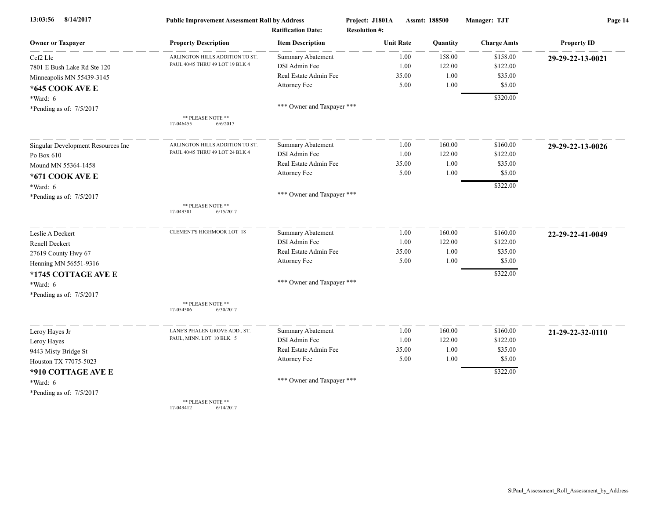| 13:03:56<br>8/14/2017              | <b>Public Improvement Assessment Roll by Address</b>               |                                        | Project: J1801A      | Assmt: 188500 |                 | Manager: TJT        | Page 14            |  |
|------------------------------------|--------------------------------------------------------------------|----------------------------------------|----------------------|---------------|-----------------|---------------------|--------------------|--|
|                                    |                                                                    | <b>Ratification Date:</b>              | <b>Resolution #:</b> |               |                 |                     |                    |  |
| <b>Owner or Taxpayer</b>           | <b>Property Description</b>                                        | <b>Item Description</b>                | <b>Unit Rate</b>     |               | <b>Quantity</b> | <b>Charge Amts</b>  | <b>Property ID</b> |  |
| Cef2 Lle                           | ARLINGTON HILLS ADDITION TO ST.<br>PAUL 40/45 THRU 49 LOT 19 BLK 4 | <b>Summary Abatement</b>               |                      | 1.00          | 158.00          | \$158.00            | 29-29-22-13-0021   |  |
| 7801 E Bush Lake Rd Ste 120        |                                                                    | DSI Admin Fee<br>Real Estate Admin Fee |                      | 1.00<br>35.00 | 122.00<br>1.00  | \$122.00<br>\$35.00 |                    |  |
| Minneapolis MN 55439-3145          |                                                                    | Attorney Fee                           |                      | 5.00          | 1.00            | \$5.00              |                    |  |
| *645 COOK AVE E                    |                                                                    |                                        |                      |               |                 |                     |                    |  |
| *Ward: 6                           |                                                                    |                                        |                      |               |                 | \$320.00            |                    |  |
| *Pending as of: 7/5/2017           |                                                                    | *** Owner and Taxpayer ***             |                      |               |                 |                     |                    |  |
|                                    | ** PLEASE NOTE **<br>17-046455<br>6/6/2017                         |                                        |                      |               |                 |                     |                    |  |
| Singular Development Resources Inc | ARLINGTON HILLS ADDITION TO ST                                     | <b>Summary Abatement</b>               |                      | 1.00          | 160.00          | \$160.00            | 29-29-22-13-0026   |  |
| Po Box 610                         | PAUL 40/45 THRU 49 LOT 24 BLK 4                                    | DSI Admin Fee                          |                      | 1.00          | 122.00          | \$122.00            |                    |  |
| Mound MN 55364-1458                |                                                                    | Real Estate Admin Fee                  |                      | 35.00         | 1.00            | \$35.00             |                    |  |
| *671 COOK AVE E                    |                                                                    | Attorney Fee                           |                      | 5.00          | 1.00            | \$5.00              |                    |  |
| *Ward: 6                           |                                                                    |                                        |                      |               |                 | \$322.00            |                    |  |
| *Pending as of: 7/5/2017           |                                                                    | *** Owner and Taxpayer ***             |                      |               |                 |                     |                    |  |
|                                    | ** PLEASE NOTE **<br>17-049381<br>6/15/2017                        |                                        |                      |               |                 |                     |                    |  |
| Leslie A Deckert                   | CLEMENT'S HIGHMOOR LOT 18                                          | <b>Summary Abatement</b>               |                      | 1.00          | 160.00          | \$160.00            | 22-29-22-41-0049   |  |
| Renell Deckert                     |                                                                    | DSI Admin Fee                          |                      | 1.00          | 122.00          | \$122.00            |                    |  |
| 27619 County Hwy 67                |                                                                    | Real Estate Admin Fee                  |                      | 35.00         | 1.00            | \$35.00             |                    |  |
| Henning MN 56551-9316              |                                                                    | Attorney Fee                           |                      | 5.00          | 1.00            | \$5.00              |                    |  |
| *1745 COTTAGE AVE E                |                                                                    |                                        |                      |               |                 | \$322.00            |                    |  |
| *Ward: 6                           |                                                                    | *** Owner and Taxpayer ***             |                      |               |                 |                     |                    |  |
| *Pending as of: 7/5/2017           |                                                                    |                                        |                      |               |                 |                     |                    |  |
|                                    | ** PLEASE NOTE **<br>17-054506<br>6/30/2017                        |                                        |                      |               |                 |                     |                    |  |
| Leroy Hayes Jr                     | LANE'S PHALEN GROVE ADD., ST.                                      | <b>Summary Abatement</b>               |                      | 1.00          | 160.00          | \$160.00            | 21-29-22-32-0110   |  |
| Leroy Hayes                        | PAUL, MINN. LOT 10 BLK 5                                           | DSI Admin Fee                          |                      | 1.00          | 122.00          | \$122.00            |                    |  |
| 9443 Misty Bridge St               |                                                                    | Real Estate Admin Fee                  |                      | 35.00         | 1.00            | \$35.00             |                    |  |
| Houston TX 77075-5023              |                                                                    | Attorney Fee                           |                      | 5.00          | 1.00            | \$5.00              |                    |  |
| *910 COTTAGE AVE E                 |                                                                    |                                        |                      |               |                 | \$322.00            |                    |  |
| *Ward: 6                           |                                                                    | *** Owner and Taxpayer ***             |                      |               |                 |                     |                    |  |
| *Pending as of: 7/5/2017           |                                                                    |                                        |                      |               |                 |                     |                    |  |
|                                    | ** PLEASE NOTE **                                                  |                                        |                      |               |                 |                     |                    |  |

17-049412 6/14/2017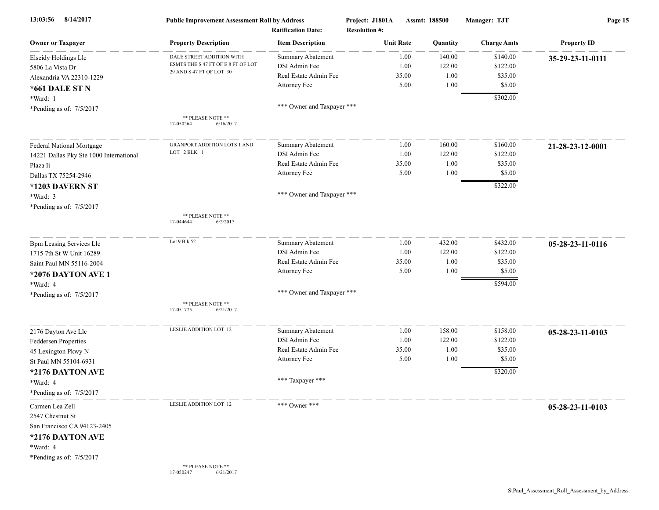| 8/14/2017<br>13:03:56                   | <b>Public Improvement Assessment Roll by Address</b><br><b>Ratification Date:</b> |                            | Project: J1801A<br><b>Resolution #:</b> | Assmt: 188500 | Manager: TJT       | Page 15            |  |
|-----------------------------------------|-----------------------------------------------------------------------------------|----------------------------|-----------------------------------------|---------------|--------------------|--------------------|--|
| <b>Owner or Taxpayer</b>                | <b>Property Description</b>                                                       | <b>Item Description</b>    | <b>Unit Rate</b>                        | Quantity      | <b>Charge Amts</b> | <b>Property ID</b> |  |
| Elseidy Holdings Llc                    | DALE STREET ADDITION WITH                                                         | <b>Summary Abatement</b>   | 1.00                                    | 140.00        | \$140.00           | 35-29-23-11-0111   |  |
| 5806 La Vista Dr                        | ESMTS THE S 47 FT OF E 8 FT OF LOT                                                | DSI Admin Fee              | 1.00                                    | 122.00        | \$122.00           |                    |  |
| Alexandria VA 22310-1229                | 29 AND S 47 FT OF LOT 30                                                          | Real Estate Admin Fee      | 35.00                                   | 1.00          | \$35.00            |                    |  |
| *661 DALE ST N                          |                                                                                   | Attorney Fee               | 5.00                                    | 1.00          | \$5.00             |                    |  |
| *Ward: 1                                |                                                                                   |                            |                                         |               | \$302.00           |                    |  |
| *Pending as of: 7/5/2017                |                                                                                   | *** Owner and Taxpayer *** |                                         |               |                    |                    |  |
|                                         | ** PLEASE NOTE **<br>17-050264<br>6/16/2017                                       |                            |                                         |               |                    |                    |  |
| Federal National Mortgage               | <b>GRANPORT ADDITION LOTS 1 AND</b>                                               | Summary Abatement          | 1.00                                    | 160.00        | \$160.00           | 21-28-23-12-0001   |  |
| 14221 Dallas Pky Ste 1000 International | LOT 2 BLK 1                                                                       | DSI Admin Fee              | 1.00                                    | 122.00        | \$122.00           |                    |  |
| Plaza Ii                                |                                                                                   | Real Estate Admin Fee      | 35.00                                   | 1.00          | \$35.00            |                    |  |
| Dallas TX 75254-2946                    |                                                                                   | Attorney Fee               | 5.00                                    | 1.00          | \$5.00             |                    |  |
| *1203 DAVERN ST                         |                                                                                   |                            |                                         |               | \$322.00           |                    |  |
| *Ward: 3                                |                                                                                   | *** Owner and Taxpayer *** |                                         |               |                    |                    |  |
| *Pending as of: $7/5/2017$              |                                                                                   |                            |                                         |               |                    |                    |  |
|                                         | ** PLEASE NOTE **<br>17-044644<br>6/2/2017                                        |                            |                                         |               |                    |                    |  |
| <b>Bpm Leasing Services Llc</b>         | Lot 9 Blk 52                                                                      | Summary Abatement          | 1.00                                    | 432.00        | \$432.00           | 05-28-23-11-0116   |  |
| 1715 7th St W Unit 16289                |                                                                                   | DSI Admin Fee              | 1.00                                    | 122.00        | \$122.00           |                    |  |
| Saint Paul MN 55116-2004                |                                                                                   | Real Estate Admin Fee      | 35.00                                   | 1.00          | \$35.00            |                    |  |
| *2076 DAYTON AVE 1                      |                                                                                   | Attorney Fee               | 5.00                                    | 1.00          | \$5.00             |                    |  |
| *Ward: 4                                |                                                                                   |                            |                                         |               | \$594.00           |                    |  |
| *Pending as of: 7/5/2017                |                                                                                   | *** Owner and Taxpayer *** |                                         |               |                    |                    |  |
|                                         | ** PLEASE NOTE **<br>6/21/2017<br>17-051775                                       |                            |                                         |               |                    |                    |  |
| 2176 Dayton Ave Llc                     | LESLIE ADDITION LOT 12                                                            | Summary Abatement          | 1.00                                    | 158.00        | \$158.00           | 05-28-23-11-0103   |  |
| Feddersen Properties                    |                                                                                   | DSI Admin Fee              | 1.00                                    | 122.00        | \$122.00           |                    |  |
| 45 Lexington Pkwy N                     |                                                                                   | Real Estate Admin Fee      | 35.00                                   | 1.00          | \$35.00            |                    |  |
| St Paul MN 55104-6931                   |                                                                                   | Attorney Fee               | 5.00                                    | 1.00          | \$5.00             |                    |  |
| *2176 DAYTON AVE                        |                                                                                   |                            |                                         |               | \$320.00           |                    |  |
| *Ward: 4                                |                                                                                   | *** Taxpayer ***           |                                         |               |                    |                    |  |
| *Pending as of: 7/5/2017                |                                                                                   |                            |                                         |               |                    |                    |  |
| Carmen Lea Zell                         | LESLIE ADDITION LOT 12                                                            | *** Owner ***              |                                         |               |                    |                    |  |
| 2547 Chestnut St                        |                                                                                   |                            |                                         |               |                    | 05-28-23-11-0103   |  |
| San Francisco CA 94123-2405             |                                                                                   |                            |                                         |               |                    |                    |  |
|                                         |                                                                                   |                            |                                         |               |                    |                    |  |
| *2176 DAYTON AVE                        |                                                                                   |                            |                                         |               |                    |                    |  |
| *Ward: 4                                |                                                                                   |                            |                                         |               |                    |                    |  |
| *Pending as of: 7/5/2017                | ** PLEASE NOTE **                                                                 |                            |                                         |               |                    |                    |  |
|                                         | 6/21/2017<br>17-050247                                                            |                            |                                         |               |                    |                    |  |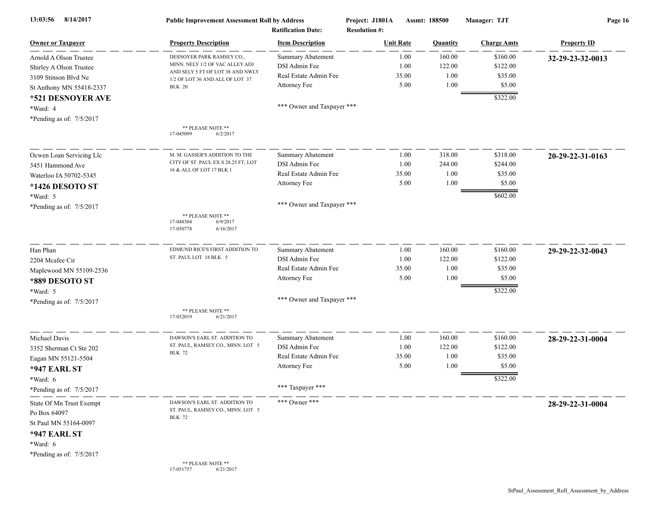| 8/14/2017<br>13:03:56                                                                    | <b>Public Improvement Assessment Roll by Address</b><br><b>Ratification Date:</b>   |                            | Project: J1801A<br>Assmt: 188500<br><b>Resolution #:</b> |                  | Manager: TJT    | Page 16            |                    |
|------------------------------------------------------------------------------------------|-------------------------------------------------------------------------------------|----------------------------|----------------------------------------------------------|------------------|-----------------|--------------------|--------------------|
| <b>Owner or Taxpayer</b>                                                                 | <b>Property Description</b>                                                         | <b>Item Description</b>    |                                                          | <b>Unit Rate</b> | <b>Quantity</b> | <b>Charge Amts</b> | <b>Property ID</b> |
| Arnold A Olson Trustee                                                                   | DESNOYER PARK RAMSEY CO.,                                                           | <b>Summary Abatement</b>   |                                                          | 1.00             | 160.00          | \$160.00           | 32-29-23-32-0013   |
| Shirley A Olson Trustee                                                                  | MINN. NELY 1/2 OF VAC ALLEY ADJ                                                     | DSI Admin Fee              |                                                          | 1.00             | 122.00          | \$122.00           |                    |
| 3109 Stinson Blvd Ne                                                                     | AND SELY 5 FT OF LOT 38 AND NWLY<br>1/2 OF LOT 36 AND ALL OF LOT 37                 | Real Estate Admin Fee      |                                                          | 35.00            | 1.00            | \$35.00            |                    |
| St Anthony MN 55418-2337                                                                 | <b>BLK 20</b>                                                                       | Attorney Fee               |                                                          | 5.00             | 1.00            | \$5.00             |                    |
| *521 DESNOYER AVE                                                                        |                                                                                     |                            |                                                          |                  |                 | \$322.00           |                    |
| *Ward: 4                                                                                 |                                                                                     | *** Owner and Taxpayer *** |                                                          |                  |                 |                    |                    |
| *Pending as of: 7/5/2017                                                                 |                                                                                     |                            |                                                          |                  |                 |                    |                    |
|                                                                                          | ** PLEASE NOTE **<br>17-045099<br>6/2/2017                                          |                            |                                                          |                  |                 |                    |                    |
| Ocwen Loan Servicing Llc                                                                 | M. M. GASSER'S ADDITION TO THE                                                      | <b>Summary Abatement</b>   |                                                          | 1.00             | 318.00          | \$318.00           | 20-29-22-31-0163   |
| 3451 Hammond Ave                                                                         | CITY OF ST. PAUL EX S 28.25 FT; LOT                                                 | DSI Admin Fee              |                                                          | 1.00             | 244.00          | \$244.00           |                    |
| Waterloo IA 50702-5345                                                                   | 16 & ALL OF LOT 17 BLK 1                                                            | Real Estate Admin Fee      |                                                          | 35.00            | 1.00            | \$35.00            |                    |
| *1426 DESOTO ST                                                                          |                                                                                     | Attorney Fee               |                                                          | 5.00             | 1.00            | \$5.00             |                    |
| *Ward: 5                                                                                 |                                                                                     |                            |                                                          |                  |                 | \$602.00           |                    |
| *Pending as of: 7/5/2017                                                                 |                                                                                     | *** Owner and Taxpayer *** |                                                          |                  |                 |                    |                    |
|                                                                                          | ** PLEASE NOTE **<br>17-048304<br>6/9/2017<br>17-050778<br>6/16/2017                |                            |                                                          |                  |                 |                    |                    |
| Han Phan                                                                                 | EDMUND RICE'S FIRST ADDITION TO                                                     | Summary Abatement          |                                                          | 1.00             | 160.00          | \$160.00           | 29-29-22-32-0043   |
| 2204 Mcafee Cir                                                                          | ST. PAUL LOT 18 BLK 5                                                               | DSI Admin Fee              |                                                          | 1.00             | 122.00          | \$122.00           |                    |
| Maplewood MN 55109-2536                                                                  |                                                                                     | Real Estate Admin Fee      |                                                          | 35.00            | 1.00            | \$35.00            |                    |
| *889 DESOTO ST                                                                           |                                                                                     | Attorney Fee               |                                                          | 5.00             | 1.00            | \$5.00             |                    |
| *Ward: 5                                                                                 |                                                                                     |                            |                                                          |                  |                 | \$322.00           |                    |
| *Pending as of: 7/5/2017                                                                 |                                                                                     | *** Owner and Taxpayer *** |                                                          |                  |                 |                    |                    |
|                                                                                          | ** PLEASE NOTE **<br>17-052019<br>6/21/2017                                         |                            |                                                          |                  |                 |                    |                    |
| Michael Davis                                                                            | DAWSON'S EARL ST. ADDITION TO                                                       | Summary Abatement          |                                                          | 1.00             | 160.00          | \$160.00           | 28-29-22-31-0004   |
| 3352 Sherman Ct Ste 202                                                                  | ST. PAUL, RAMSEY CO., MINN. LOT 5<br><b>BLK 72</b>                                  | DSI Admin Fee              |                                                          | 1.00             | 122.00          | \$122.00           |                    |
| Eagan MN 55121-5504                                                                      |                                                                                     | Real Estate Admin Fee      |                                                          | 35.00            | 1.00            | \$35.00            |                    |
| <b>*947 EARL ST</b>                                                                      |                                                                                     | Attorney Fee               |                                                          | 5.00             | 1.00            | \$5.00             |                    |
| *Ward: 6                                                                                 |                                                                                     |                            |                                                          |                  |                 | \$322.00           |                    |
| *Pending as of: 7/5/2017                                                                 |                                                                                     | *** Taxpayer ***           |                                                          |                  |                 |                    |                    |
| State Of Mn Trust Exempt<br>Po Box 64097<br>St Paul MN 55164-0097<br><b>*947 EARL ST</b> | DAWSON'S EARL ST. ADDITION TO<br>ST. PAUL, RAMSEY CO., MINN. LOT 5<br><b>BLK 72</b> | *** Owner ***              |                                                          |                  |                 |                    | 28-29-22-31-0004   |
| *Ward: 6                                                                                 |                                                                                     |                            |                                                          |                  |                 |                    |                    |
| *Pending as of: 7/5/2017                                                                 | ** PLEASE NOTE **<br>17-051757<br>6/21/2017                                         |                            |                                                          |                  |                 |                    |                    |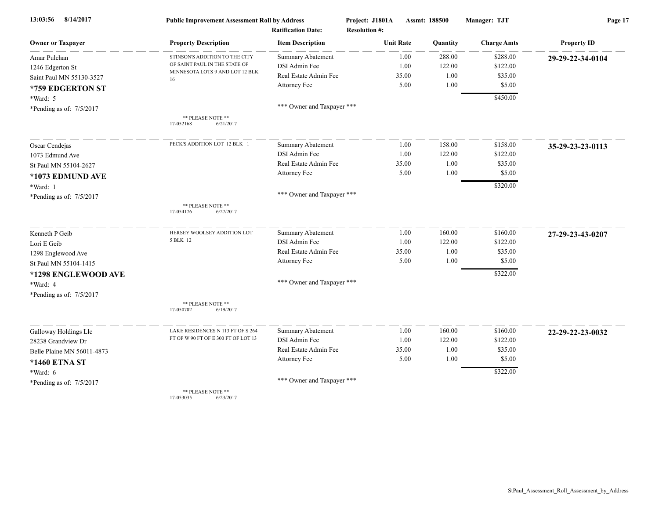| 8/14/2017<br>13:03:56      | <b>Public Improvement Assessment Roll by Address</b>             |                            | Project: J1801A      | Assmt: 188500 |          | Manager: TJT       | Page 17            |  |
|----------------------------|------------------------------------------------------------------|----------------------------|----------------------|---------------|----------|--------------------|--------------------|--|
|                            |                                                                  | <b>Ratification Date:</b>  | <b>Resolution #:</b> |               |          |                    |                    |  |
| <b>Owner or Taxpayer</b>   | <b>Property Description</b>                                      | <b>Item Description</b>    | <b>Unit Rate</b>     |               | Quantity | <b>Charge Amts</b> | <b>Property ID</b> |  |
| Amar Pulchan               | STINSON'S ADDITION TO THE CITY                                   | <b>Summary Abatement</b>   |                      | 1.00          | 288.00   | \$288.00           | 29-29-22-34-0104   |  |
| 1246 Edgerton St           | OF SAINT PAUL IN THE STATE OF<br>MINNESOTA LOTS 9 AND LOT 12 BLK | DSI Admin Fee              |                      | 1.00          | 122.00   | \$122.00           |                    |  |
| Saint Paul MN 55130-3527   | 16                                                               | Real Estate Admin Fee      |                      | 35.00         | 1.00     | \$35.00            |                    |  |
| *759 EDGERTON ST           |                                                                  | Attorney Fee               |                      | 5.00          | 1.00     | \$5.00             |                    |  |
| *Ward: 5                   |                                                                  |                            |                      |               |          | \$450.00           |                    |  |
| *Pending as of: 7/5/2017   |                                                                  | *** Owner and Taxpayer *** |                      |               |          |                    |                    |  |
|                            | ** PLEASE NOTE **<br>17-052168<br>6/21/2017                      |                            |                      |               |          |                    |                    |  |
| Oscar Cendejas             | PECK'S ADDITION LOT 12 BLK 1                                     | <b>Summary Abatement</b>   |                      | 1.00          | 158.00   | \$158.00           | 35-29-23-23-0113   |  |
| 1073 Edmund Ave            |                                                                  | DSI Admin Fee              |                      | 1.00          | 122.00   | \$122.00           |                    |  |
| St Paul MN 55104-2627      |                                                                  | Real Estate Admin Fee      |                      | 35.00         | 1.00     | \$35.00            |                    |  |
| *1073 EDMUND AVE           |                                                                  | Attorney Fee               |                      | 5.00          | 1.00     | \$5.00             |                    |  |
| *Ward: 1                   |                                                                  |                            |                      |               |          | \$320.00           |                    |  |
| *Pending as of: 7/5/2017   |                                                                  | *** Owner and Taxpayer *** |                      |               |          |                    |                    |  |
|                            | ** PLEASE NOTE **<br>17-054176<br>6/27/2017                      |                            |                      |               |          |                    |                    |  |
| Kenneth P Geib             | HERSEY WOOLSEY ADDITION LOT                                      | <b>Summary Abatement</b>   |                      | 1.00          | 160.00   | \$160.00           | 27-29-23-43-0207   |  |
| Lori E Geib                | 5 BLK 12                                                         | DSI Admin Fee              |                      | 1.00          | 122.00   | \$122.00           |                    |  |
| 1298 Englewood Ave         |                                                                  | Real Estate Admin Fee      |                      | 35.00         | 1.00     | \$35.00            |                    |  |
| St Paul MN 55104-1415      |                                                                  | Attorney Fee               |                      | 5.00          | 1.00     | \$5.00             |                    |  |
| *1298 ENGLEWOOD AVE        |                                                                  |                            |                      |               |          | \$322.00           |                    |  |
| *Ward: 4                   |                                                                  | *** Owner and Taxpayer *** |                      |               |          |                    |                    |  |
| *Pending as of: 7/5/2017   |                                                                  |                            |                      |               |          |                    |                    |  |
|                            | ** PLEASE NOTE **<br>17-050702<br>6/19/2017                      |                            |                      |               |          |                    |                    |  |
| Galloway Holdings Llc      | LAKE RESIDENCES N 113 FT OF S 264                                | <b>Summary Abatement</b>   |                      | 1.00          | 160.00   | \$160.00           | 22-29-22-23-0032   |  |
| 28238 Grandview Dr         | FT OF W 90 FT OF E 300 FT OF LOT 13                              | DSI Admin Fee              |                      | 1.00          | 122.00   | \$122.00           |                    |  |
| Belle Plaine MN 56011-4873 |                                                                  | Real Estate Admin Fee      |                      | 35.00         | 1.00     | \$35.00            |                    |  |
| *1460 ETNA ST              |                                                                  | Attorney Fee               |                      | 5.00          | 1.00     | \$5.00             |                    |  |
| $*Ward: 6$                 |                                                                  |                            |                      |               |          | \$322.00           |                    |  |
| *Pending as of: 7/5/2017   |                                                                  | *** Owner and Taxpayer *** |                      |               |          |                    |                    |  |
|                            | ** PLEASE NOTE **                                                |                            |                      |               |          |                    |                    |  |

17-053035 6/23/2017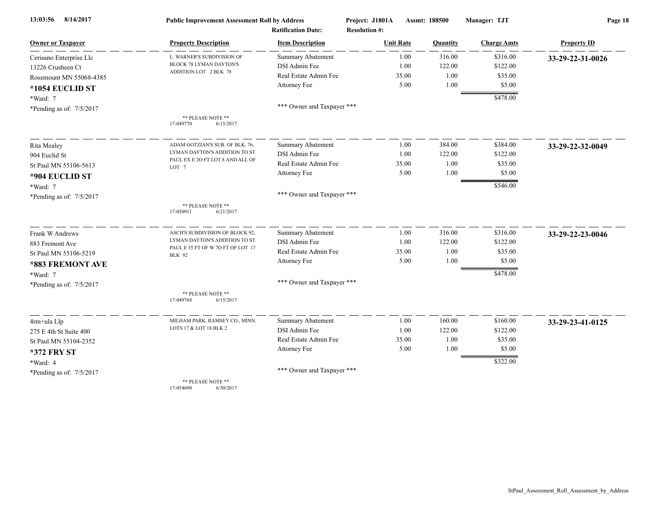| 8/14/2017<br>13:03:56      | <b>Public Improvement Assessment Roll by Address</b>                |                            | Project: J1801A      | Assmt: 188500 | Manager: TJT       | Page 18            |  |
|----------------------------|---------------------------------------------------------------------|----------------------------|----------------------|---------------|--------------------|--------------------|--|
|                            |                                                                     | <b>Ratification Date:</b>  | <b>Resolution #:</b> |               |                    |                    |  |
| <b>Owner or Taxpayer</b>   | <b>Property Description</b>                                         | <b>Item Description</b>    | <b>Unit Rate</b>     | Quantity      | <b>Charge Amts</b> | <b>Property ID</b> |  |
| Cerisano Enterprise Llc    | L. WARNER'S SUBDIVISION OF                                          | <b>Summary Abatement</b>   | 1.00                 | 316.00        | \$316.00           | 33-29-22-31-0026   |  |
| 13226 Crusheen Ct          | BLOCK 78 LYMAN DAYTON'S                                             | DSI Admin Fee              | 1.00                 | 122.00        | \$122.00           |                    |  |
| Rosemount MN 55068-4385    | ADDITION LOT 2 BLK 78                                               | Real Estate Admin Fee      | 35.00                | 1.00          | \$35.00            |                    |  |
| *1054 EUCLID ST            |                                                                     | Attorney Fee               | 5.00                 | 1.00          | \$5.00             |                    |  |
| *Ward: 7                   |                                                                     |                            |                      |               | \$478.00           |                    |  |
| *Pending as of: 7/5/2017   |                                                                     | *** Owner and Taxpayer *** |                      |               |                    |                    |  |
|                            | ** PLEASE NOTE **<br>17-049770<br>6/15/2017                         |                            |                      |               |                    |                    |  |
| Rita Mealey                | ADAM GOTZIAN'S SUB. OF BLK. 76,                                     | <b>Summary Abatement</b>   | 1.00                 | 384.00        | \$384.00           | 33-29-22-32-0049   |  |
| 904 Euclid St              | LYMAN DAYTON'S ADDITION TO ST.                                      | DSI Admin Fee              | 1.00                 | 122.00        | \$122.00           |                    |  |
| St Paul MN 55106-5613      | PAUL EX E 2O FT LOT 8 AND ALL OF<br>LOT <sub>7</sub>                | Real Estate Admin Fee      | 35.00                | 1.00          | \$35.00            |                    |  |
| *904 EUCLID ST             |                                                                     | Attorney Fee               | 5.00                 | 1.00          | \$5.00             |                    |  |
| *Ward: 7                   |                                                                     |                            |                      |               | \$546.00           |                    |  |
| *Pending as of: 7/5/2017   |                                                                     | *** Owner and Taxpayer *** |                      |               |                    |                    |  |
|                            | ** PLEASE NOTE **<br>17-050911<br>6/21/2017                         |                            |                      |               |                    |                    |  |
| Frank W Andrews            | ASCH'S SUBDIVISION OF BLOCK 92,                                     | Summary Abatement          | 1.00                 | 316.00        | \$316.00           | 33-29-22-23-0046   |  |
| 883 Fremont Ave            | LYMAN DAYTON'S ADDITION TO ST.<br>PAUL E 35 FT OF W 70 FT OF LOT 17 | DSI Admin Fee              | 1.00                 | 122.00        | \$122.00           |                    |  |
| St Paul MN 55106-5219      | <b>BLK 92</b>                                                       | Real Estate Admin Fee      | 35.00                | 1.00          | \$35.00            |                    |  |
| *883 FREMONT AVE           |                                                                     | Attorney Fee               | 5.00                 | 1.00          | \$5.00             |                    |  |
| *Ward: 7                   |                                                                     |                            |                      |               | \$478.00           |                    |  |
| *Pending as of: $7/5/2017$ |                                                                     | *** Owner and Taxpayer *** |                      |               |                    |                    |  |
|                            | ** PLEASE NOTE **<br>17-049768<br>6/15/2017                         |                            |                      |               |                    |                    |  |
| 4rm+ula Llp                | MILHAM PARK, RAMSEY CO., MINN.                                      | Summary Abatement          | 1.00                 | 160.00        | \$160.00           | 33-29-23-41-0125   |  |
| 275 E 4th St Suite 400     | LOTS 17 & LOT 18 BLK 2                                              | DSI Admin Fee              | 1.00                 | 122.00        | \$122.00           |                    |  |
| St Paul MN 55104-2352      |                                                                     | Real Estate Admin Fee      | 35.00                | 1.00          | \$35.00            |                    |  |
| <b>*372 FRY ST</b>         |                                                                     | Attorney Fee               | 5.00                 | 1.00          | \$5.00             |                    |  |
| *Ward: 4                   |                                                                     |                            |                      |               | \$322.00           |                    |  |
| *Pending as of: 7/5/2017   |                                                                     | *** Owner and Taxpayer *** |                      |               |                    |                    |  |
|                            | ** PLEASE NOTE **                                                   |                            |                      |               |                    |                    |  |

17-054690 6/30/2017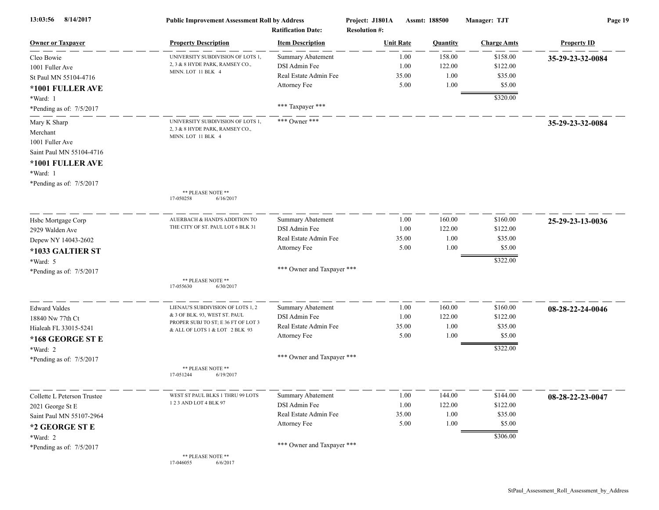| 8/14/2017<br>13:03:56       | <b>Public Improvement Assessment Roll by Address</b><br><b>Ratification Date:</b> |                            | Project: J1801A<br><b>Resolution #:</b> | Assmt: 188500   | Manager: TJT       | Page 19            |  |
|-----------------------------|-----------------------------------------------------------------------------------|----------------------------|-----------------------------------------|-----------------|--------------------|--------------------|--|
| <b>Owner or Taxpayer</b>    | <b>Property Description</b>                                                       | <b>Item Description</b>    | <b>Unit Rate</b>                        | <b>Quantity</b> | <b>Charge Amts</b> | <b>Property ID</b> |  |
| Cleo Bowie                  | UNIVERSITY SUBDIVISION OF LOTS 1,                                                 | <b>Summary Abatement</b>   | 1.00                                    | 158.00          | \$158.00           | 35-29-23-32-0084   |  |
| 1001 Fuller Ave             | 2, 3 & 8 HYDE PARK, RAMSEY CO.,                                                   | DSI Admin Fee              | 1.00                                    | 122.00          | \$122.00           |                    |  |
| St Paul MN 55104-4716       | MINN. LOT 11 BLK 4                                                                | Real Estate Admin Fee      | 35.00                                   | 1.00            | \$35.00            |                    |  |
| *1001 FULLER AVE            |                                                                                   | Attorney Fee               | 5.00                                    | 1.00            | \$5.00             |                    |  |
| *Ward: 1                    |                                                                                   |                            |                                         |                 | \$320.00           |                    |  |
| *Pending as of: 7/5/2017    |                                                                                   | *** Taxpayer ***           |                                         |                 |                    |                    |  |
| Mary K Sharp                | UNIVERSITY SUBDIVISION OF LOTS 1,                                                 | *** Owner ***              |                                         |                 |                    | 35-29-23-32-0084   |  |
| Merchant                    | 2, 3 & 8 HYDE PARK, RAMSEY CO.,                                                   |                            |                                         |                 |                    |                    |  |
| 1001 Fuller Ave             | MINN. LOT 11 BLK 4                                                                |                            |                                         |                 |                    |                    |  |
| Saint Paul MN 55104-4716    |                                                                                   |                            |                                         |                 |                    |                    |  |
| *1001 FULLER AVE            |                                                                                   |                            |                                         |                 |                    |                    |  |
| *Ward: 1                    |                                                                                   |                            |                                         |                 |                    |                    |  |
| *Pending as of: 7/5/2017    |                                                                                   |                            |                                         |                 |                    |                    |  |
|                             | ** PLEASE NOTE **<br>17-050258<br>6/16/2017                                       |                            |                                         |                 |                    |                    |  |
| Hsbc Mortgage Corp          | AUERBACH & HAND'S ADDITION TO                                                     | <b>Summary Abatement</b>   | 1.00                                    | 160.00          | \$160.00           | 25-29-23-13-0036   |  |
| 2929 Walden Ave             | THE CITY OF ST. PAUL LOT 6 BLK 31                                                 | DSI Admin Fee              | 1.00                                    | 122.00          | \$122.00           |                    |  |
| Depew NY 14043-2602         |                                                                                   | Real Estate Admin Fee      | 35.00                                   | 1.00            | \$35.00            |                    |  |
| *1033 GALTIER ST            |                                                                                   | Attorney Fee               | 5.00                                    | 1.00            | \$5.00             |                    |  |
| *Ward: 5                    |                                                                                   |                            |                                         |                 | \$322.00           |                    |  |
| *Pending as of: $7/5/2017$  |                                                                                   | *** Owner and Taxpayer *** |                                         |                 |                    |                    |  |
|                             | ** PLEASE NOTE **<br>17-055630<br>6/30/2017                                       |                            |                                         |                 |                    |                    |  |
| <b>Edward Valdes</b>        | LIENAU'S SUBDIVISION OF LOTS 1, 2                                                 | Summary Abatement          | 1.00                                    | 160.00          | \$160.00           | 08-28-22-24-0046   |  |
| 18840 Nw 77th Ct            | & 3 OF BLK. 93, WEST ST. PAUL                                                     | DSI Admin Fee              | 1.00                                    | 122.00          | \$122.00           |                    |  |
| Hialeah FL 33015-5241       | PROPER SUBJ TO ST; E 36 FT OF LOT 3<br>& ALL OF LOTS 1 & LOT 2 BLK 93             | Real Estate Admin Fee      | 35.00                                   | 1.00            | \$35.00            |                    |  |
| *168 GEORGE ST E            |                                                                                   | Attorney Fee               | 5.00                                    | 1.00            | \$5.00             |                    |  |
| *Ward: 2                    |                                                                                   |                            |                                         |                 | \$322.00           |                    |  |
| *Pending as of: 7/5/2017    |                                                                                   | *** Owner and Taxpayer *** |                                         |                 |                    |                    |  |
|                             | ** PLEASE NOTE **<br>6/19/2017<br>17-051244                                       |                            |                                         |                 |                    |                    |  |
| Collette L Peterson Trustee | WEST ST PAUL BLKS 1 THRU 99 LOTS                                                  | <b>Summary Abatement</b>   | 1.00                                    | 144.00          | \$144.00           | 08-28-22-23-0047   |  |
| 2021 George St E            | 1 2 3 AND LOT 4 BLK 97                                                            | DSI Admin Fee              | 1.00                                    | 122.00          | \$122.00           |                    |  |
| Saint Paul MN 55107-2964    |                                                                                   | Real Estate Admin Fee      | 35.00                                   | 1.00            | \$35.00            |                    |  |
| *2 GEORGE ST E              |                                                                                   | Attorney Fee               | 5.00                                    | 1.00            | \$5.00             |                    |  |
| *Ward: 2                    |                                                                                   |                            |                                         |                 | \$306.00           |                    |  |
| *Pending as of: $7/5/2017$  |                                                                                   | *** Owner and Taxpayer *** |                                         |                 |                    |                    |  |
|                             | ** PLEASE NOTE **<br>17-046055<br>6/6/2017                                        |                            |                                         |                 |                    |                    |  |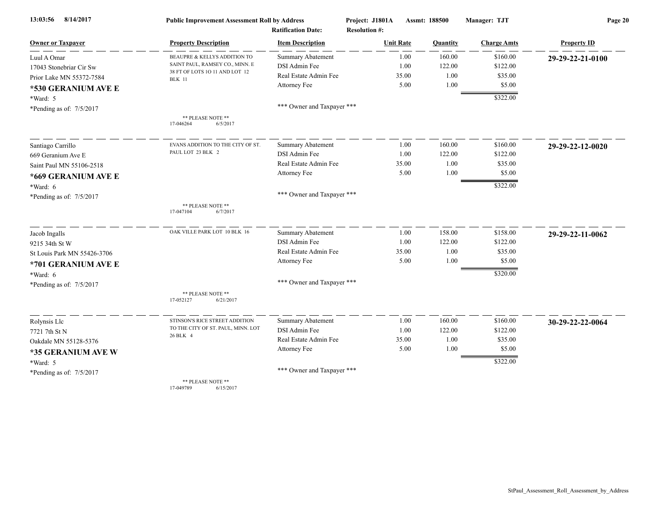| 8/14/2017<br>13:03:56       | <b>Public Improvement Assessment Roll by Address</b> |                                                      | Project: J1801A                          | Assmt: 188500 | Manager: TJT       | Page 20            |  |
|-----------------------------|------------------------------------------------------|------------------------------------------------------|------------------------------------------|---------------|--------------------|--------------------|--|
| <b>Owner or Taxpayer</b>    | <b>Property Description</b>                          | <b>Ratification Date:</b><br><b>Item Description</b> | <b>Resolution #:</b><br><b>Unit Rate</b> | Quantity      | <b>Charge Amts</b> | <b>Property ID</b> |  |
| Luul A Omar                 | BEAUPRE & KELLYS ADDITION TO                         | <b>Summary Abatement</b>                             | 1.00                                     | 160.00        | \$160.00           | 29-29-22-21-0100   |  |
| 17043 Stonebriar Cir Sw     | SAINT PAUL, RAMSEY CO., MINN. E                      | DSI Admin Fee                                        | 1.00                                     | 122.00        | \$122.00           |                    |  |
| Prior Lake MN 55372-7584    | 38 FT OF LOTS 10 11 AND LOT 12<br><b>BLK</b> 11      | Real Estate Admin Fee                                | 35.00                                    | 1.00          | \$35.00            |                    |  |
| *530 GERANIUM AVE E         |                                                      | Attorney Fee                                         | 5.00                                     | 1.00          | \$5.00             |                    |  |
| $*Ward: 5$                  |                                                      |                                                      |                                          |               | \$322.00           |                    |  |
| *Pending as of: 7/5/2017    |                                                      | *** Owner and Taxpayer ***                           |                                          |               |                    |                    |  |
|                             | ** PLEASE NOTE **<br>17-046264<br>6/5/2017           |                                                      |                                          |               |                    |                    |  |
| Santiago Carrillo           | EVANS ADDITION TO THE CITY OF ST.                    | <b>Summary Abatement</b>                             | 1.00                                     | 160.00        | \$160.00           | 29-29-22-12-0020   |  |
| 669 Geranium Ave E          | PAUL LOT 23 BLK 2                                    | DSI Admin Fee                                        | 1.00                                     | 122.00        | \$122.00           |                    |  |
| Saint Paul MN 55106-2518    |                                                      | Real Estate Admin Fee                                | 35.00                                    | 1.00          | \$35.00            |                    |  |
| *669 GERANIUM AVE E         |                                                      | Attorney Fee                                         | 5.00                                     | 1.00          | \$5.00             |                    |  |
| *Ward: 6                    |                                                      |                                                      |                                          |               | \$322.00           |                    |  |
| *Pending as of: 7/5/2017    |                                                      | *** Owner and Taxpayer ***                           |                                          |               |                    |                    |  |
|                             | ** PLEASE NOTE **<br>17-047104<br>6/7/2017           |                                                      |                                          |               |                    |                    |  |
| Jacob Ingalls               | OAK VILLE PARK LOT 10 BLK 16                         | Summary Abatement                                    | 1.00                                     | 158.00        | \$158.00           | 29-29-22-11-0062   |  |
| 9215 34th St W              |                                                      | DSI Admin Fee                                        | 1.00                                     | 122.00        | \$122.00           |                    |  |
| St Louis Park MN 55426-3706 |                                                      | Real Estate Admin Fee                                | 35.00                                    | 1.00          | \$35.00            |                    |  |
| *701 GERANIUM AVE E         |                                                      | Attorney Fee                                         | 5.00                                     | 1.00          | \$5.00             |                    |  |
| *Ward: 6                    |                                                      |                                                      |                                          |               | \$320.00           |                    |  |
| *Pending as of: 7/5/2017    |                                                      | *** Owner and Taxpayer ***                           |                                          |               |                    |                    |  |
|                             | ** PLEASE NOTE **<br>17-052127<br>6/21/2017          |                                                      |                                          |               |                    |                    |  |
| Rolynsis Llc                | STINSON'S RICE STREET ADDITION                       | Summary Abatement                                    | 1.00                                     | 160.00        | \$160.00           | 30-29-22-22-0064   |  |
| 7721 7th St N               | TO THE CITY OF ST. PAUL, MINN. LOT                   | DSI Admin Fee                                        | 1.00                                     | 122.00        | \$122.00           |                    |  |
| Oakdale MN 55128-5376       | 26 BLK 4                                             | Real Estate Admin Fee                                | 35.00                                    | 1.00          | \$35.00            |                    |  |
| *35 GERANIUM AVE W          |                                                      | Attorney Fee                                         | 5.00                                     | 1.00          | \$5.00             |                    |  |
| $*Ward: 5$                  |                                                      |                                                      |                                          |               | \$322.00           |                    |  |
| *Pending as of: 7/5/2017    |                                                      | *** Owner and Taxpayer ***                           |                                          |               |                    |                    |  |
|                             | ** PLEASE NOTE **                                    |                                                      |                                          |               |                    |                    |  |

17-049789 6/15/2017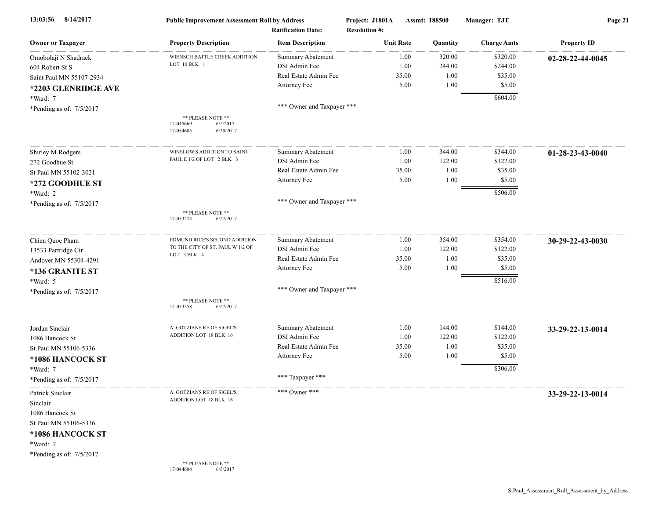| 8/14/2017<br>13:03:56                                                                                    | <b>Public Improvement Assessment Roll by Address</b><br><b>Ratification Date:</b> |                            | Project: J1801A<br>Assmt: 188500<br><b>Resolution #:</b> |                  |          | Manager: TJT       | Page 21            |  |
|----------------------------------------------------------------------------------------------------------|-----------------------------------------------------------------------------------|----------------------------|----------------------------------------------------------|------------------|----------|--------------------|--------------------|--|
| <b>Owner or Taxpayer</b>                                                                                 | <b>Property Description</b>                                                       | <b>Item Description</b>    |                                                          | <b>Unit Rate</b> | Quantity | <b>Charge Amts</b> | <b>Property ID</b> |  |
| Omobolaji N Shadrack                                                                                     | WIENSCH BATTLE CREEK ADDITION                                                     | <b>Summary Abatement</b>   |                                                          | 1.00             | 320.00   | \$320.00           | 02-28-22-44-0045   |  |
| 604 Robert St S                                                                                          | LOT 10 BLK 1                                                                      | DSI Admin Fee              |                                                          | 1.00             | 244.00   | \$244.00           |                    |  |
| Saint Paul MN 55107-2934                                                                                 |                                                                                   | Real Estate Admin Fee      |                                                          | 35.00            | 1.00     | \$35.00            |                    |  |
| *2203 GLENRIDGE AVE                                                                                      |                                                                                   | Attorney Fee               |                                                          | 5.00             | 1.00     | \$5.00             |                    |  |
| *Ward: 7                                                                                                 |                                                                                   |                            |                                                          |                  |          | \$604.00           |                    |  |
| *Pending as of: 7/5/2017                                                                                 |                                                                                   | *** Owner and Taxpayer *** |                                                          |                  |          |                    |                    |  |
|                                                                                                          | ** PLEASE NOTE **<br>17-045669<br>6/2/2017<br>17-054685<br>6/30/2017              |                            |                                                          |                  |          |                    |                    |  |
| Shirley M Rodgers                                                                                        | WINSLOW'S ADDITION TO SAINT                                                       | Summary Abatement          |                                                          | 1.00             | 344.00   | \$344.00           | 01-28-23-43-0040   |  |
| 272 Goodhue St                                                                                           | PAUL E 1/2 OF LOT 2 BLK 3                                                         | DSI Admin Fee              |                                                          | 1.00             | 122.00   | \$122.00           |                    |  |
| St Paul MN 55102-3021                                                                                    |                                                                                   | Real Estate Admin Fee      |                                                          | 35.00            | 1.00     | \$35.00            |                    |  |
|                                                                                                          |                                                                                   | Attorney Fee               |                                                          | 5.00             | 1.00     | \$5.00             |                    |  |
| *272 GOODHUE ST                                                                                          |                                                                                   |                            |                                                          |                  |          | \$506.00           |                    |  |
| *Ward: 2                                                                                                 |                                                                                   | *** Owner and Taxpayer *** |                                                          |                  |          |                    |                    |  |
| *Pending as of: 7/5/2017                                                                                 | ** PLEASE NOTE **<br>17-053274<br>6/27/2017                                       |                            |                                                          |                  |          |                    |                    |  |
| Chien Quoc Pham                                                                                          | EDMUND RICE'S SECOND ADDITION                                                     | <b>Summary Abatement</b>   |                                                          | 1.00             | 354.00   | \$354.00           | 30-29-22-43-0030   |  |
| 13533 Partridge Cir                                                                                      | TO THE CITY OF ST. PAUL W 1/2 OF                                                  | DSI Admin Fee              |                                                          | 1.00             | 122.00   | \$122.00           |                    |  |
| Andover MN 55304-4291                                                                                    | LOT 3 BLK 4                                                                       | Real Estate Admin Fee      |                                                          | 35.00            | 1.00     | \$35.00            |                    |  |
| *136 GRANITE ST                                                                                          |                                                                                   | Attorney Fee               |                                                          | 5.00             | 1.00     | \$5.00             |                    |  |
| *Ward: 5                                                                                                 |                                                                                   |                            |                                                          |                  |          | \$516.00           |                    |  |
| *Pending as of: 7/5/2017                                                                                 |                                                                                   | *** Owner and Taxpayer *** |                                                          |                  |          |                    |                    |  |
|                                                                                                          | ** PLEASE NOTE **<br>17-053258<br>6/27/2017                                       |                            |                                                          |                  |          |                    |                    |  |
| Jordan Sinclair                                                                                          | A. GOTZIANS RE OF SIGEL'S                                                         | <b>Summary Abatement</b>   |                                                          | 1.00             | 144.00   | \$144.00           | 33-29-22-13-0014   |  |
| 1086 Hancock St                                                                                          | ADDITION LOT 18 BLK 16                                                            | DSI Admin Fee              |                                                          | 1.00             | 122.00   | \$122.00           |                    |  |
| St Paul MN 55106-5336                                                                                    |                                                                                   | Real Estate Admin Fee      |                                                          | 35.00            | 1.00     | \$35.00            |                    |  |
| *1086 HANCOCK ST                                                                                         |                                                                                   | Attorney Fee               |                                                          | 5.00             | 1.00     | \$5.00             |                    |  |
| *Ward: 7<br>*Pending as of: 7/5/2017                                                                     |                                                                                   | *** Taxpayer ***           |                                                          |                  |          | \$306.00           |                    |  |
| Patrick Sinclair<br>Sinclair<br>1086 Hancock St<br>St Paul MN 55106-5336<br>*1086 HANCOCK ST<br>*Ward: 7 | A. GOTZIANS RE OF SIGEL'S<br>ADDITION LOT 18 BLK 16                               | *** Owner ***              |                                                          |                  |          |                    | 33-29-22-13-0014   |  |
| *Pending as of: 7/5/2017                                                                                 |                                                                                   |                            |                                                          |                  |          |                    |                    |  |
|                                                                                                          | ** PLEASE NOTE **<br>6/5/2017<br>17-044604                                        |                            |                                                          |                  |          |                    |                    |  |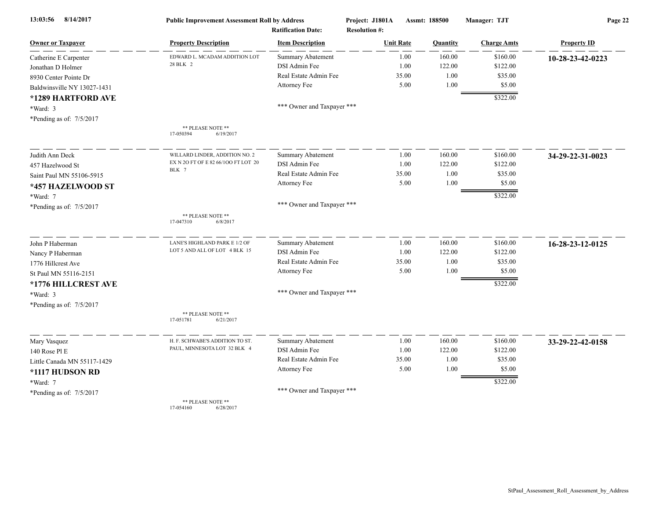| 13:03:56<br>8/14/2017       | <b>Public Improvement Assessment Roll by Address</b> |                                                      | Project: J1801A                          | Assmt: 188500 |                    | Page 22            |  |
|-----------------------------|------------------------------------------------------|------------------------------------------------------|------------------------------------------|---------------|--------------------|--------------------|--|
| <b>Owner or Taxpayer</b>    | <b>Property Description</b>                          | <b>Ratification Date:</b><br><b>Item Description</b> | <b>Resolution #:</b><br><b>Unit Rate</b> | Quantity      | <b>Charge Amts</b> | <b>Property ID</b> |  |
| Catherine E Carpenter       | EDWARD L. MCADAM ADDITION LOT                        | <b>Summary Abatement</b>                             | 1.00                                     | 160.00        | \$160.00           | 10-28-23-42-0223   |  |
| Jonathan D Holmer           | 28 BLK 2                                             | DSI Admin Fee                                        | 1.00                                     | 122.00        | \$122.00           |                    |  |
| 8930 Center Pointe Dr       |                                                      | Real Estate Admin Fee                                | 35.00                                    | 1.00          | \$35.00            |                    |  |
| Baldwinsville NY 13027-1431 |                                                      | Attorney Fee                                         | 5.00                                     | 1.00          | \$5.00             |                    |  |
| *1289 HARTFORD AVE          |                                                      |                                                      |                                          |               | \$322.00           |                    |  |
|                             |                                                      | *** Owner and Taxpayer ***                           |                                          |               |                    |                    |  |
| *Ward: 3                    |                                                      |                                                      |                                          |               |                    |                    |  |
| *Pending as of: 7/5/2017    | ** PLEASE NOTE **<br>17-050394<br>6/19/2017          |                                                      |                                          |               |                    |                    |  |
| Judith Ann Deck             | WILLARD LINDER, ADDITION NO. 2                       | <b>Summary Abatement</b>                             | 1.00                                     | 160.00        | \$160.00           | 34-29-22-31-0023   |  |
| 457 Hazelwood St            | EX N 2O FT OF E 82 66/100 FT LOT 20                  | DSI Admin Fee                                        | 1.00                                     | 122.00        | \$122.00           |                    |  |
| Saint Paul MN 55106-5915    | BLK 7                                                | Real Estate Admin Fee                                | 35.00                                    | 1.00          | \$35.00            |                    |  |
| *457 HAZELWOOD ST           |                                                      | Attorney Fee                                         | 5.00                                     | 1.00          | \$5.00             |                    |  |
| *Ward: 7                    |                                                      |                                                      |                                          |               | \$322.00           |                    |  |
| *Pending as of: 7/5/2017    |                                                      | *** Owner and Taxpayer ***                           |                                          |               |                    |                    |  |
|                             | ** PLEASE NOTE **<br>17-047310<br>6/8/2017           |                                                      |                                          |               |                    |                    |  |
| John P Haberman             | LANE'S HIGHLAND PARK E 1/2 OF                        | Summary Abatement                                    | 1.00                                     | 160.00        | \$160.00           | 16-28-23-12-0125   |  |
| Nancy P Haberman            | LOT 5 AND ALL OF LOT 4 BLK 15                        | DSI Admin Fee                                        | 1.00                                     | 122.00        | \$122.00           |                    |  |
| 1776 Hillcrest Ave          |                                                      | Real Estate Admin Fee                                | 35.00                                    | 1.00          | \$35.00            |                    |  |
| St Paul MN 55116-2151       |                                                      | Attorney Fee                                         | 5.00                                     | 1.00          | \$5.00             |                    |  |
| *1776 HILLCREST AVE         |                                                      |                                                      |                                          |               | \$322.00           |                    |  |
| *Ward: 3                    |                                                      | *** Owner and Taxpayer ***                           |                                          |               |                    |                    |  |
| *Pending as of: 7/5/2017    |                                                      |                                                      |                                          |               |                    |                    |  |
|                             | ** PLEASE NOTE **<br>17-051781<br>6/21/2017          |                                                      |                                          |               |                    |                    |  |
| Mary Vasquez                | H. F. SCHWABE'S ADDITION TO ST.                      | <b>Summary Abatement</b>                             | 1.00                                     | 160.00        | \$160.00           | 33-29-22-42-0158   |  |
| 140 Rose Pl E               | PAUL, MINNESOTA LOT 32 BLK 4                         | DSI Admin Fee                                        | 1.00                                     | 122.00        | \$122.00           |                    |  |
| Little Canada MN 55117-1429 |                                                      | Real Estate Admin Fee                                | 35.00                                    | 1.00          | \$35.00            |                    |  |
| *1117 HUDSON RD             |                                                      | Attorney Fee                                         | 5.00                                     | 1.00          | \$5.00             |                    |  |
| *Ward: 7                    |                                                      |                                                      |                                          |               | \$322.00           |                    |  |
| *Pending as of: 7/5/2017    |                                                      | *** Owner and Taxpayer ***                           |                                          |               |                    |                    |  |
|                             | ** PLEASE NOTE **                                    |                                                      |                                          |               |                    |                    |  |

17-054160 6/28/2017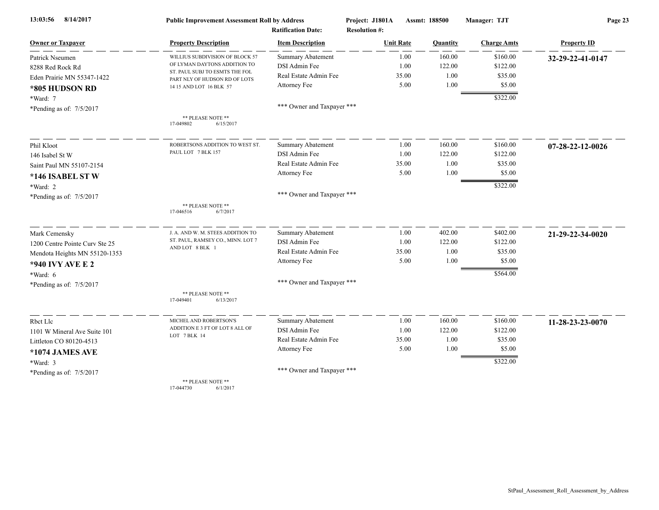| 8/14/2017<br>13:03:56          | <b>Public Improvement Assessment Roll by Address</b>           |                            | Project: J1801A      | Assmt: 188500 | Manager: TJT       | Page 23                    |  |
|--------------------------------|----------------------------------------------------------------|----------------------------|----------------------|---------------|--------------------|----------------------------|--|
|                                |                                                                | <b>Ratification Date:</b>  | <b>Resolution #:</b> |               |                    |                            |  |
| <b>Owner or Taxpayer</b>       | <b>Property Description</b>                                    | <b>Item Description</b>    | <b>Unit Rate</b>     | Quantity      | <b>Charge Amts</b> | <b>Property ID</b>         |  |
| Patrick Nseumen                | WILLIUS SUBDIVISION OF BLOCK 57                                | <b>Summary Abatement</b>   | 1.00                 | 160.00        | \$160.00           | 32-29-22-41-0147           |  |
| 8288 Red Rock Rd               | OF LYMAN DAYTONS ADDITION TO<br>ST. PAUL SUBJ TO ESMTS THE FOL | DSI Admin Fee              | 1.00                 | 122.00        | \$122.00           |                            |  |
| Eden Prairie MN 55347-1422     | PART NLY OF HUDSON RD OF LOTS                                  | Real Estate Admin Fee      | 35.00                | 1.00          | \$35.00            |                            |  |
| *805 HUDSON RD                 | 14 15 AND LOT 16 BLK 57                                        | Attorney Fee               | 5.00                 | 1.00          | \$5.00             |                            |  |
| *Ward: 7                       |                                                                |                            |                      |               | \$322.00           |                            |  |
| *Pending as of: 7/5/2017       |                                                                | *** Owner and Taxpayer *** |                      |               |                    |                            |  |
|                                | ** PLEASE NOTE **<br>17-049802<br>6/15/2017                    |                            |                      |               |                    |                            |  |
| Phil Kloot                     | ROBERTSONS ADDITION TO WEST ST.                                | <b>Summary Abatement</b>   | 1.00                 | 160.00        | \$160.00           | $07 - 28 - 22 - 12 - 0026$ |  |
| 146 Isabel St W                | PAUL LOT 7 BLK 157                                             | DSI Admin Fee              | 1.00                 | 122.00        | \$122.00           |                            |  |
| Saint Paul MN 55107-2154       |                                                                | Real Estate Admin Fee      | 35.00                | 1.00          | \$35.00            |                            |  |
| *146 ISABEL ST W               |                                                                | Attorney Fee               | 5.00                 | 1.00          | \$5.00             |                            |  |
| *Ward: 2                       |                                                                |                            |                      |               | \$322.00           |                            |  |
| *Pending as of: 7/5/2017       |                                                                | *** Owner and Taxpayer *** |                      |               |                    |                            |  |
|                                | ** PLEASE NOTE **<br>17-046516<br>6/7/2017                     |                            |                      |               |                    |                            |  |
| Mark Cemensky                  | J. A. AND W. M. STEES ADDITION TO                              | Summary Abatement          | 1.00                 | 402.00        | \$402.00           | 21-29-22-34-0020           |  |
| 1200 Centre Pointe Curv Ste 25 | ST. PAUL, RAMSEY CO., MINN. LOT 7                              | DSI Admin Fee              | 1.00                 | 122.00        | \$122.00           |                            |  |
| Mendota Heights MN 55120-1353  | AND LOT 8 BLK 1                                                | Real Estate Admin Fee      | 35.00                | 1.00          | \$35.00            |                            |  |
| <b>*940 IVY AVE E 2</b>        |                                                                | Attorney Fee               | 5.00                 | 1.00          | \$5.00             |                            |  |
| $*Ward: 6$                     |                                                                |                            |                      |               | \$564.00           |                            |  |
| *Pending as of: 7/5/2017       |                                                                | *** Owner and Taxpayer *** |                      |               |                    |                            |  |
|                                | ** PLEASE NOTE **<br>6/13/2017<br>17-049401                    |                            |                      |               |                    |                            |  |
| Rbct Llc                       | MICHEL AND ROBERTSON'S                                         | Summary Abatement          | 1.00                 | 160.00        | \$160.00           | 11-28-23-23-0070           |  |
| 1101 W Mineral Ave Suite 101   | ADDITION E 3 FT OF LOT 8 ALL OF                                | DSI Admin Fee              | 1.00                 | 122.00        | \$122.00           |                            |  |
| Littleton CO 80120-4513        | LOT 7 BLK 14                                                   | Real Estate Admin Fee      | 35.00                | 1.00          | \$35.00            |                            |  |
| *1074 JAMES AVE                |                                                                | Attorney Fee               | 5.00                 | 1.00          | \$5.00             |                            |  |
| *Ward: 3                       |                                                                |                            |                      |               | \$322.00           |                            |  |
| *Pending as of: $7/5/2017$     |                                                                | *** Owner and Taxpayer *** |                      |               |                    |                            |  |
|                                | ** PLEASE NOTE **                                              |                            |                      |               |                    |                            |  |

17-044730 6/1/2017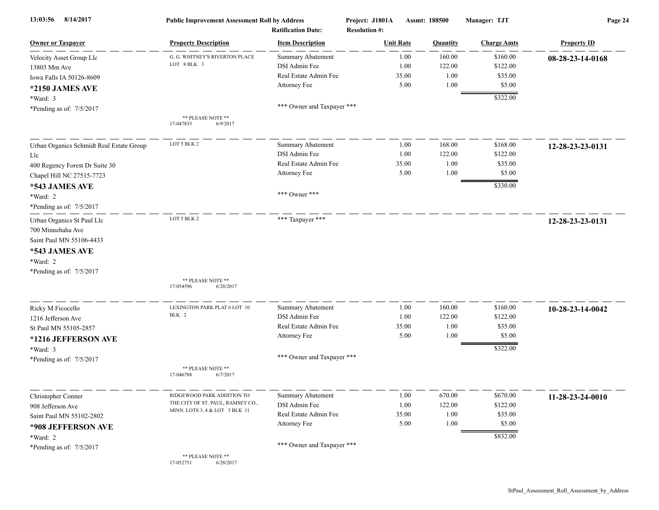| 8/14/2017<br>13:03:56                    | <b>Public Improvement Assessment Roll by Address</b><br><b>Ratification Date:</b> |                            | Project: J1801A<br><b>Resolution #:</b> | Assmt: 188500    |          | Manager: TJT       | Page 24            |  |
|------------------------------------------|-----------------------------------------------------------------------------------|----------------------------|-----------------------------------------|------------------|----------|--------------------|--------------------|--|
| <b>Owner or Taxpayer</b>                 | <b>Property Description</b>                                                       | <b>Item Description</b>    |                                         | <b>Unit Rate</b> | Quantity | <b>Charge Amts</b> | <b>Property ID</b> |  |
| Velocity Asset Group Llc                 | G. G. WHITNEY'S RIVERTON PLACE                                                    | Summary Abatement          |                                         | 1.00             | 160.00   | \$160.00           | 08-28-23-14-0168   |  |
| 13803 Mm Ave                             | LOT 8 BLK 3                                                                       | DSI Admin Fee              |                                         | 1.00             | 122.00   | \$122.00           |                    |  |
| Iowa Falls IA 50126-8609                 |                                                                                   | Real Estate Admin Fee      |                                         | 35.00            | 1.00     | \$35.00            |                    |  |
| *2150 JAMES AVE                          |                                                                                   | Attorney Fee               |                                         | 5.00             | 1.00     | \$5.00             |                    |  |
| *Ward: 3                                 |                                                                                   |                            |                                         |                  |          | \$322.00           |                    |  |
| *Pending as of: 7/5/2017                 |                                                                                   | *** Owner and Taxpayer *** |                                         |                  |          |                    |                    |  |
|                                          | ** PLEASE NOTE **<br>17-047833<br>6/9/2017                                        |                            |                                         |                  |          |                    |                    |  |
| Urban Organics Schmidt Real Estate Group | LOT 5 BLK 2                                                                       | <b>Summary Abatement</b>   |                                         | 1.00             | 168.00   | \$168.00           | 12-28-23-23-0131   |  |
| Llc                                      |                                                                                   | DSI Admin Fee              |                                         | 1.00             | 122.00   | \$122.00           |                    |  |
| 400 Regency Forest Dr Suite 30           |                                                                                   | Real Estate Admin Fee      |                                         | 35.00            | 1.00     | \$35.00            |                    |  |
| Chapel Hill NC 27515-7723                |                                                                                   | Attorney Fee               |                                         | 5.00             | 1.00     | \$5.00             |                    |  |
| *543 JAMES AVE                           |                                                                                   |                            |                                         |                  |          | \$330.00           |                    |  |
| *Ward: 2                                 |                                                                                   | *** Owner ***              |                                         |                  |          |                    |                    |  |
| *Pending as of: 7/5/2017                 |                                                                                   |                            |                                         |                  |          |                    |                    |  |
| Urban Organics St Paul Llc               | LOT 5 BLK 2                                                                       | *** Taxpayer ***           |                                         |                  |          |                    | 12-28-23-23-0131   |  |
| 700 Minnehaha Ave                        |                                                                                   |                            |                                         |                  |          |                    |                    |  |
| Saint Paul MN 55106-4433                 |                                                                                   |                            |                                         |                  |          |                    |                    |  |
| *543 JAMES AVE                           |                                                                                   |                            |                                         |                  |          |                    |                    |  |
| *Ward: 2                                 |                                                                                   |                            |                                         |                  |          |                    |                    |  |
| *Pending as of: 7/5/2017                 |                                                                                   |                            |                                         |                  |          |                    |                    |  |
|                                          | ** PLEASE NOTE **                                                                 |                            |                                         |                  |          |                    |                    |  |
|                                          | 17-054596<br>6/28/2017                                                            |                            |                                         |                  |          |                    |                    |  |
| Ricky M Ficocello                        | LEXINGTON PARK PLAT 6 LOT 10                                                      | <b>Summary Abatement</b>   |                                         | 1.00             | 160.00   | \$160.00           | 10-28-23-14-0042   |  |
| 1216 Jefferson Ave                       | BLK 2                                                                             | DSI Admin Fee              |                                         | 1.00             | 122.00   | \$122.00           |                    |  |
| St Paul MN 55105-2857                    |                                                                                   | Real Estate Admin Fee      |                                         | 35.00            | 1.00     | \$35.00            |                    |  |
| *1216 JEFFERSON AVE                      |                                                                                   | Attorney Fee               |                                         | 5.00             | 1.00     | \$5.00             |                    |  |
| *Ward: 3                                 |                                                                                   |                            |                                         |                  |          | \$322.00           |                    |  |
| *Pending as of: 7/5/2017                 |                                                                                   | *** Owner and Taxpayer *** |                                         |                  |          |                    |                    |  |
|                                          | ** PLEASE NOTE **<br>17-046788<br>6/7/2017                                        |                            |                                         |                  |          |                    |                    |  |
| Christopher Conner                       | RIDGEWOOD PARK ADDITION TO                                                        | Summary Abatement          |                                         | 1.00             | 670.00   | \$670.00           | 11-28-23-24-0010   |  |
| 908 Jefferson Ave                        | THE CITY OF ST. PAUL, RAMSEY CO.,                                                 | DSI Admin Fee              |                                         | 1.00             | 122.00   | \$122.00           |                    |  |
| Saint Paul MN 55102-2802                 | MINN. LOTS 3, 4 & LOT 5 BLK 11                                                    | Real Estate Admin Fee      |                                         | 35.00            | 1.00     | \$35.00            |                    |  |
| *908 JEFFERSON AVE                       |                                                                                   | Attorney Fee               |                                         | 5.00             | 1.00     | \$5.00             |                    |  |
| *Ward: 2                                 |                                                                                   |                            |                                         |                  |          | \$832.00           |                    |  |
| *Pending as of: 7/5/2017                 |                                                                                   | *** Owner and Taxpayer *** |                                         |                  |          |                    |                    |  |
|                                          | ** PLEASE NOTE **<br>17-052751<br>6/28/2017                                       |                            |                                         |                  |          |                    |                    |  |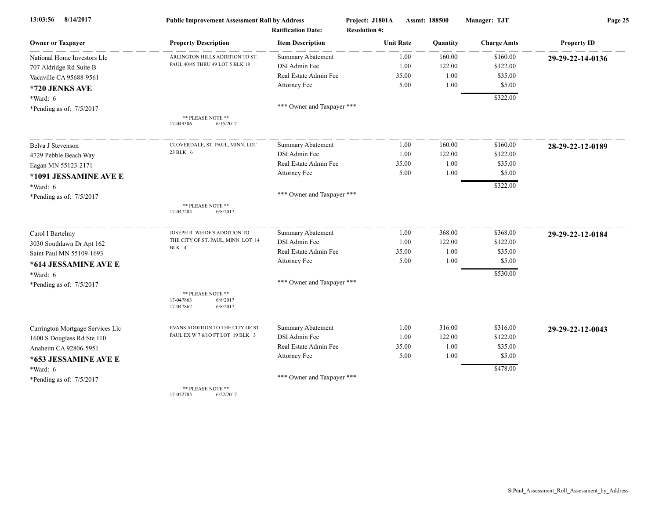| 8/14/2017<br>13:03:56            | <b>Public Improvement Assessment Roll by Address</b>                |                                                      | Project: J1801A                          | Assmt: 188500  | Manager: TJT       | Page 25            |  |
|----------------------------------|---------------------------------------------------------------------|------------------------------------------------------|------------------------------------------|----------------|--------------------|--------------------|--|
| <b>Owner or Taxpayer</b>         | <b>Property Description</b>                                         | <b>Ratification Date:</b><br><b>Item Description</b> | <b>Resolution #:</b><br><b>Unit Rate</b> | Quantity       | <b>Charge Amts</b> | <b>Property ID</b> |  |
| National Home Investors Llc      | ARLINGTON HILLS ADDITION TO ST.                                     | <b>Summary Abatement</b>                             |                                          | 160.00<br>1.00 | \$160.00           | 29-29-22-14-0136   |  |
| 707 Aldridge Rd Suite B          | PAUL 40/45 THRU 49 LOT 5 BLK 18                                     | DSI Admin Fee                                        |                                          | 122.00<br>1.00 | \$122.00           |                    |  |
| Vacaville CA 95688-9561          |                                                                     | Real Estate Admin Fee                                | 35.00                                    | 1.00           | \$35.00            |                    |  |
| *720 JENKS AVE                   |                                                                     | Attorney Fee                                         | 5.00                                     | 1.00           | \$5.00             |                    |  |
| $*Ward: 6$                       |                                                                     |                                                      |                                          |                | \$322.00           |                    |  |
| *Pending as of: 7/5/2017         |                                                                     | *** Owner and Taxpayer ***                           |                                          |                |                    |                    |  |
|                                  | ** PLEASE NOTE **<br>17-049386<br>6/15/2017                         |                                                      |                                          |                |                    |                    |  |
| Belva J Stevenson                | CLOVERDALE, ST. PAUL, MINN. LOT                                     | <b>Summary Abatement</b>                             |                                          | 160.00<br>1.00 | \$160.00           | 28-29-22-12-0189   |  |
| 4729 Pebble Beach Way            | 23 BLK 6                                                            | DSI Admin Fee                                        |                                          | 122.00<br>1.00 | \$122.00           |                    |  |
| Eagan MN 55123-2171              |                                                                     | Real Estate Admin Fee                                | 35.00                                    | 1.00           | \$35.00            |                    |  |
| *1091 JESSAMINE AVE E            |                                                                     | Attorney Fee                                         | 5.00                                     | $1.00\,$       | \$5.00             |                    |  |
| $*Ward: 6$                       |                                                                     |                                                      |                                          |                | \$322.00           |                    |  |
| *Pending as of: 7/5/2017         |                                                                     | *** Owner and Taxpayer ***                           |                                          |                |                    |                    |  |
|                                  | ** PLEASE NOTE **<br>17-047284<br>6/8/2017                          |                                                      |                                          |                |                    |                    |  |
| Carol I Bartelmy                 | JOSEPH R. WEIDE'S ADDITION TO                                       | <b>Summary Abatement</b>                             |                                          | 368.00<br>1.00 | \$368.00           | 29-29-22-12-0184   |  |
| 3030 Southlawn Dr Apt 162        | THE CITY OF ST. PAUL, MINN. LOT 14                                  | DSI Admin Fee                                        |                                          | 1.00<br>122.00 | \$122.00           |                    |  |
| Saint Paul MN 55109-1693         | BLK 4                                                               | Real Estate Admin Fee                                | 35.00                                    | 1.00           | \$35.00            |                    |  |
| *614 JESSAMINE AVE E             |                                                                     | Attorney Fee                                         |                                          | 1.00<br>5.00   | \$5.00             |                    |  |
| *Ward: 6                         |                                                                     |                                                      |                                          |                | \$530.00           |                    |  |
| *Pending as of: $7/5/2017$       |                                                                     | *** Owner and Taxpayer ***                           |                                          |                |                    |                    |  |
|                                  | ** PLEASE NOTE **<br>17-047863<br>6/8/2017<br>17-047862<br>6/8/2017 |                                                      |                                          |                |                    |                    |  |
| Carrington Mortgage Services Llc | EVANS ADDITION TO THE CITY OF ST.                                   | Summary Abatement                                    |                                          | 316.00<br>1.00 | \$316.00           | 29-29-22-12-0043   |  |
| 1600 S Douglass Rd Ste 110       | PAUL EX W 7 6/10 FT LOT 19 BLK 3                                    | DSI Admin Fee                                        |                                          | 122.00<br>1.00 | \$122.00           |                    |  |
| Anaheim CA 92806-5951            |                                                                     | Real Estate Admin Fee                                | 35.00                                    | 1.00           | \$35.00            |                    |  |
| *653 JESSAMINE AVE E             |                                                                     | Attorney Fee                                         | 5.00                                     | 1.00           | \$5.00             |                    |  |
| *Ward: 6                         |                                                                     |                                                      |                                          |                | \$478.00           |                    |  |
| *Pending as of: 7/5/2017         |                                                                     | *** Owner and Taxpayer ***                           |                                          |                |                    |                    |  |
|                                  | ** PLEASE NOTE **<br>17-052785<br>6/22/2017                         |                                                      |                                          |                |                    |                    |  |

17-052785 6/22/2017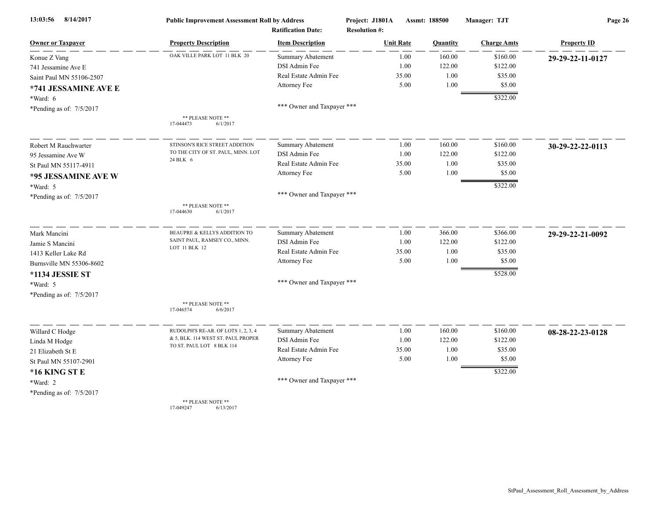| 8/14/2017<br>13:03:56      | <b>Public Improvement Assessment Roll by Address</b><br><b>Ratification Date:</b> |                            | Project: J1801A<br><b>Resolution #:</b> | Assmt: 188500 |          | Manager: TJT       | Page 26            |  |
|----------------------------|-----------------------------------------------------------------------------------|----------------------------|-----------------------------------------|---------------|----------|--------------------|--------------------|--|
| <b>Owner or Taxpayer</b>   | <b>Property Description</b>                                                       | <b>Item Description</b>    | <b>Unit Rate</b>                        |               | Quantity | <b>Charge Amts</b> | <b>Property ID</b> |  |
| Konue Z Vang               | OAK VILLE PARK LOT 11 BLK 20                                                      | Summary Abatement          |                                         | 1.00          | 160.00   | \$160.00           | 29-29-22-11-0127   |  |
| 741 Jessamine Ave E        |                                                                                   | DSI Admin Fee              |                                         | 1.00          | 122.00   | \$122.00           |                    |  |
| Saint Paul MN 55106-2507   |                                                                                   | Real Estate Admin Fee      | 35.00                                   |               | 1.00     | \$35.00            |                    |  |
| *741 JESSAMINE AVE E       |                                                                                   | Attorney Fee               |                                         | 5.00          | 1.00     | \$5.00             |                    |  |
| *Ward: 6                   |                                                                                   |                            |                                         |               |          | \$322.00           |                    |  |
| *Pending as of: $7/5/2017$ |                                                                                   | *** Owner and Taxpayer *** |                                         |               |          |                    |                    |  |
|                            | ** PLEASE NOTE **<br>17-044473<br>6/1/2017                                        |                            |                                         |               |          |                    |                    |  |
| Robert M Rauchwarter       | STINSON'S RICE STREET ADDITION                                                    | <b>Summary Abatement</b>   |                                         | 1.00          | 160.00   | \$160.00           | 30-29-22-22-0113   |  |
| 95 Jessamine Ave W         | TO THE CITY OF ST. PAUL, MINN. LOT                                                | DSI Admin Fee              |                                         | 1.00          | 122.00   | \$122.00           |                    |  |
| St Paul MN 55117-4911      | 24 BLK 6                                                                          | Real Estate Admin Fee      | 35.00                                   |               | 1.00     | \$35.00            |                    |  |
| *95 JESSAMINE AVE W        |                                                                                   | Attorney Fee               |                                         | 5.00          | 1.00     | \$5.00             |                    |  |
| *Ward: 5                   |                                                                                   |                            |                                         |               |          | \$322.00           |                    |  |
| *Pending as of: 7/5/2017   |                                                                                   | *** Owner and Taxpayer *** |                                         |               |          |                    |                    |  |
|                            | ** PLEASE NOTE **<br>6/1/2017<br>17-044630                                        |                            |                                         |               |          |                    |                    |  |
| Mark Mancini               | BEAUPRE & KELLYS ADDITION TO                                                      | Summary Abatement          |                                         | 1.00          | 366.00   | \$366.00           | 29-29-22-21-0092   |  |
| Jamie S Mancini            | SAINT PAUL, RAMSEY CO., MINN.                                                     | DSI Admin Fee              |                                         | 1.00          | 122.00   | \$122.00           |                    |  |
| 1413 Keller Lake Rd        | LOT 11 BLK 12                                                                     | Real Estate Admin Fee      | 35.00                                   |               | 1.00     | \$35.00            |                    |  |
| Burnsville MN 55306-8602   |                                                                                   | Attorney Fee               |                                         | 5.00          | 1.00     | \$5.00             |                    |  |
| <b>*1134 JESSIE ST</b>     |                                                                                   |                            |                                         |               |          | \$528.00           |                    |  |
| *Ward: 5                   |                                                                                   | *** Owner and Taxpayer *** |                                         |               |          |                    |                    |  |
| *Pending as of: 7/5/2017   |                                                                                   |                            |                                         |               |          |                    |                    |  |
|                            | ** PLEASE NOTE **<br>17-046574<br>6/6/2017                                        |                            |                                         |               |          |                    |                    |  |
| Willard C Hodge            | RUDOLPH'S RE-AR. OF LOTS 1, 2, 3, 4                                               | Summary Abatement          |                                         | 1.00          | 160.00   | \$160.00           | 08-28-22-23-0128   |  |
| Linda M Hodge              | & 5, BLK. 114 WEST ST. PAUL PROPER                                                | DSI Admin Fee              |                                         | 1.00          | 122.00   | \$122.00           |                    |  |
| 21 Elizabeth St E          | TO ST. PAUL LOT 8 BLK 114                                                         | Real Estate Admin Fee      | 35.00                                   |               | 1.00     | \$35.00            |                    |  |
| St Paul MN 55107-2901      |                                                                                   | Attorney Fee               |                                         | 5.00          | 1.00     | \$5.00             |                    |  |
| *16 KING ST E              |                                                                                   |                            |                                         |               |          | \$322.00           |                    |  |
| *Ward: 2                   |                                                                                   | *** Owner and Taxpayer *** |                                         |               |          |                    |                    |  |
| *Pending as of: 7/5/2017   |                                                                                   |                            |                                         |               |          |                    |                    |  |
|                            | ** PLEASE NOTE **                                                                 |                            |                                         |               |          |                    |                    |  |

17-049247 6/13/2017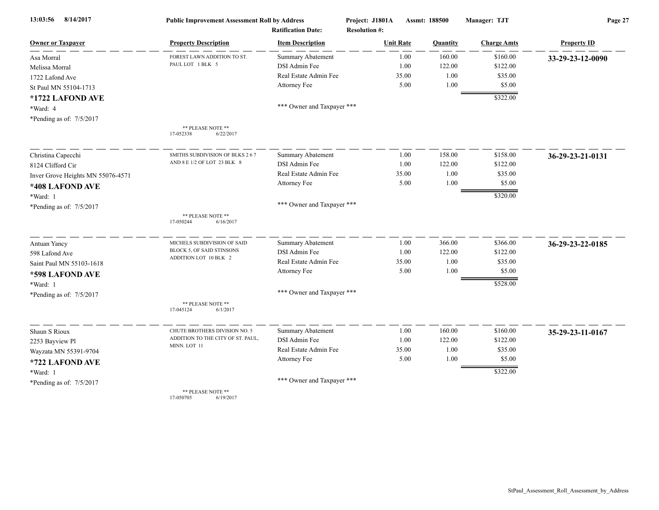| 8/14/2017<br>13:03:56             | <b>Public Improvement Assessment Roll by Address</b><br><b>Ratification Date:</b> |                            | Project: J1801A      | Assmt: 188500 |          | Manager: TJT       | Page 27            |  |
|-----------------------------------|-----------------------------------------------------------------------------------|----------------------------|----------------------|---------------|----------|--------------------|--------------------|--|
|                                   |                                                                                   |                            | <b>Resolution #:</b> |               |          |                    |                    |  |
| <b>Owner or Taxpayer</b>          | <b>Property Description</b>                                                       | <b>Item Description</b>    | <b>Unit Rate</b>     |               | Quantity | <b>Charge Amts</b> | <b>Property ID</b> |  |
| Asa Morral                        | FOREST LAWN ADDITION TO ST.                                                       | <b>Summary Abatement</b>   |                      | 1.00          | 160.00   | \$160.00           | 33-29-23-12-0090   |  |
| Melissa Morral                    | PAUL LOT 1 BLK 5                                                                  | DSI Admin Fee              |                      | 1.00          | 122.00   | \$122.00           |                    |  |
| 1722 Lafond Ave                   |                                                                                   | Real Estate Admin Fee      | 35.00                |               | 1.00     | \$35.00            |                    |  |
| St Paul MN 55104-1713             |                                                                                   | Attorney Fee               |                      | 5.00          | 1.00     | \$5.00             |                    |  |
| *1722 LAFOND AVE                  |                                                                                   |                            |                      |               |          | \$322.00           |                    |  |
| *Ward: 4                          |                                                                                   | *** Owner and Taxpayer *** |                      |               |          |                    |                    |  |
| *Pending as of: 7/5/2017          |                                                                                   |                            |                      |               |          |                    |                    |  |
|                                   | ** PLEASE NOTE **<br>17-052338<br>6/22/2017                                       |                            |                      |               |          |                    |                    |  |
| Christina Capecchi                | SMITHS SUBDIVISION OF BLKS 267                                                    | Summary Abatement          |                      | 1.00          | 158.00   | \$158.00           | 36-29-23-21-0131   |  |
| 8124 Clifford Cir                 | AND 8 E 1/2 OF LOT 23 BLK 8                                                       | DSI Admin Fee              |                      | 1.00          | 122.00   | \$122.00           |                    |  |
| Inver Grove Heights MN 55076-4571 |                                                                                   | Real Estate Admin Fee      | 35.00                |               | 1.00     | \$35.00            |                    |  |
| *408 LAFOND AVE                   |                                                                                   | Attorney Fee               |                      | 5.00          | 1.00     | \$5.00             |                    |  |
| *Ward: 1                          |                                                                                   |                            |                      |               |          | \$320.00           |                    |  |
| *Pending as of: 7/5/2017          |                                                                                   | *** Owner and Taxpayer *** |                      |               |          |                    |                    |  |
|                                   | ** PLEASE NOTE **<br>17-050244<br>6/16/2017                                       |                            |                      |               |          |                    |                    |  |
|                                   |                                                                                   |                            |                      |               |          |                    |                    |  |
| Antuan Yancy                      | MICHELS SUBDIVISION OF SAID                                                       | <b>Summary Abatement</b>   |                      | 1.00          | 366.00   | \$366.00           | 36-29-23-22-0185   |  |
| 598 Lafond Ave                    | BLOCK 5, OF SAID STINSONS<br>ADDITION LOT 10 BLK 2                                | DSI Admin Fee              |                      | 1.00          | 122.00   | \$122.00           |                    |  |
| Saint Paul MN 55103-1618          |                                                                                   | Real Estate Admin Fee      | 35.00                |               | 1.00     | \$35.00            |                    |  |
| *598 LAFOND AVE                   |                                                                                   | Attorney Fee               |                      | 5.00          | 1.00     | \$5.00             |                    |  |
| *Ward: 1                          |                                                                                   |                            |                      |               |          | \$528.00           |                    |  |
| *Pending as of: 7/5/2017          |                                                                                   | *** Owner and Taxpayer *** |                      |               |          |                    |                    |  |
|                                   | ** PLEASE NOTE **<br>17-045124<br>6/1/2017                                        |                            |                      |               |          |                    |                    |  |
| Shaun S Rioux                     | CHUTE BROTHERS DIVISION NO. 5                                                     | <b>Summary Abatement</b>   |                      | 1.00          | 160.00   | \$160.00           | 35-29-23-11-0167   |  |
| 2253 Bayview Pl                   | ADDITION TO THE CITY OF ST. PAUL,                                                 | <b>DSI</b> Admin Fee       |                      | 1.00          | 122.00   | \$122.00           |                    |  |
| Wayzata MN 55391-9704             | MINN. LOT 11                                                                      | Real Estate Admin Fee      | 35.00                |               | 1.00     | \$35.00            |                    |  |
| *722 LAFOND AVE                   |                                                                                   | Attorney Fee               |                      | 5.00          | 1.00     | \$5.00             |                    |  |
| *Ward: 1                          |                                                                                   |                            |                      |               |          | \$322.00           |                    |  |
| *Pending as of: 7/5/2017          |                                                                                   | *** Owner and Taxpayer *** |                      |               |          |                    |                    |  |
|                                   | ** PLEASE NOTE **<br>17-050705<br>6/19/2017                                       |                            |                      |               |          |                    |                    |  |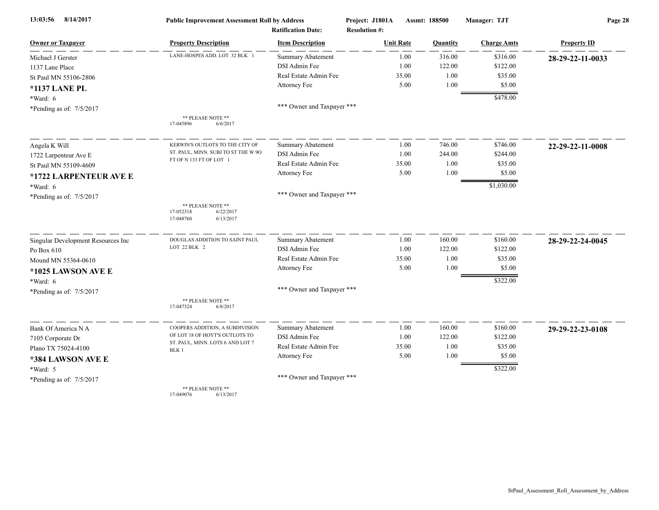| 8/14/2017<br>13:03:56              | <b>Public Improvement Assessment Roll by Address</b><br><b>Ratification Date:</b> |                            | Project: J1801A<br><b>Resolution #:</b> | Assmt: 188500 |          | Manager: TJT       | Page 28            |  |
|------------------------------------|-----------------------------------------------------------------------------------|----------------------------|-----------------------------------------|---------------|----------|--------------------|--------------------|--|
| <b>Owner or Taxpayer</b>           | <b>Property Description</b>                                                       | <b>Item Description</b>    | <b>Unit Rate</b>                        |               | Quantity | <b>Charge Amts</b> | <b>Property ID</b> |  |
| Michael J Gerster                  | LANE-HOSPES ADD. LOT 32 BLK 1                                                     | Summary Abatement          |                                         | 1.00          | 316.00   | \$316.00           | 28-29-22-11-0033   |  |
| 1137 Lane Place                    |                                                                                   | DSI Admin Fee              |                                         | 1.00          | 122.00   | \$122.00           |                    |  |
| St Paul MN 55106-2806              |                                                                                   | Real Estate Admin Fee      |                                         | 35.00         | 1.00     | \$35.00            |                    |  |
| <b>*1137 LANE PL</b>               |                                                                                   | Attorney Fee               |                                         | 5.00          | 1.00     | \$5.00             |                    |  |
| $*Ward: 6$                         |                                                                                   |                            |                                         |               |          | \$478.00           |                    |  |
| *Pending as of: 7/5/2017           |                                                                                   | *** Owner and Taxpayer *** |                                         |               |          |                    |                    |  |
|                                    | ** PLEASE NOTE **<br>17-045896<br>6/6/2017                                        |                            |                                         |               |          |                    |                    |  |
| Angela K Will                      | KERWIN'S OUTLOTS TO THE CITY OF                                                   | <b>Summary Abatement</b>   |                                         | 1.00          | 746.00   | \$746.00           | 22-29-22-11-0008   |  |
| 1722 Larpenteur Ave E              | ST. PAUL, MINN. SUBJ TO ST THE W 90                                               | DSI Admin Fee              |                                         | 1.00          | 244.00   | \$244.00           |                    |  |
| St Paul MN 55109-4609              | FT OF N 133 FT OF LOT 1                                                           | Real Estate Admin Fee      |                                         | 35.00         | 1.00     | \$35.00            |                    |  |
| *1722 LARPENTEUR AVE E             |                                                                                   | Attorney Fee               |                                         | 5.00          | 1.00     | \$5.00             |                    |  |
| *Ward: 6                           |                                                                                   |                            |                                         |               |          | \$1,030.00         |                    |  |
| *Pending as of: 7/5/2017           |                                                                                   | *** Owner and Taxpayer *** |                                         |               |          |                    |                    |  |
|                                    | ** PLEASE NOTE **<br>17-052318<br>6/22/2017<br>17-048760<br>6/13/2017             |                            |                                         |               |          |                    |                    |  |
| Singular Development Resources Inc | DOUGLAS ADDITION TO SAINT PAUL                                                    | <b>Summary Abatement</b>   |                                         | 1.00          | 160.00   | \$160.00           | 28-29-22-24-0045   |  |
| Po Box 610                         | LOT 22 BLK 2                                                                      | DSI Admin Fee              |                                         | 1.00          | 122.00   | \$122.00           |                    |  |
| Mound MN 55364-0610                |                                                                                   | Real Estate Admin Fee      |                                         | 35.00         | 1.00     | \$35.00            |                    |  |
| *1025 LAWSON AVE E                 |                                                                                   | Attorney Fee               |                                         | 5.00          | 1.00     | \$5.00             |                    |  |
| *Ward: 6                           |                                                                                   |                            |                                         |               |          | \$322.00           |                    |  |
| *Pending as of: 7/5/2017           |                                                                                   | *** Owner and Taxpayer *** |                                         |               |          |                    |                    |  |
|                                    | ** PLEASE NOTE **<br>17-047324<br>6/8/2017                                        |                            |                                         |               |          |                    |                    |  |
| Bank Of America N A                | COOPERS ADDITION, A SUBDIVISION                                                   | Summary Abatement          |                                         | 1.00          | 160.00   | \$160.00           | 29-29-22-23-0108   |  |
| 7105 Corporate Dr                  | OF LOT 18 OF HOYT'S OUTLOTS TO                                                    | DSI Admin Fee              |                                         | 1.00          | 122.00   | \$122.00           |                    |  |
| Plano TX 75024-4100                | ST. PAUL, MINN. LOTS 6 AND LOT 7<br>BLK 1                                         | Real Estate Admin Fee      |                                         | 35.00         | 1.00     | \$35.00            |                    |  |
| *384 LAWSON AVE E                  |                                                                                   | Attorney Fee               |                                         | 5.00          | 1.00     | \$5.00             |                    |  |
| *Ward: 5                           |                                                                                   |                            |                                         |               |          | \$322.00           |                    |  |
| *Pending as of: 7/5/2017           |                                                                                   | *** Owner and Taxpayer *** |                                         |               |          |                    |                    |  |
|                                    | ** PLEASE NOTE **<br>6/13/2017<br>17-049076                                       |                            |                                         |               |          |                    |                    |  |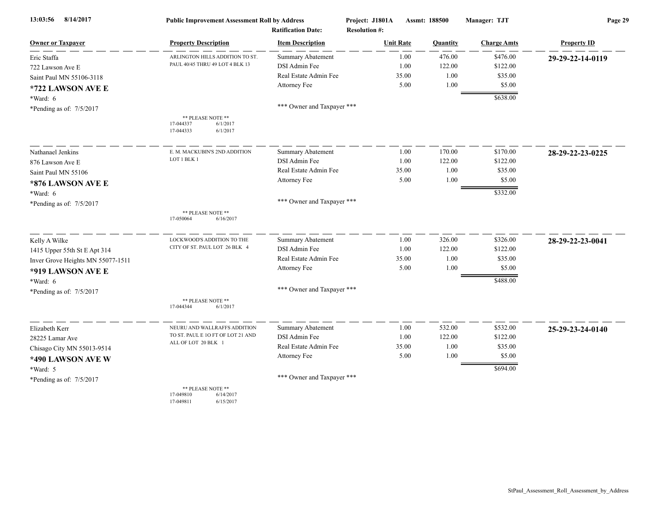| 8/14/2017<br>13:03:56             | <b>Public Improvement Assessment Roll by Address</b>                  |                                                      | Project: J1801A  | Assmt: 188500<br><b>Resolution #:</b> |          | Manager: TJT       | Page 29            |  |
|-----------------------------------|-----------------------------------------------------------------------|------------------------------------------------------|------------------|---------------------------------------|----------|--------------------|--------------------|--|
| <b>Owner or Taxpayer</b>          | <b>Property Description</b>                                           | <b>Ratification Date:</b><br><b>Item Description</b> | <b>Unit Rate</b> |                                       | Quantity | <b>Charge Amts</b> | <b>Property ID</b> |  |
| Eric Staffa                       | ARLINGTON HILLS ADDITION TO ST                                        | <b>Summary Abatement</b>                             |                  | 1.00                                  | 476.00   | \$476.00           | 29-29-22-14-0119   |  |
| 722 Lawson Ave E                  | PAUL 40/45 THRU 49 LOT 4 BLK 13                                       | DSI Admin Fee                                        |                  | 1.00                                  | 122.00   | \$122.00           |                    |  |
| Saint Paul MN 55106-3118          |                                                                       | Real Estate Admin Fee                                |                  | 35.00                                 | 1.00     | \$35.00            |                    |  |
| *722 LAWSON AVE E                 |                                                                       | Attorney Fee                                         |                  | 5.00                                  | 1.00     | \$5.00             |                    |  |
| *Ward: 6                          |                                                                       |                                                      |                  |                                       |          | \$638.00           |                    |  |
| *Pending as of: 7/5/2017          |                                                                       | *** Owner and Taxpayer ***                           |                  |                                       |          |                    |                    |  |
|                                   | ** PLEASE NOTE **<br>17-044337<br>6/1/2017<br>17-044333<br>6/1/2017   |                                                      |                  |                                       |          |                    |                    |  |
| Nathanael Jenkins                 | E. M. MACKUBIN'S 2ND ADDITION                                         | <b>Summary Abatement</b>                             |                  | 1.00                                  | 170.00   | \$170.00           | 28-29-22-23-0225   |  |
| 876 Lawson Ave E                  | LOT 1 BLK 1                                                           | DSI Admin Fee                                        |                  | 1.00                                  | 122.00   | \$122.00           |                    |  |
| Saint Paul MN 55106               |                                                                       | Real Estate Admin Fee                                |                  | 35.00                                 | 1.00     | \$35.00            |                    |  |
| *876 LAWSON AVE E                 |                                                                       | Attorney Fee                                         |                  | 5.00                                  | 1.00     | \$5.00             |                    |  |
| *Ward: 6                          |                                                                       |                                                      |                  |                                       |          | \$332.00           |                    |  |
| *Pending as of: 7/5/2017          |                                                                       | *** Owner and Taxpayer ***                           |                  |                                       |          |                    |                    |  |
|                                   | ** PLEASE NOTE **<br>17-050064<br>6/16/2017                           |                                                      |                  |                                       |          |                    |                    |  |
| Kelly A Wilke                     | LOCKWOOD'S ADDITION TO THE                                            | <b>Summary Abatement</b>                             |                  | 1.00                                  | 326.00   | \$326.00           | 28-29-22-23-0041   |  |
| 1415 Upper 55th St E Apt 314      | CITY OF ST. PAUL LOT 26 BLK 4                                         | DSI Admin Fee                                        |                  | 1.00                                  | 122.00   | \$122.00           |                    |  |
| Inver Grove Heights MN 55077-1511 |                                                                       | Real Estate Admin Fee                                |                  | 35.00                                 | 1.00     | \$35.00            |                    |  |
| *919 LAWSON AVE E                 |                                                                       | Attorney Fee                                         |                  | 5.00                                  | 1.00     | \$5.00             |                    |  |
| *Ward: 6                          |                                                                       |                                                      |                  |                                       |          | \$488.00           |                    |  |
| *Pending as of: 7/5/2017          |                                                                       | *** Owner and Taxpayer ***                           |                  |                                       |          |                    |                    |  |
|                                   | ** PLEASE NOTE **<br>17-044344<br>6/1/2017                            |                                                      |                  |                                       |          |                    |                    |  |
| Elizabeth Kerr                    | NEURU AND WALLRAFFS ADDITION                                          | <b>Summary Abatement</b>                             |                  | 1.00                                  | 532.00   | \$532.00           | 25-29-23-24-0140   |  |
| 28225 Lamar Ave                   | TO ST. PAUL E 10 FT OF LOT 21 AND                                     | DSI Admin Fee                                        |                  | 1.00                                  | 122.00   | \$122.00           |                    |  |
| Chisago City MN 55013-9514        | ALL OF LOT 20 BLK 1                                                   | Real Estate Admin Fee                                |                  | 35.00                                 | 1.00     | \$35.00            |                    |  |
| *490 LAWSON AVE W                 |                                                                       | Attorney Fee                                         |                  | 5.00                                  | 1.00     | \$5.00             |                    |  |
| *Ward: 5                          |                                                                       |                                                      |                  |                                       |          | \$694.00           |                    |  |
| *Pending as of: $7/5/2017$        |                                                                       | *** Owner and Taxpayer ***                           |                  |                                       |          |                    |                    |  |
|                                   | ** PLEASE NOTE **<br>17-049810<br>6/14/2017<br>17-049811<br>6/15/2017 |                                                      |                  |                                       |          |                    |                    |  |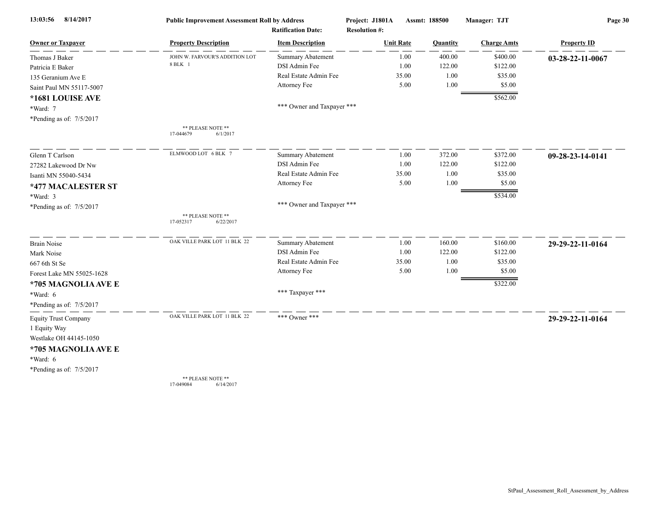| 13:03:56<br>8/14/2017       | <b>Public Improvement Assessment Roll by Address</b> |                                                      | Project: J1801A                          | Assmt: 188500 |          | Manager: TJT       | Page 30            |  |
|-----------------------------|------------------------------------------------------|------------------------------------------------------|------------------------------------------|---------------|----------|--------------------|--------------------|--|
| <b>Owner or Taxpayer</b>    | <b>Property Description</b>                          | <b>Ratification Date:</b><br><b>Item Description</b> | <b>Resolution #:</b><br><b>Unit Rate</b> |               | Quantity | <b>Charge Amts</b> | <b>Property ID</b> |  |
| Thomas J Baker              | JOHN W. FARVOUR'S ADDITION LOT                       | Summary Abatement                                    |                                          | 1.00          | 400.00   | \$400.00           |                    |  |
| Patricia E Baker            | 8 BLK 1                                              | DSI Admin Fee                                        |                                          | 1.00          | 122.00   | \$122.00           | 03-28-22-11-0067   |  |
| 135 Geranium Ave E          |                                                      | Real Estate Admin Fee                                |                                          | 35.00         | 1.00     | \$35.00            |                    |  |
|                             |                                                      | Attorney Fee                                         |                                          | 5.00          | 1.00     | \$5.00             |                    |  |
| Saint Paul MN 55117-5007    |                                                      |                                                      |                                          |               |          |                    |                    |  |
| *1681 LOUISE AVE            |                                                      | *** Owner and Taxpayer ***                           |                                          |               |          | \$562.00           |                    |  |
| *Ward: 7                    |                                                      |                                                      |                                          |               |          |                    |                    |  |
| *Pending as of: 7/5/2017    |                                                      |                                                      |                                          |               |          |                    |                    |  |
|                             | ** PLEASE NOTE **<br>17-044679<br>6/1/2017           |                                                      |                                          |               |          |                    |                    |  |
| Glenn T Carlson             | ELMWOOD LOT 6 BLK 7                                  | Summary Abatement                                    |                                          | 1.00          | 372.00   | \$372.00           | 09-28-23-14-0141   |  |
| 27282 Lakewood Dr Nw        |                                                      | DSI Admin Fee                                        |                                          | 1.00          | 122.00   | \$122.00           |                    |  |
| Isanti MN 55040-5434        |                                                      | Real Estate Admin Fee                                |                                          | 35.00         | 1.00     | \$35.00            |                    |  |
| *477 MACALESTER ST          |                                                      | Attorney Fee                                         |                                          | 5.00          | 1.00     | \$5.00             |                    |  |
| *Ward: 3                    |                                                      |                                                      |                                          |               |          | \$534.00           |                    |  |
| *Pending as of: 7/5/2017    |                                                      | *** Owner and Taxpayer ***                           |                                          |               |          |                    |                    |  |
|                             | ** PLEASE NOTE **<br>17-052317<br>6/22/2017          |                                                      |                                          |               |          |                    |                    |  |
| <b>Brain Noise</b>          | OAK VILLE PARK LOT 11 BLK 22                         | Summary Abatement                                    |                                          | 1.00          | 160.00   | \$160.00           | 29-29-22-11-0164   |  |
| Mark Noise                  |                                                      | DSI Admin Fee                                        |                                          | 1.00          | 122.00   | \$122.00           |                    |  |
| 667 6th St Se               |                                                      | Real Estate Admin Fee                                |                                          | 35.00         | 1.00     | \$35.00            |                    |  |
| Forest Lake MN 55025-1628   |                                                      | Attorney Fee                                         |                                          | 5.00          | 1.00     | \$5.00             |                    |  |
| *705 MAGNOLIA AVE E         |                                                      |                                                      |                                          |               |          | \$322.00           |                    |  |
| *Ward: 6                    |                                                      | *** Taxpayer ***                                     |                                          |               |          |                    |                    |  |
| *Pending as of: $7/5/2017$  |                                                      |                                                      |                                          |               |          |                    |                    |  |
|                             | OAK VILLE PARK LOT 11 BLK 22                         | *** Owner ***                                        |                                          |               |          |                    |                    |  |
| <b>Equity Trust Company</b> |                                                      |                                                      |                                          |               |          |                    | 29-29-22-11-0164   |  |
| 1 Equity Way                |                                                      |                                                      |                                          |               |          |                    |                    |  |
| Westlake OH 44145-1050      |                                                      |                                                      |                                          |               |          |                    |                    |  |
| *705 MAGNOLIA AVE E         |                                                      |                                                      |                                          |               |          |                    |                    |  |
| *Ward: 6                    |                                                      |                                                      |                                          |               |          |                    |                    |  |
| *Pending as of: 7/5/2017    |                                                      |                                                      |                                          |               |          |                    |                    |  |
|                             | ** PLEASE NOTE **<br>17-049084<br>6/14/2017          |                                                      |                                          |               |          |                    |                    |  |
|                             |                                                      |                                                      |                                          |               |          |                    |                    |  |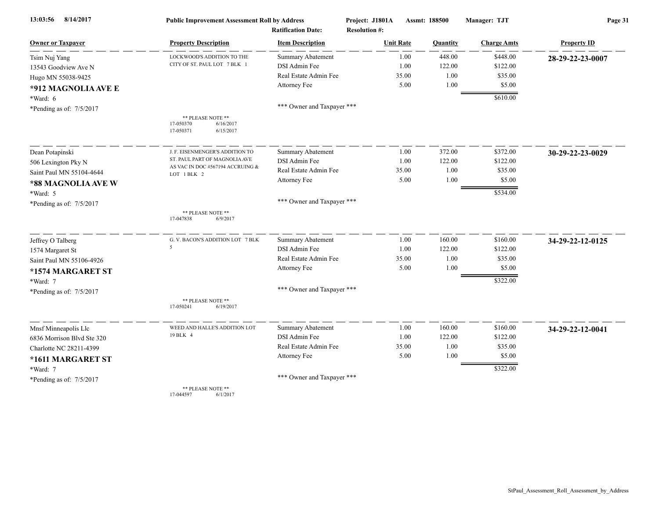| 8/14/2017<br>13:03:56      | <b>Public Improvement Assessment Roll by Address</b><br><b>Ratification Date:</b> |                            | Project: J1801A<br><b>Resolution #:</b> | Assmt: 188500 | Manager: TJT       | Page 31            |  |
|----------------------------|-----------------------------------------------------------------------------------|----------------------------|-----------------------------------------|---------------|--------------------|--------------------|--|
| <b>Owner or Taxpayer</b>   | <b>Property Description</b>                                                       | <b>Item Description</b>    | <b>Unit Rate</b>                        | Quantity      | <b>Charge Amts</b> | <b>Property ID</b> |  |
| Tsim Nuj Yang              | LOCKWOOD'S ADDITION TO THE                                                        | Summary Abatement          | 1.00                                    | 448.00        | \$448.00           | 28-29-22-23-0007   |  |
| 13543 Goodview Ave N       | CITY OF ST. PAUL LOT 7 BLK 1                                                      | DSI Admin Fee              | 1.00                                    | 122.00        | \$122.00           |                    |  |
| Hugo MN 55038-9425         |                                                                                   | Real Estate Admin Fee      | 35.00                                   | 1.00          | \$35.00            |                    |  |
| *912 MAGNOLIA AVE E        |                                                                                   | Attorney Fee               | 5.00                                    | 1.00          | \$5.00             |                    |  |
| *Ward: 6                   |                                                                                   |                            |                                         |               | \$610.00           |                    |  |
| *Pending as of: 7/5/2017   |                                                                                   | *** Owner and Taxpayer *** |                                         |               |                    |                    |  |
|                            | ** PLEASE NOTE **<br>17-050370<br>6/16/2017<br>17-050371<br>6/15/2017             |                            |                                         |               |                    |                    |  |
| Dean Potapinski            | J. F. EISENMENGER'S ADDITION TO                                                   | <b>Summary Abatement</b>   | 1.00                                    | 372.00        | \$372.00           | 30-29-22-23-0029   |  |
| 506 Lexington Pky N        | ST. PAUL PART OF MAGNOLIA AVE                                                     | DSI Admin Fee              | 1.00                                    | 122.00        | \$122.00           |                    |  |
| Saint Paul MN 55104-4644   | AS VAC IN DOC #567194 ACCRUING &<br>LOT 1 BLK 2                                   | Real Estate Admin Fee      | 35.00                                   | 1.00          | \$35.00            |                    |  |
| *88 MAGNOLIA AVE W         |                                                                                   | Attorney Fee               | 5.00                                    | 1.00          | \$5.00             |                    |  |
| *Ward: 5                   |                                                                                   |                            |                                         |               | \$534.00           |                    |  |
| *Pending as of: 7/5/2017   |                                                                                   | *** Owner and Taxpayer *** |                                         |               |                    |                    |  |
|                            | ** PLEASE NOTE **<br>17-047838<br>6/9/2017                                        |                            |                                         |               |                    |                    |  |
| Jeffrey O Talberg          | G. V. BACON'S ADDITION LOT 7 BLK                                                  | <b>Summary Abatement</b>   | 1.00                                    | 160.00        | \$160.00           | 34-29-22-12-0125   |  |
| 1574 Margaret St           | 5                                                                                 | DSI Admin Fee              | 1.00                                    | 122.00        | \$122.00           |                    |  |
| Saint Paul MN 55106-4926   |                                                                                   | Real Estate Admin Fee      | 35.00                                   | 1.00          | \$35.00            |                    |  |
| *1574 MARGARET ST          |                                                                                   | Attorney Fee               | 5.00                                    | 1.00          | \$5.00             |                    |  |
| *Ward: 7                   |                                                                                   |                            |                                         |               | \$322.00           |                    |  |
| *Pending as of: 7/5/2017   |                                                                                   | *** Owner and Taxpayer *** |                                         |               |                    |                    |  |
|                            | ** PLEASE NOTE **<br>17-050241<br>6/19/2017                                       |                            |                                         |               |                    |                    |  |
| Mnsf Minneapolis Llc       | WEED AND HALLE'S ADDITION LOT                                                     | <b>Summary Abatement</b>   | 1.00                                    | 160.00        | \$160.00           | 34-29-22-12-0041   |  |
| 6836 Morrison Blvd Ste 320 | 19 BLK 4                                                                          | DSI Admin Fee              | 1.00                                    | 122.00        | \$122.00           |                    |  |
| Charlotte NC 28211-4399    |                                                                                   | Real Estate Admin Fee      | 35.00                                   | 1.00          | \$35.00            |                    |  |
| *1611 MARGARET ST          |                                                                                   | Attorney Fee               | 5.00                                    | 1.00          | \$5.00             |                    |  |
| *Ward: 7                   |                                                                                   |                            |                                         |               | \$322.00           |                    |  |
| *Pending as of: $7/5/2017$ |                                                                                   | *** Owner and Taxpayer *** |                                         |               |                    |                    |  |
|                            | ** PLEASE NOTE **<br>17-044597<br>6/1/2017                                        |                            |                                         |               |                    |                    |  |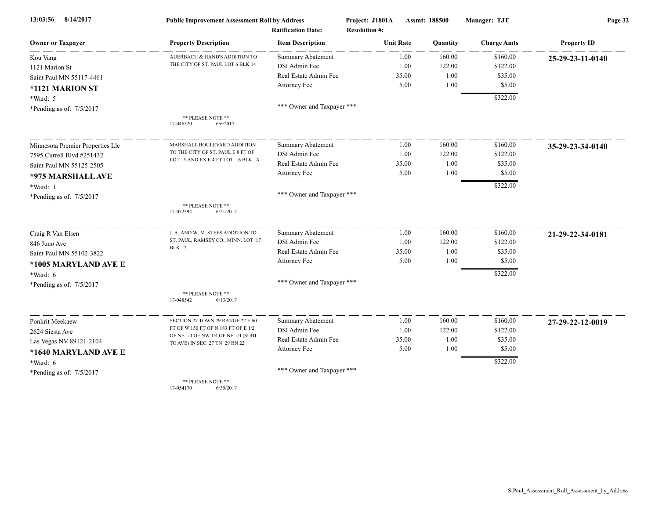| 8/14/2017<br>13:03:56            | <b>Public Improvement Assessment Roll by Address</b>                 |                            | Project: J1801A      | Assmt: 188500 | Manager: TJT       | Page 32            |  |
|----------------------------------|----------------------------------------------------------------------|----------------------------|----------------------|---------------|--------------------|--------------------|--|
|                                  |                                                                      | <b>Ratification Date:</b>  | <b>Resolution #:</b> |               |                    |                    |  |
| <b>Owner or Taxpayer</b>         | <b>Property Description</b>                                          | <b>Item Description</b>    | <b>Unit Rate</b>     | Quantity      | <b>Charge Amts</b> | <b>Property ID</b> |  |
| Kou Vang                         | AUERBACH & HAND'S ADDITION TO                                        | <b>Summary Abatement</b>   | 1.00                 | 160.00        | \$160.00           | 25-29-23-11-0140   |  |
| 1121 Marion St                   | THE CITY OF ST. PAUL LOT 6 BLK 14                                    | DSI Admin Fee              | 1.00                 | 122.00        | \$122.00           |                    |  |
| Saint Paul MN 55117-4461         |                                                                      | Real Estate Admin Fee      | 35.00                | 1.00          | \$35.00            |                    |  |
| *1121 MARION ST                  |                                                                      | Attorney Fee               | 5.00                 | 1.00          | \$5.00             |                    |  |
| *Ward: 5                         |                                                                      |                            |                      |               | \$322.00           |                    |  |
| *Pending as of: 7/5/2017         |                                                                      | *** Owner and Taxpayer *** |                      |               |                    |                    |  |
|                                  | ** PLEASE NOTE **<br>17-046520<br>6/6/2017                           |                            |                      |               |                    |                    |  |
| Minnesota Premier Properties Llc | MARSHALL BOULEVARD ADDITION                                          | Summary Abatement          | 1.00                 | 160.00        | \$160.00           | 35-29-23-34-0140   |  |
| 7595 Currell Blvd #251432        | TO THE CITY OF ST. PAUL E 8 FT OF                                    | DSI Admin Fee              | 1.00                 | 122.00        | \$122.00           |                    |  |
| Saint Paul MN 55125-2505         | LOT 15 AND EX E 4 FT LOT 16 BLK A                                    | Real Estate Admin Fee      | 35.00                | 1.00          | \$35.00            |                    |  |
| *975 MARSHALL AVE                |                                                                      | Attorney Fee               | 5.00                 | 1.00          | \$5.00             |                    |  |
| *Ward: 1                         |                                                                      |                            |                      |               | \$322.00           |                    |  |
| *Pending as of: $7/5/2017$       |                                                                      | *** Owner and Taxpayer *** |                      |               |                    |                    |  |
|                                  | ** PLEASE NOTE **<br>17-052394<br>6/21/2017                          |                            |                      |               |                    |                    |  |
| Craig R Van Elsen                | J. A. AND W. M. STEES ADDITION TO                                    | Summary Abatement          | 1.00                 | 160.00        | \$160.00           | 21-29-22-34-0181   |  |
| 846 Juno Ave                     | ST. PAUL, RAMSEY CO., MINN. LOT 17                                   | DSI Admin Fee              | 1.00                 | 122.00        | \$122.00           |                    |  |
| Saint Paul MN 55102-3822         | BLK 7                                                                | Real Estate Admin Fee      | 35.00                | 1.00          | \$35.00            |                    |  |
| *1005 MARYLAND AVE E             |                                                                      | Attorney Fee               | 5.00                 | 1.00          | \$5.00             |                    |  |
| $*Ward: 6$                       |                                                                      |                            |                      |               | \$322.00           |                    |  |
| *Pending as of: 7/5/2017         |                                                                      | *** Owner and Taxpayer *** |                      |               |                    |                    |  |
|                                  | ** PLEASE NOTE **<br>17-048542<br>6/13/2017                          |                            |                      |               |                    |                    |  |
| Ponkrit Meekaew                  | SECTION 27 TOWN 29 RANGE 22 E 60                                     | <b>Summary Abatement</b>   | 1.00                 | 160.00        | \$160.00           | 27-29-22-12-0019   |  |
| 2624 Siesta Ave                  | FT OF W 150 FT OF N 183 FT OF E 1/2                                  | DSI Admin Fee              | 1.00                 | 122.00        | \$122.00           |                    |  |
| Las Vegas NV 89121-2104          | OF NE 1/4 OF NW 1/4 OF NE 1/4 (SUBJ<br>TO AVE) IN SEC 27 TN 29 RN 22 | Real Estate Admin Fee      | 35.00                | 1.00          | \$35.00            |                    |  |
| *1640 MARYLAND AVE E             |                                                                      | Attorney Fee               | 5.00                 | 1.00          | \$5.00             |                    |  |
| *Ward: 6                         |                                                                      |                            |                      |               | \$322.00           |                    |  |
| *Pending as of: $7/5/2017$       |                                                                      | *** Owner and Taxpayer *** |                      |               |                    |                    |  |
|                                  | ** PLEASE NOTE **                                                    |                            |                      |               |                    |                    |  |

17-054170 6/30/2017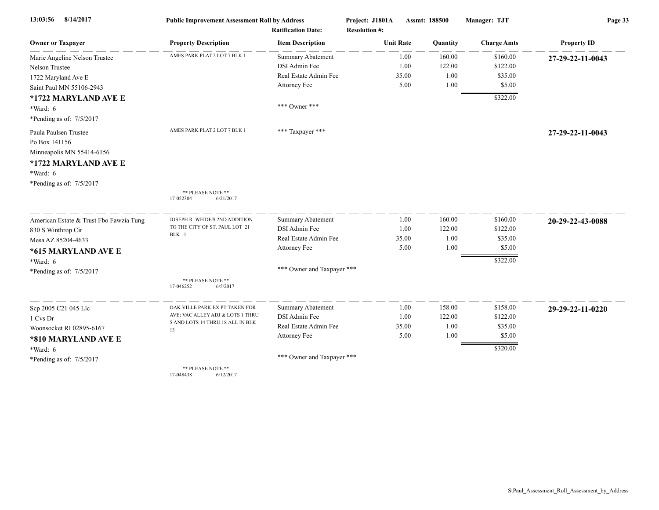| 8/14/2017<br>13:03:56                   | <b>Public Improvement Assessment Roll by Address</b> |                            | Project: J1801A      | Assmt: 188500 | Manager: TJT       | Page 33            |  |
|-----------------------------------------|------------------------------------------------------|----------------------------|----------------------|---------------|--------------------|--------------------|--|
|                                         |                                                      | <b>Ratification Date:</b>  | <b>Resolution #:</b> |               |                    |                    |  |
| <b>Owner or Taxpayer</b>                | <b>Property Description</b>                          | <b>Item Description</b>    | <b>Unit Rate</b>     | Quantity      | <b>Charge Amts</b> | <b>Property ID</b> |  |
| Marie Angeline Nelson Trustee           | AMES PARK PLAT 2 LOT 7 BLK 1                         | <b>Summary Abatement</b>   | 1.00                 | 160.00        | \$160.00           | 27-29-22-11-0043   |  |
| Nelson Trustee                          |                                                      | DSI Admin Fee              | 1.00                 | 122.00        | \$122.00           |                    |  |
| 1722 Maryland Ave E                     |                                                      | Real Estate Admin Fee      | 35.00                | 1.00          | \$35.00            |                    |  |
| Saint Paul MN 55106-2943                |                                                      | Attorney Fee               | 5.00                 | 1.00          | \$5.00             |                    |  |
| *1722 MARYLAND AVE E                    |                                                      |                            |                      |               | \$322.00           |                    |  |
| *Ward: 6                                |                                                      | *** Owner ***              |                      |               |                    |                    |  |
| *Pending as of: 7/5/2017                |                                                      |                            |                      |               |                    |                    |  |
| Paula Paulsen Trustee                   | AMES PARK PLAT 2 LOT 7 BLK 1                         | *** Taxpayer ***           |                      |               |                    | 27-29-22-11-0043   |  |
| Po Box 141156                           |                                                      |                            |                      |               |                    |                    |  |
| Minneapolis MN 55414-6156               |                                                      |                            |                      |               |                    |                    |  |
| *1722 MARYLAND AVE E                    |                                                      |                            |                      |               |                    |                    |  |
| *Ward: 6                                |                                                      |                            |                      |               |                    |                    |  |
| *Pending as of: 7/5/2017                |                                                      |                            |                      |               |                    |                    |  |
|                                         | ** PLEASE NOTE **                                    |                            |                      |               |                    |                    |  |
|                                         | 17-052304<br>6/21/2017                               |                            |                      |               |                    |                    |  |
| American Estate & Trust Fbo Fawzia Tung | JOSEPH R. WEIDE'S 2ND ADDITION                       | <b>Summary Abatement</b>   | 1.00                 | 160.00        | \$160.00           | 20-29-22-43-0088   |  |
| 830 S Winthrop Cir                      | TO THE CITY OF ST. PAUL LOT 21                       | DSI Admin Fee              | 1.00                 | 122.00        | \$122.00           |                    |  |
| Mesa AZ 85204-4633                      | BLK 1                                                | Real Estate Admin Fee      | 35.00                | 1.00          | \$35.00            |                    |  |
| *615 MARYLAND AVE E                     |                                                      | Attorney Fee               | 5.00                 | 1.00          | \$5.00             |                    |  |
| *Ward: 6                                |                                                      |                            |                      |               | \$322.00           |                    |  |
| *Pending as of: 7/5/2017                |                                                      | *** Owner and Taxpayer *** |                      |               |                    |                    |  |
|                                         | ** PLEASE NOTE **                                    |                            |                      |               |                    |                    |  |
|                                         | 17-046252<br>6/5/2017                                |                            |                      |               |                    |                    |  |
| Sep 2005 C21 045 Llc                    | OAK VILLE PARK EX PT TAKEN FOR                       | <b>Summary Abatement</b>   | 1.00                 | 158.00        | \$158.00           | 29-29-22-11-0220   |  |
| 1 Cvs Dr                                | AVE; VAC ALLEY ADJ & LOTS 1 THRU                     | DSI Admin Fee              | 1.00                 | 122.00        | \$122.00           |                    |  |
| Woonsocket RI 02895-6167                | 5 AND LOTS 14 THRU 18 ALL IN BLK                     | Real Estate Admin Fee      | 35.00                | 1.00          | \$35.00            |                    |  |
| *810 MARYLAND AVE E                     | 13                                                   | Attorney Fee               | 5.00                 | 1.00          | \$5.00             |                    |  |
| *Ward: 6                                |                                                      |                            |                      |               | \$320.00           |                    |  |
|                                         |                                                      | *** Owner and Taxpayer *** |                      |               |                    |                    |  |
| *Pending as of: 7/5/2017                | ** PLEASE NOTE **                                    |                            |                      |               |                    |                    |  |
|                                         | 17-048438<br>6/12/2017                               |                            |                      |               |                    |                    |  |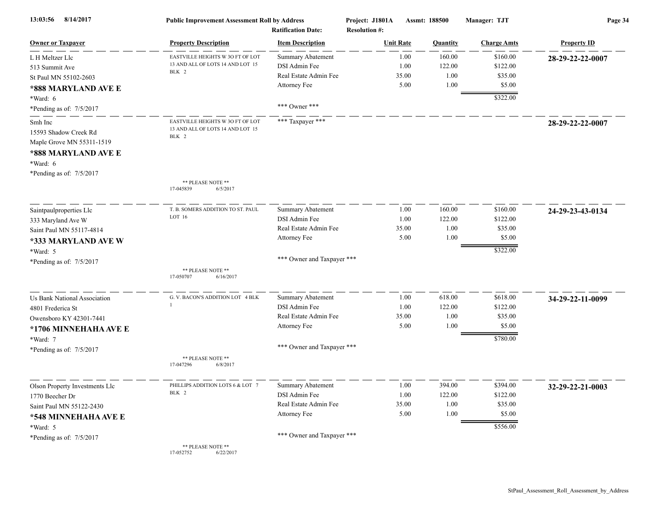| 8/14/2017<br>13:03:56                                                                            | <b>Public Improvement Assessment Roll by Address</b><br><b>Ratification Date:</b> |                                           | Project: J1801A<br>Assmt: 188500<br><b>Resolution #:</b> |              | Manager: TJT     | Page 34              |                    |
|--------------------------------------------------------------------------------------------------|-----------------------------------------------------------------------------------|-------------------------------------------|----------------------------------------------------------|--------------|------------------|----------------------|--------------------|
| <b>Owner or Taxpayer</b>                                                                         | <b>Property Description</b>                                                       | <b>Item Description</b>                   | <b>Unit Rate</b>                                         |              | Quantity         | <b>Charge Amts</b>   | <b>Property ID</b> |
| L H Meltzer Llc<br>513 Summit Ave                                                                | EASTVILLE HEIGHTS W 3O FT OF LOT<br>13 AND ALL OF LOTS 14 AND LOT 15<br>BLK 2     | <b>Summary Abatement</b><br>DSI Admin Fee |                                                          | 1.00<br>1.00 | 160.00<br>122.00 | \$160.00<br>\$122.00 | 28-29-22-22-0007   |
| St Paul MN 55102-2603                                                                            |                                                                                   | Real Estate Admin Fee                     |                                                          | 35.00        | 1.00             | \$35.00              |                    |
| *888 MARYLAND AVE E                                                                              |                                                                                   | Attorney Fee                              |                                                          | 5.00         | 1.00             | \$5.00               |                    |
| *Ward: 6<br>*Pending as of: 7/5/2017                                                             |                                                                                   | *** Owner ***                             |                                                          |              |                  | \$322.00             |                    |
| Smh Inc<br>15593 Shadow Creek Rd<br>Maple Grove MN 55311-1519<br>*888 MARYLAND AVE E<br>*Ward: 6 | EASTVILLE HEIGHTS W 3O FT OF LOT<br>13 AND ALL OF LOTS 14 AND LOT 15<br>BLK 2     | *** Taxpayer ***                          |                                                          |              |                  |                      | 28-29-22-22-0007   |
| *Pending as of: 7/5/2017                                                                         | ** PLEASE NOTE **<br>17-045839<br>6/5/2017                                        |                                           |                                                          |              |                  |                      |                    |
| Saintpaulproperties Llc                                                                          | T. B. SOMERS ADDITION TO ST. PAUL                                                 | Summary Abatement                         |                                                          | 1.00         | 160.00           | \$160.00             | 24-29-23-43-0134   |
| 333 Maryland Ave W                                                                               | LOT 16                                                                            | DSI Admin Fee                             |                                                          | 1.00         | 122.00           | \$122.00             |                    |
| Saint Paul MN 55117-4814                                                                         |                                                                                   | Real Estate Admin Fee                     |                                                          | 35.00        | 1.00             | \$35.00              |                    |
| *333 MARYLAND AVE W                                                                              |                                                                                   | Attorney Fee                              |                                                          | 5.00         | 1.00             | \$5.00               |                    |
| *Ward: 5                                                                                         |                                                                                   |                                           |                                                          |              |                  | \$322.00             |                    |
| *Pending as of: 7/5/2017                                                                         |                                                                                   | *** Owner and Taxpayer ***                |                                                          |              |                  |                      |                    |
|                                                                                                  | ** PLEASE NOTE **<br>6/16/2017<br>17-050707                                       |                                           |                                                          |              |                  |                      |                    |
| <b>Us Bank National Association</b>                                                              | G. V. BACON'S ADDITION LOT 4 BLK                                                  | Summary Abatement                         |                                                          | 1.00         | 618.00           | \$618.00             | 34-29-22-11-0099   |
| 4801 Frederica St                                                                                | -1                                                                                | DSI Admin Fee                             |                                                          | 1.00         | 122.00           | \$122.00             |                    |
| Owensboro KY 42301-7441                                                                          |                                                                                   | Real Estate Admin Fee                     |                                                          | 35.00        | 1.00             | \$35.00              |                    |
| *1706 MINNEHAHA AVE E                                                                            |                                                                                   | Attorney Fee                              |                                                          | 5.00         | 1.00             | \$5.00               |                    |
| *Ward: 7                                                                                         |                                                                                   |                                           |                                                          |              |                  | \$780.00             |                    |
| *Pending as of: 7/5/2017                                                                         |                                                                                   | *** Owner and Taxpayer ***                |                                                          |              |                  |                      |                    |
|                                                                                                  | ** PLEASE NOTE **<br>17-047296<br>6/8/2017                                        |                                           |                                                          |              |                  |                      |                    |
| Olson Property Investments Llc                                                                   | PHILLIPS ADDITION LOTS 6 & LOT 7                                                  | Summary Abatement                         |                                                          | 1.00         | 394.00           | \$394.00             | 32-29-22-21-0003   |
| 1770 Beecher Dr                                                                                  | BLK 2                                                                             | DSI Admin Fee                             |                                                          | 1.00         | 122.00           | \$122.00             |                    |
| Saint Paul MN 55122-2430                                                                         |                                                                                   | Real Estate Admin Fee                     |                                                          | 35.00        | 1.00             | \$35.00              |                    |
| *548 MINNEHAHA AVE E                                                                             |                                                                                   | Attorney Fee                              |                                                          | 5.00         | 1.00             | \$5.00               |                    |
| *Ward: 5                                                                                         |                                                                                   |                                           |                                                          |              |                  | \$556.00             |                    |
| *Pending as of: 7/5/2017                                                                         |                                                                                   | *** Owner and Taxpayer ***                |                                                          |              |                  |                      |                    |
|                                                                                                  | ** PLEASE NOTE **<br>17-052752<br>6/22/2017                                       |                                           |                                                          |              |                  |                      |                    |

17-052752 6/22/2017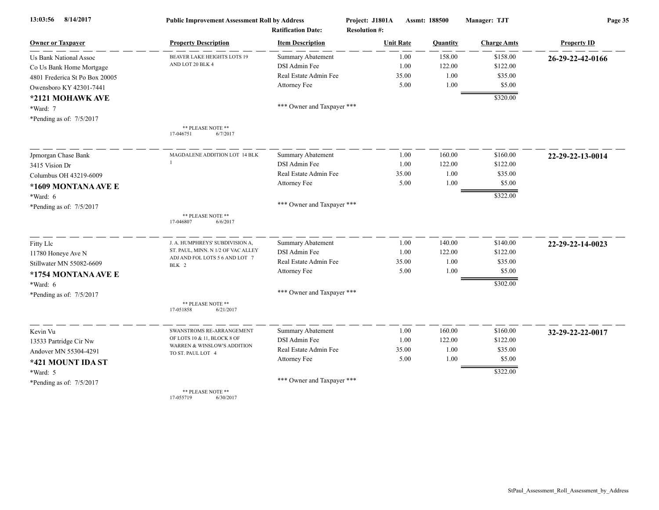| 13:03:56<br>8/14/2017          | <b>Public Improvement Assessment Roll by Address</b> | <b>Ratification Date:</b>  | Project: J1801A<br><b>Resolution #:</b> | Assmt: 188500 | Manager: TJT       | Page 35            |  |
|--------------------------------|------------------------------------------------------|----------------------------|-----------------------------------------|---------------|--------------------|--------------------|--|
| <b>Owner or Taxpayer</b>       | <b>Property Description</b>                          | <b>Item Description</b>    | <b>Unit Rate</b>                        | Quantity      | <b>Charge Amts</b> | <b>Property ID</b> |  |
| <b>Us Bank National Assoc</b>  | <b>BEAVER LAKE HEIGHTS LOTS 19</b>                   | <b>Summary Abatement</b>   | 1.00                                    | 158.00        | \$158.00           | 26-29-22-42-0166   |  |
| Co Us Bank Home Mortgage       | AND LOT 20 BLK 4                                     | DSI Admin Fee              | 1.00                                    | 122.00        | \$122.00           |                    |  |
| 4801 Frederica St Po Box 20005 |                                                      | Real Estate Admin Fee      | 35.00                                   | $1.00\,$      | \$35.00            |                    |  |
| Owensboro KY 42301-7441        |                                                      | Attorney Fee               | 5.00                                    | 1.00          | \$5.00             |                    |  |
| *2121 MOHAWK AVE               |                                                      |                            |                                         |               | \$320.00           |                    |  |
| *Ward: 7                       |                                                      | *** Owner and Taxpayer *** |                                         |               |                    |                    |  |
| *Pending as of: 7/5/2017       |                                                      |                            |                                         |               |                    |                    |  |
|                                | ** PLEASE NOTE **<br>17-046751<br>6/7/2017           |                            |                                         |               |                    |                    |  |
| Jpmorgan Chase Bank            | MAGDALENE ADDITION LOT 14 BLK                        | <b>Summary Abatement</b>   | 1.00                                    | 160.00        | \$160.00           | 22-29-22-13-0014   |  |
| 3415 Vision Dr                 |                                                      | DSI Admin Fee              | 1.00                                    | 122.00        | \$122.00           |                    |  |
| Columbus OH 43219-6009         |                                                      | Real Estate Admin Fee      | 35.00                                   | 1.00          | \$35.00            |                    |  |
| *1609 MONTANA AVE E            |                                                      | Attorney Fee               | 5.00                                    | 1.00          | \$5.00             |                    |  |
| *Ward: 6                       |                                                      |                            |                                         |               | \$322.00           |                    |  |
| *Pending as of: 7/5/2017       |                                                      | *** Owner and Taxpayer *** |                                         |               |                    |                    |  |
|                                | ** PLEASE NOTE **<br>17-046807<br>6/6/2017           |                            |                                         |               |                    |                    |  |
| Fitty Llc                      | J. A. HUMPHREYS' SUBDIVISION A,                      | Summary Abatement          | 1.00                                    | 140.00        | \$140.00           | 22-29-22-14-0023   |  |
| 11780 Honeye Ave N             | ST. PAUL, MINN. N 1/2 OF VAC ALLEY                   | DSI Admin Fee              | 1.00                                    | 122.00        | \$122.00           |                    |  |
| Stillwater MN 55082-6609       | ADJ AND FOL LOTS 5 6 AND LOT 7<br>BLK 2              | Real Estate Admin Fee      | 35.00                                   | 1.00          | \$35.00            |                    |  |
| *1754 MONTANA AVE E            |                                                      | Attorney Fee               | 5.00                                    | 1.00          | \$5.00             |                    |  |
| *Ward: 6                       |                                                      |                            |                                         |               | \$302.00           |                    |  |
| *Pending as of: 7/5/2017       |                                                      | *** Owner and Taxpayer *** |                                         |               |                    |                    |  |
|                                | ** PLEASE NOTE **<br>17-051858<br>6/21/2017          |                            |                                         |               |                    |                    |  |
| Kevin Vu                       | SWANSTROMS RE-ARRANGEMENT                            | Summary Abatement          | 1.00                                    | 160.00        | \$160.00           | 32-29-22-22-0017   |  |
| 13533 Partridge Cir Nw         | OF LOTS 10 & 11, BLOCK 8 OF                          | DSI Admin Fee              | 1.00                                    | 122.00        | \$122.00           |                    |  |
| Andover MN 55304-4291          | WARREN & WINSLOW'S ADDITION<br>TO ST. PAUL LOT 4     | Real Estate Admin Fee      | 35.00                                   | 1.00          | \$35.00            |                    |  |
| *421 MOUNT IDA ST              |                                                      | Attorney Fee               | 5.00                                    | 1.00          | \$5.00             |                    |  |
| *Ward: 5                       |                                                      |                            |                                         |               | \$322.00           |                    |  |
| *Pending as of: 7/5/2017       |                                                      | *** Owner and Taxpayer *** |                                         |               |                    |                    |  |
|                                | ** PLEASE NOTE **<br>17-055719<br>6/30/2017          |                            |                                         |               |                    |                    |  |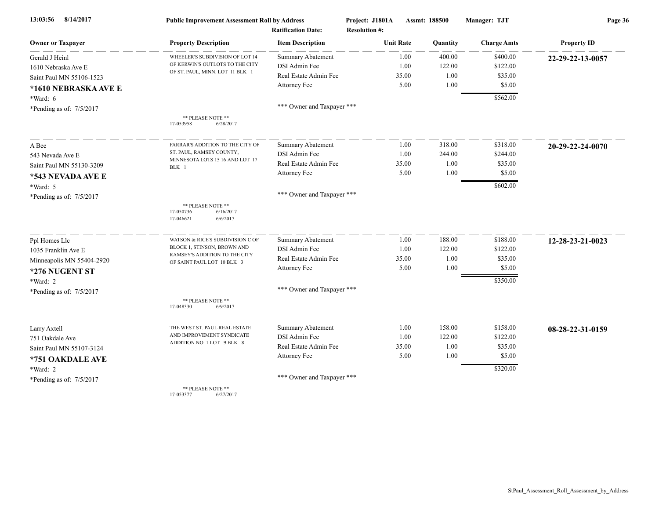| 8/14/2017<br>13:03:56                                             | <b>Public Improvement Assessment Roll by Address</b>                 |                            | Project: J1801A      | Assmt: 188500 |          | Manager: TJT       | Page 36            |  |
|-------------------------------------------------------------------|----------------------------------------------------------------------|----------------------------|----------------------|---------------|----------|--------------------|--------------------|--|
|                                                                   |                                                                      | <b>Ratification Date:</b>  | <b>Resolution #:</b> |               |          |                    |                    |  |
| <b>Owner or Taxpayer</b>                                          | <b>Property Description</b>                                          | <b>Item Description</b>    | <b>Unit Rate</b>     |               | Quantity | <b>Charge Amts</b> | <b>Property ID</b> |  |
| Gerald J Heinl                                                    | WHEELER'S SUBDIVISION OF LOT 14                                      | <b>Summary Abatement</b>   |                      | 1.00          | 400.00   | \$400.00           | 22-29-22-13-0057   |  |
| 1610 Nebraska Ave E                                               | OF KERWIN'S OUTLOTS TO THE CITY<br>OF ST. PAUL, MINN. LOT 11 BLK 1   | DSI Admin Fee              |                      | 1.00          | 122.00   | \$122.00           |                    |  |
| Saint Paul MN 55106-1523                                          |                                                                      | Real Estate Admin Fee      |                      | 35.00         | 1.00     | \$35.00            |                    |  |
| *1610 NEBRASKA AVE E                                              |                                                                      | Attorney Fee               |                      | 5.00          | 1.00     | \$5.00             |                    |  |
| *Ward: 6                                                          |                                                                      |                            |                      |               |          | \$562.00           |                    |  |
| *Pending as of: 7/5/2017                                          |                                                                      | *** Owner and Taxpayer *** |                      |               |          |                    |                    |  |
|                                                                   | ** PLEASE NOTE **<br>17-053958<br>6/28/2017                          |                            |                      |               |          |                    |                    |  |
| A Bee                                                             | FARRAR'S ADDITION TO THE CITY OF                                     | Summary Abatement          |                      | 1.00          | 318.00   | \$318.00           | 20-29-22-24-0070   |  |
| 543 Nevada Ave E<br>Saint Paul MN 55130-3209<br>*543 NEVADA AVE E | ST. PAUL, RAMSEY COUNTY,                                             | DSI Admin Fee              |                      | 1.00          | 244.00   | \$244.00           |                    |  |
|                                                                   | MINNESOTA LOTS 15 16 AND LOT 17<br>BLK 1                             | Real Estate Admin Fee      |                      | 35.00         | 1.00     | \$35.00            |                    |  |
|                                                                   |                                                                      | Attorney Fee               |                      | 5.00          | 1.00     | \$5.00             |                    |  |
| *Ward: 5                                                          |                                                                      |                            |                      |               |          | \$602.00           |                    |  |
| *Pending as of: 7/5/2017                                          |                                                                      | *** Owner and Taxpayer *** |                      |               |          |                    |                    |  |
|                                                                   | ** PLEASE NOTE **<br>17-050736<br>6/16/2017<br>17-046621<br>6/6/2017 |                            |                      |               |          |                    |                    |  |
| Ppl Homes Llc                                                     | WATSON & RICE'S SUBDIVISION C OF                                     | Summary Abatement          |                      | 1.00          | 188.00   | \$188.00           | 12-28-23-21-0023   |  |
| 1035 Franklin Ave E                                               | BLOCK 1, STINSON, BROWN AND                                          | DSI Admin Fee              |                      | 1.00          | 122.00   | \$122.00           |                    |  |
| Minneapolis MN 55404-2920                                         | RAMSEY'S ADDITION TO THE CITY<br>OF SAINT PAUL LOT 10 BLK 3          | Real Estate Admin Fee      |                      | 35.00         | 1.00     | \$35.00            |                    |  |
| *276 NUGENT ST                                                    |                                                                      | Attorney Fee               |                      | 5.00          | 1.00     | \$5.00             |                    |  |
| *Ward: 2                                                          |                                                                      |                            |                      |               |          | \$350.00           |                    |  |
| *Pending as of: 7/5/2017                                          |                                                                      | *** Owner and Taxpayer *** |                      |               |          |                    |                    |  |
|                                                                   | ** PLEASE NOTE **<br>17-048330<br>6/9/2017                           |                            |                      |               |          |                    |                    |  |
| Larry Axtell                                                      | THE WEST ST. PAUL REAL ESTATE                                        | Summary Abatement          |                      | 1.00          | 158.00   | \$158.00           | 08-28-22-31-0159   |  |
| 751 Oakdale Ave                                                   | AND IMPROVEMENT SYNDICATE                                            | DSI Admin Fee              |                      | 1.00          | 122.00   | \$122.00           |                    |  |
| Saint Paul MN 55107-3124                                          | ADDITION NO. 1 LOT 9 BLK 8                                           | Real Estate Admin Fee      |                      | 35.00         | 1.00     | \$35.00            |                    |  |
| *751 OAKDALE AVE                                                  |                                                                      | Attorney Fee               |                      | 5.00          | 1.00     | \$5.00             |                    |  |
| *Ward: 2                                                          |                                                                      |                            |                      |               |          | \$320.00           |                    |  |
| *Pending as of: $7/5/2017$                                        |                                                                      | *** Owner and Taxpayer *** |                      |               |          |                    |                    |  |
|                                                                   | ** PLEASE NOTE **                                                    |                            |                      |               |          |                    |                    |  |

17-053377 6/27/2017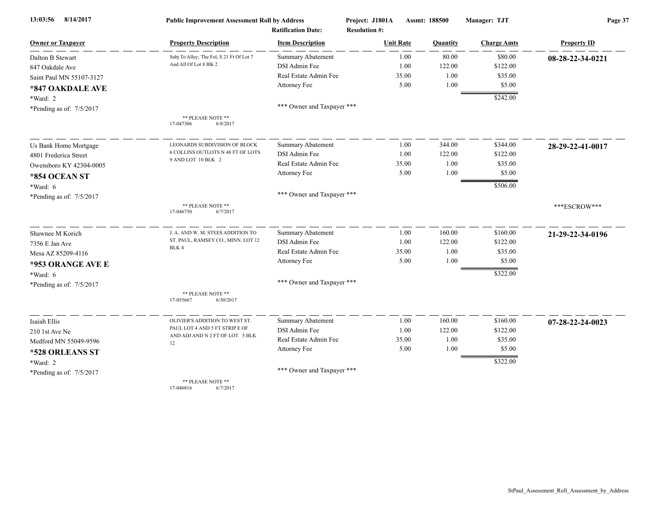| 8/14/2017<br>13:03:56    | <b>Public Improvement Assessment Roll by Address</b>               |                                                      | Project: J1801A      | Assmt: 188500 | Manager: TJT       | Page 37            |  |
|--------------------------|--------------------------------------------------------------------|------------------------------------------------------|----------------------|---------------|--------------------|--------------------|--|
| <b>Owner or Taxpayer</b> |                                                                    | <b>Ratification Date:</b><br><b>Item Description</b> | <b>Resolution #:</b> |               |                    |                    |  |
|                          | <b>Property Description</b>                                        |                                                      | <b>Unit Rate</b>     | Quantity      | <b>Charge Amts</b> | <b>Property ID</b> |  |
| Dalton B Stewart         | Subj To Alley; The Fol, S 21 Ft Of Lot 7<br>And All Of Lot 8 Blk 2 | <b>Summary Abatement</b>                             | 1.00                 | 80.00         | \$80.00            | 08-28-22-34-0221   |  |
| 847 Oakdale Ave          |                                                                    | DSI Admin Fee<br>Real Estate Admin Fee               | 1.00                 | 122.00        | \$122.00           |                    |  |
| Saint Paul MN 55107-3127 |                                                                    |                                                      | 35.00<br>5.00        | 1.00<br>1.00  | \$35.00<br>\$5.00  |                    |  |
| *847 OAKDALE AVE         |                                                                    | Attorney Fee                                         |                      |               |                    |                    |  |
| *Ward: 2                 |                                                                    |                                                      |                      |               | \$242.00           |                    |  |
| *Pending as of: 7/5/2017 |                                                                    | *** Owner and Taxpayer ***                           |                      |               |                    |                    |  |
|                          | ** PLEASE NOTE **<br>17-047306<br>6/8/2017                         |                                                      |                      |               |                    |                    |  |
| Us Bank Home Mortgage    | LEONARDS SUBDIVISION OF BLOCK                                      | Summary Abatement                                    | 1.00                 | 344.00        | \$344.00           | 28-29-22-41-0017   |  |
| 4801 Frederica Street    | 6 COLLINS OUTLOTS N 48 FT OF LOTS                                  | DSI Admin Fee                                        | 1.00                 | 122.00        | \$122.00           |                    |  |
| Owensboro KY 42304-0005  | 9 AND LOT 10 BLK 2                                                 | Real Estate Admin Fee                                | 35.00                | 1.00          | \$35.00            |                    |  |
| *854 OCEAN ST            |                                                                    | Attorney Fee                                         | 5.00                 | 1.00          | \$5.00             |                    |  |
| *Ward: 6                 |                                                                    |                                                      |                      |               | \$506.00           |                    |  |
| *Pending as of: 7/5/2017 |                                                                    | *** Owner and Taxpayer ***                           |                      |               |                    |                    |  |
|                          | ** PLEASE NOTE **<br>17-046750<br>6/7/2017                         |                                                      |                      |               |                    | ***ESCROW***       |  |
| Shawnee M Korich         | J. A. AND W. M. STEES ADDITION TO                                  | Summary Abatement                                    | 1.00                 | 160.00        | \$160.00           | 21-29-22-34-0196   |  |
| 7356 E Jan Ave           | ST. PAUL, RAMSEY CO., MINN. LOT 12<br>BLK 4                        | DSI Admin Fee                                        | 1.00                 | 122.00        | \$122.00           |                    |  |
| Mesa AZ 85209-4116       |                                                                    | Real Estate Admin Fee                                | 35.00                | 1.00          | \$35.00            |                    |  |
| *953 ORANGE AVE E        |                                                                    | Attorney Fee                                         | 5.00                 | 1.00          | \$5.00             |                    |  |
| $*Ward: 6$               |                                                                    |                                                      |                      |               | \$322.00           |                    |  |
| *Pending as of: 7/5/2017 |                                                                    | *** Owner and Taxpayer ***                           |                      |               |                    |                    |  |
|                          | ** PLEASE NOTE **<br>17-055667<br>6/30/2017                        |                                                      |                      |               |                    |                    |  |
| Isaiah Ellis             | OLIVIER'S ADDITION TO WEST ST.                                     | <b>Summary Abatement</b>                             | 1.00                 | 160.00        | \$160.00           | 07-28-22-24-0023   |  |
| 210 1st Ave Ne           | PAUL LOT 4 AND 5 FT STRIP E OF                                     | DSI Admin Fee                                        | 1.00                 | 122.00        | \$122.00           |                    |  |
| Medford MN 55049-9596    | AND ADJ AND N 2 FT OF LOT 5 BLK<br>12                              | Real Estate Admin Fee                                | 35.00                | 1.00          | \$35.00            |                    |  |
| *528 ORLEANS ST          |                                                                    | Attorney Fee                                         | 5.00                 | 1.00          | \$5.00             |                    |  |
| *Ward: 2                 |                                                                    |                                                      |                      |               | \$322.00           |                    |  |
| *Pending as of: 7/5/2017 |                                                                    | *** Owner and Taxpayer ***                           |                      |               |                    |                    |  |
|                          | ** PLEASE NOTE **                                                  |                                                      |                      |               |                    |                    |  |

17-046816 6/7/2017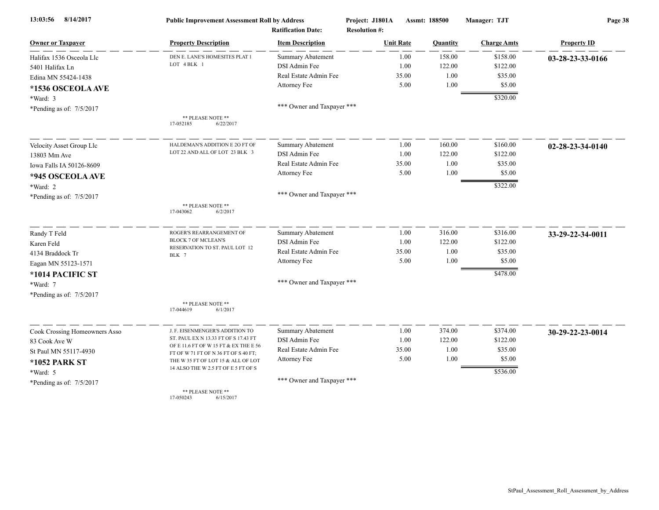| 8/14/2017<br>13:03:56                | <b>Public Improvement Assessment Roll by Address</b>                          |                                                      | Project: J1801A                          | Assmt: 188500 |          | Manager: TJT       | Page 38            |  |
|--------------------------------------|-------------------------------------------------------------------------------|------------------------------------------------------|------------------------------------------|---------------|----------|--------------------|--------------------|--|
| <b>Owner or Taxpayer</b>             | <b>Property Description</b>                                                   | <b>Ratification Date:</b><br><b>Item Description</b> | <b>Resolution #:</b><br><b>Unit Rate</b> |               | Quantity | <b>Charge Amts</b> | <b>Property ID</b> |  |
| Halifax 1536 Osceola Llc             | DEN E. LANE'S HOMESITES PLAT 1                                                | <b>Summary Abatement</b>                             |                                          | 1.00          | 158.00   | \$158.00           | 03-28-23-33-0166   |  |
| 5401 Halifax Ln                      | LOT 4 BLK 1                                                                   | DSI Admin Fee                                        |                                          | 1.00          | 122.00   | \$122.00           |                    |  |
| Edina MN 55424-1438                  |                                                                               | Real Estate Admin Fee                                |                                          | 35.00         | 1.00     | \$35.00            |                    |  |
| *1536 OSCEOLA AVE                    |                                                                               | Attorney Fee                                         |                                          | 5.00          | 1.00     | \$5.00             |                    |  |
|                                      |                                                                               |                                                      |                                          |               |          | \$320.00           |                    |  |
| *Ward: 3                             |                                                                               | *** Owner and Taxpayer ***                           |                                          |               |          |                    |                    |  |
| *Pending as of: $7/5/2017$           | ** PLEASE NOTE **<br>17-052185<br>6/22/2017                                   |                                                      |                                          |               |          |                    |                    |  |
| Velocity Asset Group Llc             | HALDEMAN'S ADDITION E 20 FT OF                                                | <b>Summary Abatement</b>                             |                                          | 1.00          | 160.00   | \$160.00           | 02-28-23-34-0140   |  |
| 13803 Mm Ave                         | LOT 22 AND ALL OF LOT 23 BLK 3                                                | DSI Admin Fee                                        |                                          | 1.00          | 122.00   | \$122.00           |                    |  |
| Iowa Falls IA 50126-8609             |                                                                               | Real Estate Admin Fee                                |                                          | 35.00         | 1.00     | \$35.00            |                    |  |
| *945 OSCEOLA AVE                     |                                                                               | Attorney Fee                                         |                                          | 5.00          | 1.00     | \$5.00             |                    |  |
|                                      |                                                                               |                                                      |                                          |               |          | \$322.00           |                    |  |
| *Ward: 2<br>*Pending as of: 7/5/2017 |                                                                               | *** Owner and Taxpayer ***                           |                                          |               |          |                    |                    |  |
|                                      | ** PLEASE NOTE **<br>6/2/2017<br>17-043062                                    |                                                      |                                          |               |          |                    |                    |  |
| Randy T Feld                         | ROGER'S REARRANGEMENT OF                                                      | <b>Summary Abatement</b>                             |                                          | 1.00          | 316.00   | \$316.00           | 33-29-22-34-0011   |  |
| Karen Feld                           | <b>BLOCK 7 OF MCLEAN'S</b><br>RESERVATION TO ST. PAUL LOT 12                  | DSI Admin Fee                                        |                                          | 1.00          | 122.00   | \$122.00           |                    |  |
| 4134 Braddock Tr                     | BLK 7                                                                         | Real Estate Admin Fee                                |                                          | 35.00         | 1.00     | \$35.00            |                    |  |
| Eagan MN 55123-1571                  |                                                                               | Attorney Fee                                         |                                          | 5.00          | 1.00     | \$5.00             |                    |  |
| *1014 PACIFIC ST                     |                                                                               |                                                      |                                          |               |          | \$478.00           |                    |  |
| *Ward: 7                             |                                                                               | *** Owner and Taxpayer ***                           |                                          |               |          |                    |                    |  |
| *Pending as of: 7/5/2017             |                                                                               |                                                      |                                          |               |          |                    |                    |  |
|                                      | ** PLEASE NOTE **<br>17-044619<br>6/1/2017                                    |                                                      |                                          |               |          |                    |                    |  |
| Cook Crossing Homeowners Asso        | J. F. EISENMENGER'S ADDITION TO                                               | <b>Summary Abatement</b>                             |                                          | 1.00          | 374.00   | \$374.00           | 30-29-22-23-0014   |  |
| 83 Cook Ave W                        | ST. PAUL EX N 13.33 FT OF S 17.43 FT                                          | DSI Admin Fee                                        |                                          | 1.00          | 122.00   | \$122.00           |                    |  |
| St Paul MN 55117-4930                | OF E 11.6 FT OF W 15 FT & EX THE E 56<br>FT OF W 71 FT OF N 36 FT OF S 40 FT; | Real Estate Admin Fee                                |                                          | 35.00         | 1.00     | \$35.00            |                    |  |
| *1052 PARK ST                        | THE W 35 FT OF LOT 15 & ALL OF LOT                                            | Attorney Fee                                         |                                          | 5.00          | 1.00     | \$5.00             |                    |  |
| *Ward: 5                             | 14 ALSO THE W 2.5 FT OF E 5 FT OF S                                           |                                                      |                                          |               |          | \$536.00           |                    |  |
| *Pending as of: 7/5/2017             |                                                                               | *** Owner and Taxpayer ***                           |                                          |               |          |                    |                    |  |
|                                      | ** PLEASE NOTE **<br>17-050243<br>6/15/2017                                   |                                                      |                                          |               |          |                    |                    |  |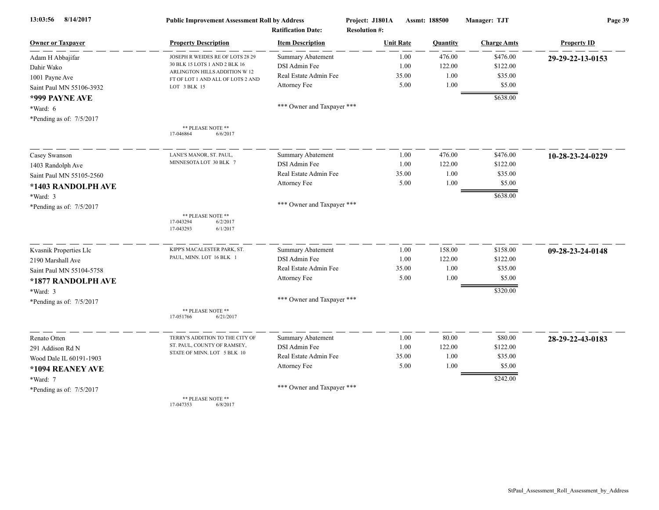| 8/14/2017<br>13:03:56                | <b>Public Improvement Assessment Roll by Address</b>                |                                                      | Project: J1801A                          | Assmt: 188500 |                 | Manager: TJT       | Page 39            |  |
|--------------------------------------|---------------------------------------------------------------------|------------------------------------------------------|------------------------------------------|---------------|-----------------|--------------------|--------------------|--|
| <b>Owner or Taxpayer</b>             | <b>Property Description</b>                                         | <b>Ratification Date:</b><br><b>Item Description</b> | <b>Resolution #:</b><br><b>Unit Rate</b> |               | <b>Quantity</b> | <b>Charge Amts</b> | <b>Property ID</b> |  |
| Adam H Abbajifar                     | JOSEPH R WEIDES RE OF LOTS 28 29                                    | <b>Summary Abatement</b>                             |                                          | 1.00          | 476.00          | \$476.00           | 29-29-22-13-0153   |  |
| Dahir Wako                           | 30 BLK 15 LOTS 1 AND 2 BLK 16                                       | DSI Admin Fee                                        |                                          | 1.00          | 122.00          | \$122.00           |                    |  |
| 1001 Payne Ave                       | ARLINGTON HILLS ADDITION W 12                                       | Real Estate Admin Fee                                |                                          | 35.00         | 1.00            | \$35.00            |                    |  |
| Saint Paul MN 55106-3932             | FT OF LOT 1 AND ALL OF LOTS 2 AND<br>LOT 3 BLK 15                   | Attorney Fee                                         |                                          | 5.00          | 1.00            | \$5.00             |                    |  |
| *999 PAYNE AVE                       |                                                                     |                                                      |                                          |               |                 | \$638.00           |                    |  |
|                                      |                                                                     | *** Owner and Taxpayer ***                           |                                          |               |                 |                    |                    |  |
| *Ward: 6<br>*Pending as of: 7/5/2017 |                                                                     |                                                      |                                          |               |                 |                    |                    |  |
|                                      | ** PLEASE NOTE **<br>17-046864<br>6/6/2017                          |                                                      |                                          |               |                 |                    |                    |  |
| Casey Swanson                        | LANE'S MANOR, ST. PAUL                                              | Summary Abatement                                    |                                          | 1.00          | 476.00          | \$476.00           | 10-28-23-24-0229   |  |
| 1403 Randolph Ave                    | MINNESOTA LOT 30 BLK 7                                              | DSI Admin Fee                                        |                                          | 1.00          | 122.00          | \$122.00           |                    |  |
| Saint Paul MN 55105-2560             |                                                                     | Real Estate Admin Fee                                |                                          | 35.00         | 1.00            | \$35.00            |                    |  |
| *1403 RANDOLPH AVE                   |                                                                     | Attorney Fee                                         |                                          | 5.00          | 1.00            | \$5.00             |                    |  |
| *Ward: 3                             |                                                                     |                                                      |                                          |               |                 | \$638.00           |                    |  |
| *Pending as of: 7/5/2017             |                                                                     | *** Owner and Taxpayer ***                           |                                          |               |                 |                    |                    |  |
|                                      | ** PLEASE NOTE **<br>17-043294<br>6/2/2017<br>17-043293<br>6/1/2017 |                                                      |                                          |               |                 |                    |                    |  |
| Kvasnik Properties Llc               | KIPP'S MACALESTER PARK, ST.                                         | <b>Summary Abatement</b>                             |                                          | 1.00          | 158.00          | \$158.00           | 09-28-23-24-0148   |  |
| 2190 Marshall Ave                    | PAUL, MINN. LOT 16 BLK 1                                            | DSI Admin Fee                                        |                                          | 1.00          | 122.00          | \$122.00           |                    |  |
| Saint Paul MN 55104-5758             |                                                                     | Real Estate Admin Fee                                |                                          | 35.00         | 1.00            | \$35.00            |                    |  |
| *1877 RANDOLPH AVE                   |                                                                     | Attorney Fee                                         |                                          | 5.00          | 1.00            | \$5.00             |                    |  |
| *Ward: 3                             |                                                                     |                                                      |                                          |               |                 | \$320.00           |                    |  |
| *Pending as of: 7/5/2017             |                                                                     | *** Owner and Taxpayer ***                           |                                          |               |                 |                    |                    |  |
|                                      | ** PLEASE NOTE **<br>17-051766<br>6/21/2017                         |                                                      |                                          |               |                 |                    |                    |  |
| Renato Otten                         | TERRY'S ADDITION TO THE CITY OF                                     | Summary Abatement                                    |                                          | 1.00          | 80.00           | \$80.00            | 28-29-22-43-0183   |  |
| 291 Addison Rd N                     | ST. PAUL, COUNTY OF RAMSEY,                                         | DSI Admin Fee                                        |                                          | 1.00          | 122.00          | \$122.00           |                    |  |
| Wood Dale IL 60191-1903              | STATE OF MINN. LOT 5 BLK 10                                         | Real Estate Admin Fee                                |                                          | 35.00         | 1.00            | \$35.00            |                    |  |
| *1094 REANEY AVE                     |                                                                     | Attorney Fee                                         |                                          | 5.00          | 1.00            | \$5.00             |                    |  |
| *Ward: 7                             |                                                                     |                                                      |                                          |               |                 | \$242.00           |                    |  |
| *Pending as of: 7/5/2017             |                                                                     | *** Owner and Taxpayer ***                           |                                          |               |                 |                    |                    |  |
|                                      | ** PLEASE NOTE **                                                   |                                                      |                                          |               |                 |                    |                    |  |

17-047353 6/8/2017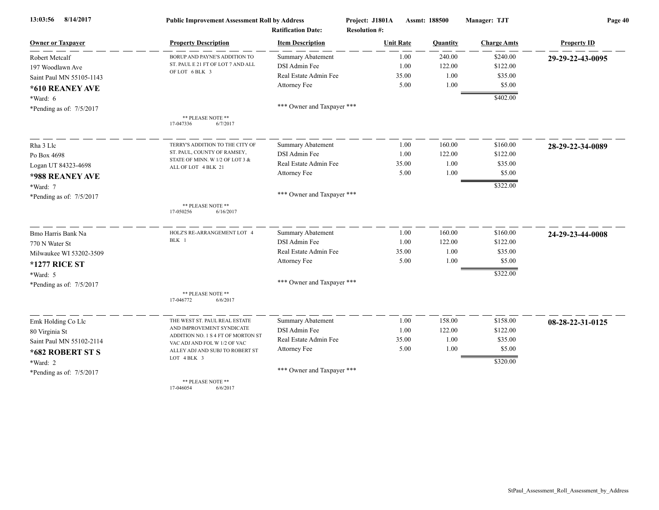| 8/14/2017<br>13:03:56      | <b>Public Improvement Assessment Roll by Address</b>               |                            | Project: J1801A<br>Assmt: 188500 |          | Manager: TJT       | Page 40            |  |
|----------------------------|--------------------------------------------------------------------|----------------------------|----------------------------------|----------|--------------------|--------------------|--|
|                            |                                                                    | <b>Ratification Date:</b>  | <b>Resolution #:</b>             |          |                    |                    |  |
| <b>Owner or Taxpayer</b>   | <b>Property Description</b>                                        | <b>Item Description</b>    | <b>Unit Rate</b>                 | Quantity | <b>Charge Amts</b> | <b>Property ID</b> |  |
| Robert Metcalf             | BORUP AND PAYNE'S ADDITION TO                                      | Summary Abatement          | 1.00                             | 240.00   | \$240.00           | 29-29-22-43-0095   |  |
| 197 Woodlawn Ave           | ST. PAUL E 21 FT OF LOT 7 AND ALL<br>OF LOT 6 BLK 3                | DSI Admin Fee              | 1.00                             | 122.00   | \$122.00           |                    |  |
| Saint Paul MN 55105-1143   |                                                                    | Real Estate Admin Fee      | 35.00                            | 1.00     | \$35.00            |                    |  |
| *610 REANEY AVE            |                                                                    | Attorney Fee               | 5.00                             | 1.00     | \$5.00             |                    |  |
| *Ward: 6                   |                                                                    |                            |                                  |          | \$402.00           |                    |  |
| *Pending as of: 7/5/2017   |                                                                    | *** Owner and Taxpayer *** |                                  |          |                    |                    |  |
|                            | ** PLEASE NOTE **<br>17-047336<br>6/7/2017                         |                            |                                  |          |                    |                    |  |
| Rha 3 Llc                  | TERRY'S ADDITION TO THE CITY OF                                    | <b>Summary Abatement</b>   | 1.00                             | 160.00   | \$160.00           | 28-29-22-34-0089   |  |
| Po Box 4698                | ST. PAUL, COUNTY OF RAMSEY,                                        | DSI Admin Fee              | 1.00                             | 122.00   | \$122.00           |                    |  |
| Logan UT 84323-4698        | STATE OF MINN. W 1/2 OF LOT 3 &<br>ALL OF LOT 4 BLK 21             | Real Estate Admin Fee      | 35.00                            | 1.00     | \$35.00            |                    |  |
| *988 REANEY AVE            |                                                                    | Attorney Fee               | 5.00                             | 1.00     | \$5.00             |                    |  |
| *Ward: 7                   |                                                                    |                            |                                  |          | \$322.00           |                    |  |
| *Pending as of: 7/5/2017   |                                                                    | *** Owner and Taxpayer *** |                                  |          |                    |                    |  |
|                            | ** PLEASE NOTE **<br>17-050256<br>6/16/2017                        |                            |                                  |          |                    |                    |  |
| Bmo Harris Bank Na         | HOLZ'S RE-ARRANGEMENT LOT 4                                        | Summary Abatement          | 1.00                             | 160.00   | \$160.00           | 24-29-23-44-0008   |  |
| 770 N Water St             | BLK 1                                                              | DSI Admin Fee              | 1.00                             | 122.00   | \$122.00           |                    |  |
| Milwaukee WI 53202-3509    |                                                                    | Real Estate Admin Fee      | 35.00                            | 1.00     | \$35.00            |                    |  |
| <b>*1277 RICE ST</b>       |                                                                    | Attorney Fee               | 5.00                             | 1.00     | \$5.00             |                    |  |
| $*Ward: 5$                 |                                                                    |                            |                                  |          | \$322.00           |                    |  |
| *Pending as of: 7/5/2017   |                                                                    | *** Owner and Taxpayer *** |                                  |          |                    |                    |  |
|                            | ** PLEASE NOTE **<br>17-046772<br>6/6/2017                         |                            |                                  |          |                    |                    |  |
| Emk Holding Co Llc         | THE WEST ST. PAUL REAL ESTATE                                      | Summary Abatement          | 1.00                             | 158.00   | \$158.00           | 08-28-22-31-0125   |  |
| 80 Virginia St             | AND IMPROVEMENT SYNDICATE                                          | DSI Admin Fee              | 1.00                             | 122.00   | \$122.00           |                    |  |
| Saint Paul MN 55102-2114   | ADDITION NO. 1 S 4 FT OF MORTON ST<br>VAC ADJ AND FOL W 1/2 OF VAC | Real Estate Admin Fee      | 35.00                            | 1.00     | \$35.00            |                    |  |
| *682 ROBERT ST S           | ALLEY ADJ AND SUBJ TO ROBERT ST                                    | Attorney Fee               | 5.00                             | 1.00     | \$5.00             |                    |  |
| *Ward: 2                   | LOT 4 BLK 3                                                        |                            |                                  |          | \$320.00           |                    |  |
| *Pending as of: $7/5/2017$ |                                                                    | *** Owner and Taxpayer *** |                                  |          |                    |                    |  |
|                            | ** PLEASE NOTE **                                                  |                            |                                  |          |                    |                    |  |

17-046054 6/6/2017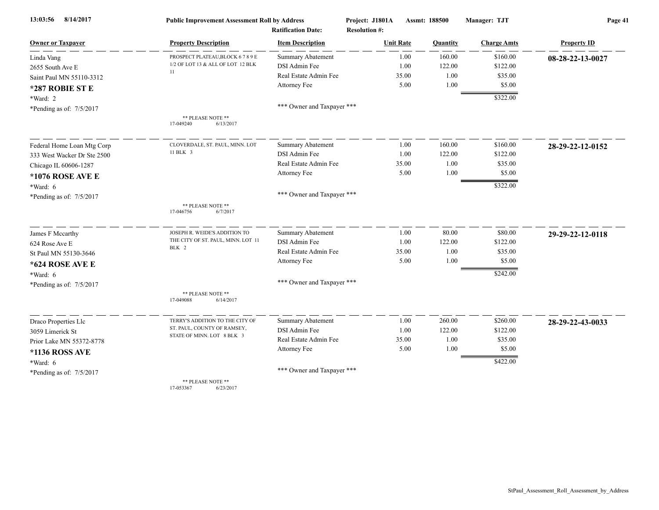| 8/14/2017<br>13:03:56       | <b>Public Improvement Assessment Roll by Address</b> |                            | Project: J1801A      | Assmt: 188500 | Manager: TJT       | Page 41            |  |
|-----------------------------|------------------------------------------------------|----------------------------|----------------------|---------------|--------------------|--------------------|--|
|                             |                                                      | <b>Ratification Date:</b>  | <b>Resolution #:</b> |               |                    |                    |  |
| <b>Owner or Taxpayer</b>    | <b>Property Description</b>                          | <b>Item Description</b>    | <b>Unit Rate</b>     | Quantity      | <b>Charge Amts</b> | <b>Property ID</b> |  |
| Linda Vang                  | PROSPECT PLATEAU, BLOCK 6789E                        | <b>Summary Abatement</b>   | 1.00                 | 160.00        | \$160.00           | 08-28-22-13-0027   |  |
| 2655 South Ave E            | 1/2 OF LOT 13 & ALL OF LOT 12 BLK<br>11              | DSI Admin Fee              | 1.00                 | 122.00        | \$122.00           |                    |  |
| Saint Paul MN 55110-3312    |                                                      | Real Estate Admin Fee      | 35.00                | 1.00          | \$35.00            |                    |  |
| *287 ROBIE ST E             |                                                      | Attorney Fee               | 5.00                 | 1.00          | \$5.00             |                    |  |
| *Ward: 2                    |                                                      |                            |                      |               | \$322.00           |                    |  |
| *Pending as of: 7/5/2017    |                                                      | *** Owner and Taxpayer *** |                      |               |                    |                    |  |
|                             | ** PLEASE NOTE **<br>17-049240<br>6/13/2017          |                            |                      |               |                    |                    |  |
| Federal Home Loan Mtg Corp  | CLOVERDALE, ST. PAUL, MINN. LOT                      | <b>Summary Abatement</b>   | 1.00                 | 160.00        | \$160.00           | 28-29-22-12-0152   |  |
| 333 West Wacker Dr Ste 2500 | 11 BLK 3                                             | DSI Admin Fee              | 1.00                 | 122.00        | \$122.00           |                    |  |
| Chicago IL 60606-1287       |                                                      | Real Estate Admin Fee      | 35.00                | 1.00          | \$35.00            |                    |  |
| <b>*1076 ROSE AVE E</b>     |                                                      | Attorney Fee               | 5.00                 | 1.00          | \$5.00             |                    |  |
| $*Ward: 6$                  |                                                      |                            |                      |               | \$322.00           |                    |  |
| *Pending as of: 7/5/2017    |                                                      | *** Owner and Taxpayer *** |                      |               |                    |                    |  |
|                             | ** PLEASE NOTE **<br>17-046756<br>6/7/2017           |                            |                      |               |                    |                    |  |
| James F Mccarthy            | JOSEPH R. WEIDE'S ADDITION TO                        | Summary Abatement          | 1.00                 | 80.00         | \$80.00            | 29-29-22-12-0118   |  |
| 624 Rose Ave E              | THE CITY OF ST. PAUL, MINN. LOT 11                   | DSI Admin Fee              | 1.00                 | 122.00        | \$122.00           |                    |  |
| St Paul MN 55130-3646       | BLK 2                                                | Real Estate Admin Fee      | 35.00                | 1.00          | \$35.00            |                    |  |
| *624 ROSE AVE E             |                                                      | Attorney Fee               | 5.00                 | 1.00          | \$5.00             |                    |  |
| $*Ward: 6$                  |                                                      |                            |                      |               | \$242.00           |                    |  |
| *Pending as of: $7/5/2017$  |                                                      | *** Owner and Taxpayer *** |                      |               |                    |                    |  |
|                             | ** PLEASE NOTE **<br>6/14/2017<br>17-049088          |                            |                      |               |                    |                    |  |
| Draco Properties Llc        | TERRY'S ADDITION TO THE CITY OF                      | Summary Abatement          | 1.00                 | 260.00        | \$260.00           | 28-29-22-43-0033   |  |
| 3059 Limerick St            | ST. PAUL, COUNTY OF RAMSEY,                          | DSI Admin Fee              | 1.00                 | 122.00        | \$122.00           |                    |  |
| Prior Lake MN 55372-8778    | STATE OF MINN. LOT 8 BLK 3                           | Real Estate Admin Fee      | 35.00                | 1.00          | \$35.00            |                    |  |
| *1136 ROSS AVE              |                                                      | Attorney Fee               | 5.00                 | 1.00          | \$5.00             |                    |  |
| *Ward: $6$                  |                                                      |                            |                      |               | \$422.00           |                    |  |
| *Pending as of: 7/5/2017    |                                                      | *** Owner and Taxpayer *** |                      |               |                    |                    |  |
|                             | ** PLEASE NOTE **                                    |                            |                      |               |                    |                    |  |

17-053367 6/23/2017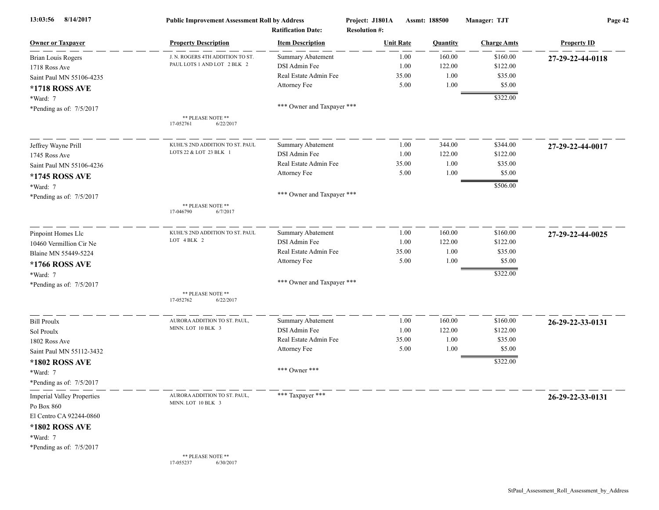| 8/14/2017<br>13:03:56             | <b>Public Improvement Assessment Roll by Address</b><br><b>Ratification Date:</b> |                            | Project: J1801A<br><b>Resolution #:</b> | Assmt: 188500    |          | Manager: TJT       | Page 42            |  |
|-----------------------------------|-----------------------------------------------------------------------------------|----------------------------|-----------------------------------------|------------------|----------|--------------------|--------------------|--|
| <b>Owner or Taxpayer</b>          | <b>Property Description</b>                                                       | <b>Item Description</b>    |                                         | <b>Unit Rate</b> | Quantity | <b>Charge Amts</b> | <b>Property ID</b> |  |
| <b>Brian Louis Rogers</b>         | J. N. ROGERS 4TH ADDITION TO ST.                                                  | Summary Abatement          |                                         | 1.00             | 160.00   | \$160.00           | 27-29-22-44-0118   |  |
| 1718 Ross Ave                     | PAUL LOTS 1 AND LOT 2 BLK 2                                                       | DSI Admin Fee              |                                         | 1.00             | 122.00   | \$122.00           |                    |  |
| Saint Paul MN 55106-4235          |                                                                                   | Real Estate Admin Fee      |                                         | 35.00            | 1.00     | \$35.00            |                    |  |
| *1718 ROSS AVE                    |                                                                                   | Attorney Fee               |                                         | 5.00             | 1.00     | \$5.00             |                    |  |
| *Ward: 7                          |                                                                                   |                            |                                         |                  |          | \$322.00           |                    |  |
| *Pending as of: 7/5/2017          |                                                                                   | *** Owner and Taxpayer *** |                                         |                  |          |                    |                    |  |
|                                   | ** PLEASE NOTE **<br>17-052761<br>6/22/2017                                       |                            |                                         |                  |          |                    |                    |  |
| Jeffrey Wayne Prill               | KUHL'S 2ND ADDITION TO ST. PAUL                                                   | Summary Abatement          |                                         | 1.00             | 344.00   | \$344.00           | 27-29-22-44-0017   |  |
| 1745 Ross Ave                     | LOTS 22 & LOT 23 BLK 1                                                            | DSI Admin Fee              |                                         | 1.00             | 122.00   | \$122.00           |                    |  |
| Saint Paul MN 55106-4236          |                                                                                   | Real Estate Admin Fee      |                                         | 35.00            | 1.00     | \$35.00            |                    |  |
| *1745 ROSS AVE                    |                                                                                   | Attorney Fee               |                                         | 5.00             | 1.00     | \$5.00             |                    |  |
| *Ward: 7                          |                                                                                   |                            |                                         |                  |          | \$506.00           |                    |  |
| *Pending as of: 7/5/2017          | ** PLEASE NOTE **<br>6/7/2017<br>17-046790                                        | *** Owner and Taxpayer *** |                                         |                  |          |                    |                    |  |
| Pinpoint Homes Llc                | KUHL'S 2ND ADDITION TO ST. PAUL                                                   | Summary Abatement          |                                         | 1.00             | 160.00   | \$160.00           | 27-29-22-44-0025   |  |
| 10460 Vermillion Cir Ne           | LOT 4 BLK 2                                                                       | DSI Admin Fee              |                                         | 1.00             | 122.00   | \$122.00           |                    |  |
| Blaine MN 55449-5224              |                                                                                   | Real Estate Admin Fee      |                                         | 35.00            | 1.00     | \$35.00            |                    |  |
| *1766 ROSS AVE                    |                                                                                   | Attorney Fee               |                                         | 5.00             | 1.00     | \$5.00             |                    |  |
| *Ward: 7                          |                                                                                   |                            |                                         |                  |          | \$322.00           |                    |  |
| *Pending as of: 7/5/2017          |                                                                                   | *** Owner and Taxpayer *** |                                         |                  |          |                    |                    |  |
|                                   | ** PLEASE NOTE **<br>17-052762<br>6/22/2017                                       |                            |                                         |                  |          |                    |                    |  |
| <b>Bill Proulx</b>                | AURORA ADDITION TO ST. PAUL,                                                      | <b>Summary Abatement</b>   |                                         | 1.00             | 160.00   | \$160.00           | 26-29-22-33-0131   |  |
| Sol Proulx                        | MINN. LOT 10 BLK 3                                                                | DSI Admin Fee              |                                         | 1.00             | 122.00   | \$122.00           |                    |  |
| 1802 Ross Ave                     |                                                                                   | Real Estate Admin Fee      |                                         | 35.00            | 1.00     | \$35.00            |                    |  |
| Saint Paul MN 55112-3432          |                                                                                   | Attorney Fee               |                                         | 5.00             | 1.00     | \$5.00             |                    |  |
| *1802 ROSS AVE                    |                                                                                   |                            |                                         |                  |          | \$322.00           |                    |  |
| *Ward: 7                          |                                                                                   | *** Owner ***              |                                         |                  |          |                    |                    |  |
| *Pending as of: 7/5/2017          |                                                                                   |                            |                                         |                  |          |                    |                    |  |
| <b>Imperial Valley Properties</b> | AURORA ADDITION TO ST. PAUL,<br>MINN. LOT 10 BLK 3                                | *** Taxpayer ***           |                                         |                  |          |                    | 26-29-22-33-0131   |  |
| Po Box 860                        |                                                                                   |                            |                                         |                  |          |                    |                    |  |
| El Centro CA 92244-0860           |                                                                                   |                            |                                         |                  |          |                    |                    |  |
| *1802 ROSS AVE                    |                                                                                   |                            |                                         |                  |          |                    |                    |  |
| *Ward: 7                          |                                                                                   |                            |                                         |                  |          |                    |                    |  |
| *Pending as of: 7/5/2017          |                                                                                   |                            |                                         |                  |          |                    |                    |  |
|                                   | ** PLEASE NOTE **<br>17-055237<br>6/30/2017                                       |                            |                                         |                  |          |                    |                    |  |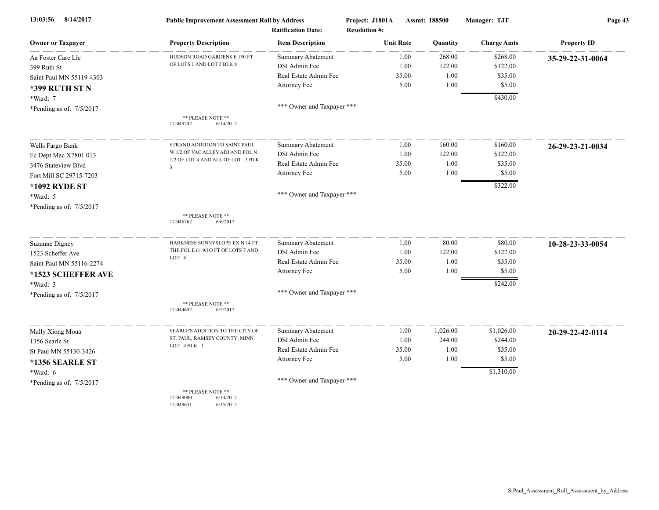| 8/14/2017<br>13:03:56      | <b>Public Improvement Assessment Roll by Address</b><br><b>Ratification Date:</b> |                            | Project: J1801A  | Assmt: 188500<br><b>Resolution #:</b> |          | Manager: TJT       | Page 43            |  |
|----------------------------|-----------------------------------------------------------------------------------|----------------------------|------------------|---------------------------------------|----------|--------------------|--------------------|--|
| <b>Owner or Taxpayer</b>   | <b>Property Description</b>                                                       | <b>Item Description</b>    | <b>Unit Rate</b> |                                       | Quantity | <b>Charge Amts</b> | <b>Property ID</b> |  |
| Aa Foster Care Llc         | HUDSON ROAD GARDENS E 150 FT                                                      | <b>Summary Abatement</b>   |                  | 1.00                                  | 268.00   | \$268.00           | 35-29-22-31-0064   |  |
| 399 Ruth St                | OF LOTS 1 AND LOT 2 BLK 8                                                         | DSI Admin Fee              |                  | 1.00                                  | 122.00   | \$122.00           |                    |  |
| Saint Paul MN 55119-4303   |                                                                                   | Real Estate Admin Fee      |                  | 35.00                                 | 1.00     | \$35.00            |                    |  |
| <b>*399 RUTH ST N</b>      |                                                                                   | Attorney Fee               |                  | 5.00                                  | 1.00     | \$5.00             |                    |  |
| *Ward: 7                   |                                                                                   |                            |                  |                                       |          | \$430.00           |                    |  |
| *Pending as of: $7/5/2017$ |                                                                                   | *** Owner and Taxpayer *** |                  |                                       |          |                    |                    |  |
|                            | ** PLEASE NOTE **<br>17-049242<br>6/14/2017                                       |                            |                  |                                       |          |                    |                    |  |
| Wells Fargo Bank           | STRAND ADDITION TO SAINT PAUL                                                     | <b>Summary Abatement</b>   |                  | 1.00                                  | 160.00   | \$160.00           | 26-29-23-21-0034   |  |
| Fc Dept Mac X7801 013      | W 1/2 OF VAC ALLEY ADJ AND FOL N                                                  | DSI Admin Fee              |                  | 1.00                                  | 122.00   | \$122.00           |                    |  |
| 3476 Stateview Blvd        | 1/2 OF LOT 4 AND ALL OF LOT 3 BLK<br>$\overline{3}$                               | Real Estate Admin Fee      |                  | 35.00                                 | 1.00     | \$35.00            |                    |  |
| Fort Mill SC 29715-7203    |                                                                                   | Attorney Fee               |                  | 5.00                                  | 1.00     | \$5.00             |                    |  |
| *1092 RYDE ST              |                                                                                   |                            |                  |                                       |          | \$322.00           |                    |  |
| *Ward: 5                   |                                                                                   | *** Owner and Taxpayer *** |                  |                                       |          |                    |                    |  |
| *Pending as of: 7/5/2017   |                                                                                   |                            |                  |                                       |          |                    |                    |  |
|                            | ** PLEASE NOTE **<br>17-046762<br>6/6/2017                                        |                            |                  |                                       |          |                    |                    |  |
| <b>Suzanne Digney</b>      | HARKNESS SUNNYSLOPE EX N 14 FT                                                    | Summary Abatement          |                  | 1.00                                  | 80.00    | \$80.00            | 10-28-23-33-0054   |  |
| 1523 Scheffer Ave          | THE FOL E 61 9/10 FT OF LOTS 7 AND                                                | DSI Admin Fee              |                  | 1.00                                  | 122.00   | \$122.00           |                    |  |
| Saint Paul MN 55116-2274   | LOT 8                                                                             | Real Estate Admin Fee      |                  | 35.00                                 | 1.00     | \$35.00            |                    |  |
| *1523 SCHEFFER AVE         |                                                                                   | Attorney Fee               |                  | 5.00                                  | 1.00     | \$5.00             |                    |  |
| *Ward: 3                   |                                                                                   |                            |                  |                                       |          | \$242.00           |                    |  |
| *Pending as of: 7/5/2017   |                                                                                   | *** Owner and Taxpayer *** |                  |                                       |          |                    |                    |  |
|                            | ** PLEASE NOTE **<br>17-044642<br>6/2/2017                                        |                            |                  |                                       |          |                    |                    |  |
| Mally Xiong Moua           | SEARLE'S ADDITION TO THE CITY OF                                                  | Summary Abatement          |                  | 1.00                                  | 1,026.00 | \$1,026.00         | 20-29-22-42-0114   |  |
| 1356 Searle St             | ST. PAUL, RAMSEY COUNTY, MINN.                                                    | DSI Admin Fee              |                  | 1.00                                  | 244.00   | \$244.00           |                    |  |
| St Paul MN 55130-3426      | LOT 4 BLK 1                                                                       | Real Estate Admin Fee      |                  | 35.00                                 | 1.00     | \$35.00            |                    |  |
| *1356 SEARLE ST            |                                                                                   | Attorney Fee               |                  | 5.00                                  | 1.00     | \$5.00             |                    |  |
| $*Ward: 6$                 |                                                                                   |                            |                  |                                       |          | \$1,310.00         |                    |  |
| *Pending as of: 7/5/2017   |                                                                                   | *** Owner and Taxpayer *** |                  |                                       |          |                    |                    |  |
|                            | ** PLEASE NOTE **<br>17-049080<br>6/14/2017<br>17-049631<br>6/15/2017             |                            |                  |                                       |          |                    |                    |  |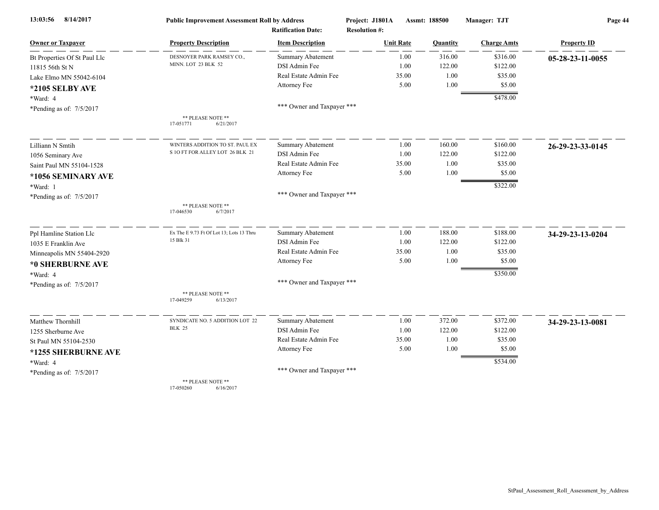| 8/14/2017<br>13:03:56        | <b>Public Improvement Assessment Roll by Address</b> |                            | Project: J1801A      | Assmt: 188500 | Manager: TJT         | Page 44            |  |
|------------------------------|------------------------------------------------------|----------------------------|----------------------|---------------|----------------------|--------------------|--|
|                              |                                                      | <b>Ratification Date:</b>  | <b>Resolution #:</b> |               |                      |                    |  |
| <b>Owner or Taxpayer</b>     | <b>Property Description</b>                          | <b>Item Description</b>    | <b>Unit Rate</b>     | Quantity      | <b>Charge Amts</b>   | <b>Property ID</b> |  |
| Bt Properties Of St Paul Llc | DESNOYER PARK RAMSEY CO.,                            | <b>Summary Abatement</b>   | 1.00                 | 316.00        | \$316.00             | 05-28-23-11-0055   |  |
| 11815 56th St N              | MINN. LOT 23 BLK 52                                  | DSI Admin Fee              | 1.00                 | 122.00        | \$122.00             |                    |  |
| Lake Elmo MN 55042-6104      |                                                      | Real Estate Admin Fee      | 35.00                | 1.00          | \$35.00              |                    |  |
| *2105 SELBY AVE              |                                                      | Attorney Fee               | 5.00                 | 1.00          | \$5.00               |                    |  |
| *Ward: 4                     |                                                      |                            |                      |               | \$478.00             |                    |  |
| *Pending as of: 7/5/2017     |                                                      | *** Owner and Taxpayer *** |                      |               |                      |                    |  |
|                              | ** PLEASE NOTE **<br>17-051771<br>6/21/2017          |                            |                      |               |                      |                    |  |
| Lilliann N Smtih             | WINTERS ADDITION TO ST. PAUL EX                      | Summary Abatement          | 1.00                 | 160.00        | \$160.00             | 26-29-23-33-0145   |  |
| 1056 Seminary Ave            | S 10 FT FOR ALLEY LOT 26 BLK 21                      | DSI Admin Fee              | 1.00                 | 122.00        | \$122.00             |                    |  |
| Saint Paul MN 55104-1528     |                                                      | Real Estate Admin Fee      | 35.00                | 1.00          | \$35.00              |                    |  |
| *1056 SEMINARY AVE           |                                                      | Attorney Fee               | 5.00                 | 1.00          | \$5.00               |                    |  |
| *Ward: 1                     |                                                      |                            |                      |               | \$322.00             |                    |  |
| *Pending as of: 7/5/2017     |                                                      | *** Owner and Taxpayer *** |                      |               |                      |                    |  |
|                              | ** PLEASE NOTE **<br>17-046530<br>6/7/2017           |                            |                      |               |                      |                    |  |
| Ppl Hamline Station Llc      | Ex The E 9.73 Ft Of Lot 13; Lots 13 Thru             | Summary Abatement          | 1.00                 | 188.00        | \$188.00             | 34-29-23-13-0204   |  |
| 1035 E Franklin Ave          | 15 Blk 31                                            | DSI Admin Fee              | 1.00                 | 122.00        | \$122.00             |                    |  |
| Minneapolis MN 55404-2920    |                                                      | Real Estate Admin Fee      | 35.00                | 1.00          | \$35.00              |                    |  |
| *0 SHERBURNE AVE             |                                                      | Attorney Fee               | 5.00                 | 1.00          | \$5.00               |                    |  |
| *Ward: 4                     |                                                      |                            |                      |               | \$350.00             |                    |  |
| *Pending as of: 7/5/2017     |                                                      | *** Owner and Taxpayer *** |                      |               |                      |                    |  |
|                              | ** PLEASE NOTE **<br>17-049259<br>6/13/2017          |                            |                      |               |                      |                    |  |
| Matthew Thornhill            | SYNDICATE NO. 5 ADDITION LOT 22                      | Summary Abatement          | 1.00                 | 372.00        | \$372.00             | 34-29-23-13-0081   |  |
| 1255 Sherburne Ave           | <b>BLK 25</b>                                        | DSI Admin Fee              | 1.00                 | 122.00        | \$122.00             |                    |  |
| St Paul MN 55104-2530        |                                                      | Real Estate Admin Fee      | 35.00                | 1.00          | \$35.00              |                    |  |
| *1255 SHERBURNE AVE          |                                                      | Attorney Fee               | 5.00                 | 1.00          | \$5.00               |                    |  |
| *Ward: 4                     |                                                      |                            |                      |               | $\overline{$}534.00$ |                    |  |
| *Pending as of: 7/5/2017     |                                                      | *** Owner and Taxpayer *** |                      |               |                      |                    |  |
|                              | ** PLEASE NOTE **                                    |                            |                      |               |                      |                    |  |

17-050260 6/16/2017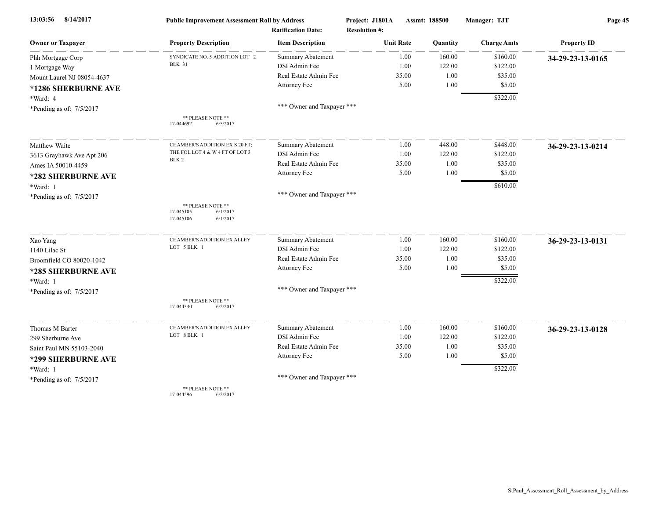| 8/14/2017<br>13:03:56      | <b>Public Improvement Assessment Roll by Address</b><br><b>Ratification Date:</b> |                            | Project: J1801A<br><b>Resolution #:</b> | Assmt: 188500 | Manager: TJT       | Page 45            |  |
|----------------------------|-----------------------------------------------------------------------------------|----------------------------|-----------------------------------------|---------------|--------------------|--------------------|--|
| <b>Owner or Taxpayer</b>   | <b>Property Description</b>                                                       | <b>Item Description</b>    | <b>Unit Rate</b>                        | Quantity      | <b>Charge Amts</b> | <b>Property ID</b> |  |
| Phh Mortgage Corp          | SYNDICATE NO. 5 ADDITION LOT 2                                                    | Summary Abatement          | 1.00                                    | 160.00        | \$160.00           | 34-29-23-13-0165   |  |
| 1 Mortgage Way             | <b>BLK 31</b>                                                                     | DSI Admin Fee              | 1.00                                    | 122.00        | \$122.00           |                    |  |
| Mount Laurel NJ 08054-4637 |                                                                                   | Real Estate Admin Fee      | 35.00                                   | 1.00          | \$35.00            |                    |  |
| *1286 SHERBURNE AVE        |                                                                                   | Attorney Fee               | 5.00                                    | 1.00          | \$5.00             |                    |  |
| *Ward: 4                   |                                                                                   |                            |                                         |               | \$322.00           |                    |  |
| *Pending as of: 7/5/2017   |                                                                                   | *** Owner and Taxpayer *** |                                         |               |                    |                    |  |
|                            | ** PLEASE NOTE **<br>17-044692<br>6/5/2017                                        |                            |                                         |               |                    |                    |  |
| Matthew Waite              | CHAMBER'S ADDITION EX S 20 FT;                                                    | <b>Summary Abatement</b>   | 1.00                                    | 448.00        | \$448.00           | 36-29-23-13-0214   |  |
| 3613 Grayhawk Ave Apt 206  | THE FOL LOT 4 & W 4 FT OF LOT 3                                                   | DSI Admin Fee              | 1.00                                    | 122.00        | \$122.00           |                    |  |
| Ames IA 50010-4459         | BLK <sub>2</sub>                                                                  | Real Estate Admin Fee      | 35.00                                   | 1.00          | \$35.00            |                    |  |
| *282 SHERBURNE AVE         |                                                                                   | Attorney Fee               | 5.00                                    | 1.00          | \$5.00             |                    |  |
| *Ward: 1                   |                                                                                   |                            |                                         |               | \$610.00           |                    |  |
| *Pending as of: 7/5/2017   |                                                                                   | *** Owner and Taxpayer *** |                                         |               |                    |                    |  |
|                            | ** PLEASE NOTE **<br>17-045105<br>6/1/2017<br>17-045106<br>6/1/2017               |                            |                                         |               |                    |                    |  |
| Xao Yang                   | CHAMBER'S ADDITION EX ALLEY                                                       | <b>Summary Abatement</b>   | 1.00                                    | 160.00        | \$160.00           | 36-29-23-13-0131   |  |
| 1140 Lilac St              | LOT 5 BLK 1                                                                       | DSI Admin Fee              | 1.00                                    | 122.00        | \$122.00           |                    |  |
| Broomfield CO 80020-1042   |                                                                                   | Real Estate Admin Fee      | 35.00                                   | 1.00          | \$35.00            |                    |  |
| *285 SHERBURNE AVE         |                                                                                   | Attorney Fee               | 5.00                                    | 1.00          | \$5.00             |                    |  |
| *Ward: 1                   |                                                                                   |                            |                                         |               | \$322.00           |                    |  |
| *Pending as of: 7/5/2017   |                                                                                   | *** Owner and Taxpayer *** |                                         |               |                    |                    |  |
|                            | ** PLEASE NOTE **<br>17-044340<br>6/2/2017                                        |                            |                                         |               |                    |                    |  |
| Thomas M Barter            | CHAMBER'S ADDITION EX ALLEY                                                       | <b>Summary Abatement</b>   | 1.00                                    | 160.00        | \$160.00           | 36-29-23-13-0128   |  |
| 299 Sherburne Ave          | LOT 8 BLK 1                                                                       | DSI Admin Fee              | 1.00                                    | 122.00        | \$122.00           |                    |  |
| Saint Paul MN 55103-2040   |                                                                                   | Real Estate Admin Fee      | 35.00                                   | 1.00          | \$35.00            |                    |  |
| *299 SHERBURNE AVE         |                                                                                   | Attorney Fee               | 5.00                                    | 1.00          | \$5.00             |                    |  |
| *Ward: 1                   |                                                                                   |                            |                                         |               | \$322.00           |                    |  |
| *Pending as of: 7/5/2017   |                                                                                   | *** Owner and Taxpayer *** |                                         |               |                    |                    |  |
|                            | ** PLEASE NOTE **<br>17-044596<br>6/2/2017                                        |                            |                                         |               |                    |                    |  |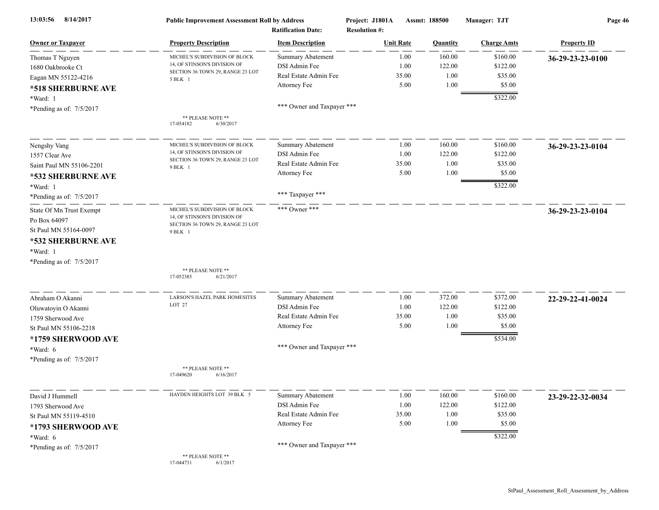| 8/14/2017<br>13:03:56    | <b>Public Improvement Assessment Roll by Address</b><br><b>Ratification Date:</b> |                            | Project: J1801A<br><b>Resolution #:</b> | Assmt: 188500 |                    | Page 46            |  |
|--------------------------|-----------------------------------------------------------------------------------|----------------------------|-----------------------------------------|---------------|--------------------|--------------------|--|
| <b>Owner or Taxpayer</b> | <b>Property Description</b>                                                       | <b>Item Description</b>    | <b>Unit Rate</b>                        | Quantity      | <b>Charge Amts</b> | <b>Property ID</b> |  |
| Thomas T Nguyen          | MICHEL'S SUBDIVISION OF BLOCK                                                     | <b>Summary Abatement</b>   | 1.00                                    | 160.00        | \$160.00           | 36-29-23-23-0100   |  |
| 1680 Oakbrooke Ct        | 14, OF STINSON'S DIVISION OF                                                      | DSI Admin Fee              | 1.00                                    | 122.00        | \$122.00           |                    |  |
| Eagan MN 55122-4216      | SECTION 36 TOWN 29, RANGE 23 LOT<br>5 BLK 1                                       | Real Estate Admin Fee      | 35.00                                   | 1.00          | \$35.00            |                    |  |
| *518 SHERBURNE AVE       |                                                                                   | Attorney Fee               | 5.00                                    | 1.00          | \$5.00             |                    |  |
| *Ward: 1                 |                                                                                   |                            |                                         |               | \$322.00           |                    |  |
| *Pending as of: 7/5/2017 |                                                                                   | *** Owner and Taxpayer *** |                                         |               |                    |                    |  |
|                          | ** PLEASE NOTE **<br>17-054182<br>6/30/2017                                       |                            |                                         |               |                    |                    |  |
| Nengshy Vang             | MICHEL'S SUBDIVISION OF BLOCK                                                     | <b>Summary Abatement</b>   | 1.00                                    | 160.00        | \$160.00           | 36-29-23-23-0104   |  |
| 1557 Clear Ave           | 14, OF STINSON'S DIVISION OF                                                      | DSI Admin Fee              | 1.00                                    | 122.00        | \$122.00           |                    |  |
| Saint Paul MN 55106-2201 | SECTION 36 TOWN 29, RANGE 23 LOT<br>9 BLK 1                                       | Real Estate Admin Fee      | 35.00                                   | 1.00          | \$35.00            |                    |  |
| *532 SHERBURNE AVE       |                                                                                   | Attorney Fee               | 5.00                                    | 1.00          | \$5.00             |                    |  |
| *Ward: 1                 |                                                                                   |                            |                                         |               | \$322.00           |                    |  |
| *Pending as of: 7/5/2017 |                                                                                   | *** Taxpayer ***           |                                         |               |                    |                    |  |
| State Of Mn Trust Exempt | MICHEL'S SUBDIVISION OF BLOCK                                                     | *** Owner ***              |                                         |               |                    | 36-29-23-23-0104   |  |
| Po Box 64097             | 14, OF STINSON'S DIVISION OF<br>SECTION 36 TOWN 29, RANGE 23 LOT                  |                            |                                         |               |                    |                    |  |
| St Paul MN 55164-0097    | 9 BLK 1                                                                           |                            |                                         |               |                    |                    |  |
| *532 SHERBURNE AVE       |                                                                                   |                            |                                         |               |                    |                    |  |
| *Ward: 1                 |                                                                                   |                            |                                         |               |                    |                    |  |
| *Pending as of: 7/5/2017 |                                                                                   |                            |                                         |               |                    |                    |  |
|                          | ** PLEASE NOTE **<br>17-052385<br>6/21/2017                                       |                            |                                         |               |                    |                    |  |
| Abraham O Akanni         | LARSON'S HAZEL PARK HOMESITES                                                     | <b>Summary Abatement</b>   | 1.00                                    | 372.00        | \$372.00           | 22-29-22-41-0024   |  |
| Oluwatoyin O Akanni      | LOT 27                                                                            | DSI Admin Fee              | 1.00                                    | 122.00        | \$122.00           |                    |  |
| 1759 Sherwood Ave        |                                                                                   | Real Estate Admin Fee      | 35.00                                   | 1.00          | \$35.00            |                    |  |
| St Paul MN 55106-2218    |                                                                                   | Attorney Fee               | 5.00                                    | 1.00          | \$5.00             |                    |  |
| *1759 SHERWOOD AVE       |                                                                                   |                            |                                         |               | \$534.00           |                    |  |
| *Ward: 6                 |                                                                                   | *** Owner and Taxpayer *** |                                         |               |                    |                    |  |
| *Pending as of: 7/5/2017 |                                                                                   |                            |                                         |               |                    |                    |  |
|                          | ** PLEASE NOTE **<br>6/16/2017<br>17-049620                                       |                            |                                         |               |                    |                    |  |
| David J Hummell          | HAYDEN HEIGHTS LOT 39 BLK 5                                                       | <b>Summary Abatement</b>   | 1.00                                    | 160.00        | \$160.00           | 23-29-22-32-0034   |  |
| 1793 Sherwood Ave        |                                                                                   | DSI Admin Fee              | 1.00                                    | 122.00        | \$122.00           |                    |  |
| St Paul MN 55119-4510    |                                                                                   | Real Estate Admin Fee      | 35.00                                   | 1.00          | \$35.00            |                    |  |
| *1793 SHERWOOD AVE       |                                                                                   | Attorney Fee               | 5.00                                    | 1.00          | \$5.00             |                    |  |
| $*Ward: 6$               |                                                                                   |                            |                                         |               | \$322.00           |                    |  |
| *Pending as of: 7/5/2017 |                                                                                   | *** Owner and Taxpayer *** |                                         |               |                    |                    |  |
|                          | ** PLEASE NOTE **<br>17-044731<br>6/1/2017                                        |                            |                                         |               |                    |                    |  |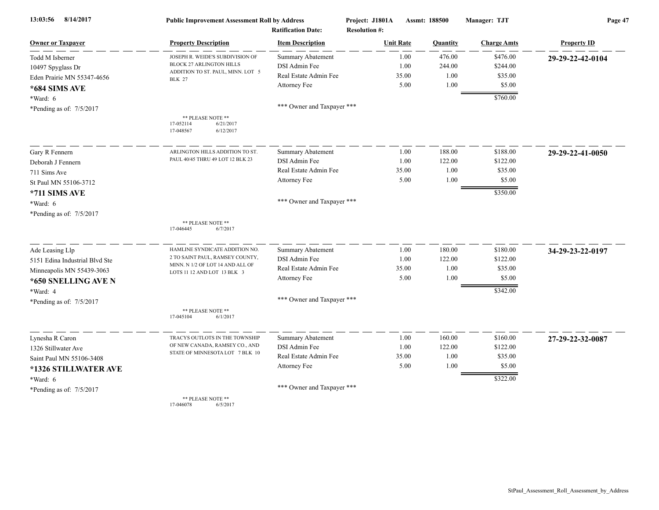| 13:03:56<br>8/14/2017          | <b>Public Improvement Assessment Roll by Address</b><br><b>Ratification Date:</b> |                            | Project: J1801A<br>Assmt: 188500<br><b>Resolution #:</b> |          | Manager: TJT       | Page 47            |  |
|--------------------------------|-----------------------------------------------------------------------------------|----------------------------|----------------------------------------------------------|----------|--------------------|--------------------|--|
| <b>Owner or Taxpayer</b>       | <b>Property Description</b>                                                       | <b>Item Description</b>    | <b>Unit Rate</b>                                         | Quantity | <b>Charge Amts</b> | <b>Property ID</b> |  |
| Todd M Isberner                | JOSEPH R. WEIDE'S SUBDIVISION OF                                                  | <b>Summary Abatement</b>   | 1.00                                                     | 476.00   | \$476.00           | 29-29-22-42-0104   |  |
| 10497 Spyglass Dr              | BLOCK 27 ARLINGTON HILLS                                                          | DSI Admin Fee              | 1.00                                                     | 244.00   | \$244.00           |                    |  |
| Eden Prairie MN 55347-4656     | ADDITION TO ST. PAUL, MINN. LOT 5<br><b>BLK 27</b>                                | Real Estate Admin Fee      | 35.00                                                    | 1.00     | \$35.00            |                    |  |
| *684 SIMS AVE                  |                                                                                   | Attorney Fee               | 5.00                                                     | 1.00     | \$5.00             |                    |  |
| $*Ward: 6$                     |                                                                                   |                            |                                                          |          | \$760.00           |                    |  |
| *Pending as of: $7/5/2017$     |                                                                                   | *** Owner and Taxpayer *** |                                                          |          |                    |                    |  |
|                                | ** PLEASE NOTE **<br>17-052114<br>6/21/2017<br>17-048567<br>6/12/2017             |                            |                                                          |          |                    |                    |  |
| Gary R Fennern                 | ARLINGTON HILLS ADDITION TO ST.                                                   | Summary Abatement          | 1.00                                                     | 188.00   | \$188.00           | 29-29-22-41-0050   |  |
| Deborah J Fennern              | PAUL 40/45 THRU 49 LOT 12 BLK 23                                                  | DSI Admin Fee              | 1.00                                                     | 122.00   | \$122.00           |                    |  |
| 711 Sims Ave                   |                                                                                   | Real Estate Admin Fee      | 35.00                                                    | 1.00     | \$35.00            |                    |  |
| St Paul MN 55106-3712          |                                                                                   | Attorney Fee               | 5.00                                                     | 1.00     | \$5.00             |                    |  |
| *711 SIMS AVE                  |                                                                                   |                            |                                                          |          | \$350.00           |                    |  |
| *Ward: 6                       |                                                                                   | *** Owner and Taxpayer *** |                                                          |          |                    |                    |  |
| *Pending as of: 7/5/2017       |                                                                                   |                            |                                                          |          |                    |                    |  |
|                                | ** PLEASE NOTE **<br>6/7/2017<br>17-046445                                        |                            |                                                          |          |                    |                    |  |
| Ade Leasing Llp                | HAMLINE SYNDICATE ADDITION NO.                                                    | Summary Abatement          | 1.00                                                     | 180.00   | \$180.00           | 34-29-23-22-0197   |  |
| 5151 Edina Industrial Blvd Ste | 2 TO SAINT PAUL, RAMSEY COUNTY,                                                   | DSI Admin Fee              | 1.00                                                     | 122.00   | \$122.00           |                    |  |
| Minneapolis MN 55439-3063      | MINN. N 1/2 OF LOT 14 AND ALL OF<br>LOTS 11 12 AND LOT 13 BLK 3                   | Real Estate Admin Fee      | 35.00                                                    | 1.00     | \$35.00            |                    |  |
| *650 SNELLING AVE N            |                                                                                   | Attorney Fee               | 5.00                                                     | 1.00     | \$5.00             |                    |  |
| *Ward: 4                       |                                                                                   |                            |                                                          |          | \$342.00           |                    |  |
| *Pending as of: 7/5/2017       |                                                                                   | *** Owner and Taxpayer *** |                                                          |          |                    |                    |  |
|                                | ** PLEASE NOTE **<br>17-045104<br>6/1/2017                                        |                            |                                                          |          |                    |                    |  |
| Lynesha R Caron                | TRACYS OUTLOTS IN THE TOWNSHIP                                                    | Summary Abatement          | 1.00                                                     | 160.00   | \$160.00           | 27-29-22-32-0087   |  |
| 1326 Stillwater Ave            | OF NEW CANADA, RAMSEY CO., AND                                                    | DSI Admin Fee              | 1.00                                                     | 122.00   | \$122.00           |                    |  |
| Saint Paul MN 55106-3408       | STATE OF MINNESOTA LOT 7 BLK 10                                                   | Real Estate Admin Fee      | 35.00                                                    | 1.00     | \$35.00            |                    |  |
| *1326 STILLWATER AVE           |                                                                                   | Attorney Fee               | 5.00                                                     | 1.00     | \$5.00             |                    |  |
| *Ward: 6                       |                                                                                   |                            |                                                          |          | \$322.00           |                    |  |
| *Pending as of: $7/5/2017$     |                                                                                   | *** Owner and Taxpayer *** |                                                          |          |                    |                    |  |
|                                | ** PLEASE NOTE **                                                                 |                            |                                                          |          |                    |                    |  |

17-046078 6/5/2017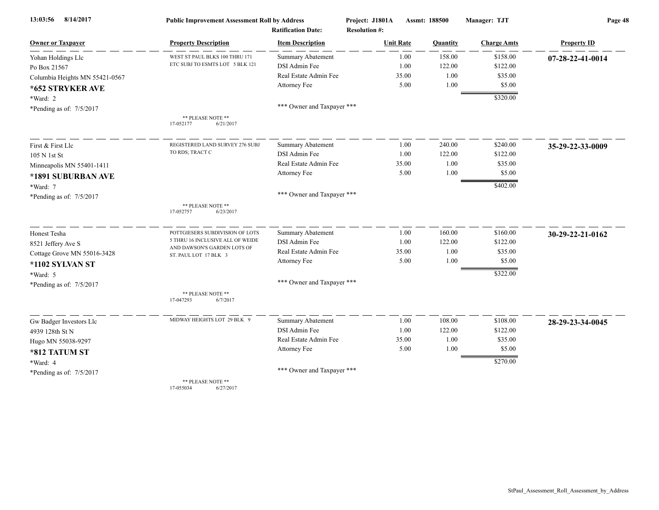| 8/14/2017<br>13:03:56          | <b>Public Improvement Assessment Roll by Address</b>              |                            | Project: J1801A      | <b>Assmt: 188500</b> | Manager: TJT       | Page 48            |  |
|--------------------------------|-------------------------------------------------------------------|----------------------------|----------------------|----------------------|--------------------|--------------------|--|
|                                |                                                                   | <b>Ratification Date:</b>  | <b>Resolution #:</b> |                      |                    |                    |  |
| <b>Owner or Taxpayer</b>       | <b>Property Description</b>                                       | <b>Item Description</b>    | <b>Unit Rate</b>     | Quantity             | <b>Charge Amts</b> | <b>Property ID</b> |  |
| Yohan Holdings Llc             | WEST ST PAUL BLKS 100 THRU 171<br>ETC SUBJ TO ESMTS LOT 5 BLK 121 | Summary Abatement          | 1.00                 | 158.00               | \$158.00           | 07-28-22-41-0014   |  |
| Po Box 21567                   |                                                                   | DSI Admin Fee              | 1.00                 | 122.00               | \$122.00           |                    |  |
| Columbia Heights MN 55421-0567 |                                                                   | Real Estate Admin Fee      | 35.00                | 1.00                 | \$35.00            |                    |  |
| *652 STRYKER AVE               |                                                                   | Attorney Fee               | 5.00                 | 1.00                 | \$5.00             |                    |  |
| *Ward: 2                       |                                                                   |                            |                      |                      | \$320.00           |                    |  |
| *Pending as of: 7/5/2017       |                                                                   | *** Owner and Taxpayer *** |                      |                      |                    |                    |  |
|                                | ** PLEASE NOTE **<br>17-052177<br>6/21/2017                       |                            |                      |                      |                    |                    |  |
| First & First Llc              | REGISTERED LAND SURVEY 276 SUBJ                                   | <b>Summary Abatement</b>   | 1.00                 | 240.00               | \$240.00           | 35-29-22-33-0009   |  |
| 105 N 1st St                   | TO RDS; TRACT C                                                   | DSI Admin Fee              | 1.00                 | 122.00               | \$122.00           |                    |  |
| Minneapolis MN 55401-1411      |                                                                   | Real Estate Admin Fee      | 35.00                | 1.00                 | \$35.00            |                    |  |
| *1891 SUBURBAN AVE             |                                                                   | Attorney Fee               | 5.00                 | 1.00                 | \$5.00             |                    |  |
| *Ward: 7                       |                                                                   |                            |                      |                      | \$402.00           |                    |  |
| *Pending as of: 7/5/2017       |                                                                   | *** Owner and Taxpayer *** |                      |                      |                    |                    |  |
|                                | ** PLEASE NOTE **<br>17-052757<br>6/23/2017                       |                            |                      |                      |                    |                    |  |
| Honest Tesha                   | POTTGIESERS SUBDIVISION OF LOTS                                   | Summary Abatement          | 1.00                 | 160.00               | \$160.00           | 30-29-22-21-0162   |  |
| 8521 Jeffery Ave S             | 5 THRU 16 INCLUSIVE ALL OF WEIDE                                  | DSI Admin Fee              | 1.00                 | 122.00               | \$122.00           |                    |  |
| Cottage Grove MN 55016-3428    | AND DAWSON'S GARDEN LOTS OF<br>ST. PAUL LOT 17 BLK 3              | Real Estate Admin Fee      | 35.00                | 1.00                 | \$35.00            |                    |  |
| *1102 SYLVAN ST                |                                                                   | Attorney Fee               | 5.00                 | 1.00                 | \$5.00             |                    |  |
| *Ward: 5                       |                                                                   |                            |                      |                      | \$322.00           |                    |  |
| *Pending as of: 7/5/2017       |                                                                   | *** Owner and Taxpayer *** |                      |                      |                    |                    |  |
|                                | ** PLEASE NOTE **<br>17-047293<br>6/7/2017                        |                            |                      |                      |                    |                    |  |
| Gw Badger Investors Llc        | MIDWAY HEIGHTS LOT 29 BLK 9                                       | <b>Summary Abatement</b>   | 1.00                 | 108.00               | \$108.00           | 28-29-23-34-0045   |  |
| 4939 128th St N                |                                                                   | DSI Admin Fee              | 1.00                 | 122.00               | \$122.00           |                    |  |
| Hugo MN 55038-9297             |                                                                   | Real Estate Admin Fee      | 35.00                | 1.00                 | \$35.00            |                    |  |
| *812 TATUM ST                  |                                                                   | Attorney Fee               | 5.00                 | 1.00                 | \$5.00             |                    |  |
| *Ward: 4                       |                                                                   |                            |                      |                      | \$270.00           |                    |  |
| *Pending as of: 7/5/2017       |                                                                   | *** Owner and Taxpayer *** |                      |                      |                    |                    |  |
|                                | ** PLEASE NOTE **                                                 |                            |                      |                      |                    |                    |  |

17-055034 6/27/2017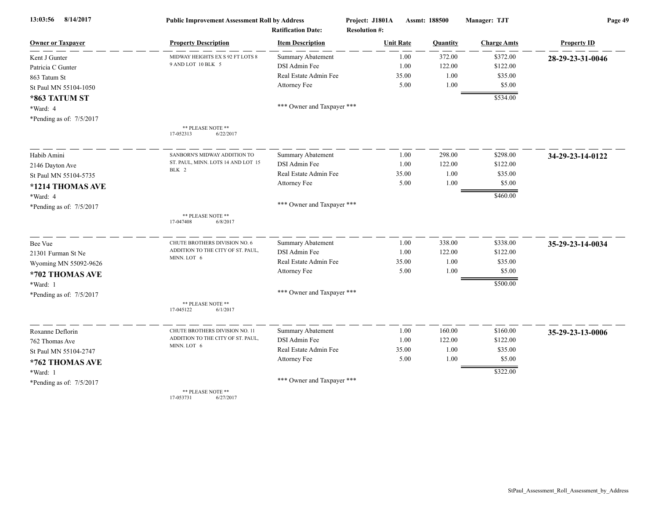| 13:03:56<br>8/14/2017      | <b>Public Improvement Assessment Roll by Address</b><br><b>Ratification Date:</b> |                            | Project: J1801A<br>Assmt: 188500<br><b>Resolution #:</b> |          | Manager: TJT       | Page 49            |  |
|----------------------------|-----------------------------------------------------------------------------------|----------------------------|----------------------------------------------------------|----------|--------------------|--------------------|--|
| <b>Owner or Taxpaver</b>   | <b>Property Description</b>                                                       | <b>Item Description</b>    | <b>Unit Rate</b>                                         | Quantity | <b>Charge Amts</b> | <b>Property ID</b> |  |
| Kent J Gunter              | MIDWAY HEIGHTS EX S 92 FT LOTS 8                                                  | Summary Abatement          | 1.00                                                     | 372.00   | \$372.00           | 28-29-23-31-0046   |  |
| Patricia C Gunter          | 9 AND LOT 10 BLK 5                                                                | DSI Admin Fee              | 1.00                                                     | 122.00   | \$122.00           |                    |  |
| 863 Tatum St               |                                                                                   | Real Estate Admin Fee      | 35.00                                                    | 1.00     | \$35.00            |                    |  |
| St Paul MN 55104-1050      |                                                                                   | Attorney Fee               | 5.00                                                     | 1.00     | \$5.00             |                    |  |
| *863 TATUM ST              |                                                                                   |                            |                                                          |          | \$534.00           |                    |  |
| *Ward: 4                   |                                                                                   | *** Owner and Taxpayer *** |                                                          |          |                    |                    |  |
| *Pending as of: $7/5/2017$ |                                                                                   |                            |                                                          |          |                    |                    |  |
|                            | ** PLEASE NOTE **<br>17-052313<br>6/22/2017                                       |                            |                                                          |          |                    |                    |  |
| Habib Amini                | SANBORN'S MIDWAY ADDITION TO                                                      | Summary Abatement          | 1.00                                                     | 298.00   | \$298.00           | 34-29-23-14-0122   |  |
| 2146 Dayton Ave            | ST. PAUL, MINN. LOTS 14 AND LOT 15                                                | DSI Admin Fee              | 1.00                                                     | 122.00   | \$122.00           |                    |  |
| St Paul MN 55104-5735      | BLK 2                                                                             | Real Estate Admin Fee      | 35.00                                                    | 1.00     | \$35.00            |                    |  |
| *1214 THOMAS AVE           |                                                                                   | Attorney Fee               | 5.00                                                     | 1.00     | \$5.00             |                    |  |
| *Ward: 4                   |                                                                                   |                            |                                                          |          | \$460.00           |                    |  |
| *Pending as of: 7/5/2017   |                                                                                   | *** Owner and Taxpayer *** |                                                          |          |                    |                    |  |
|                            | ** PLEASE NOTE **<br>17-047408<br>6/8/2017                                        |                            |                                                          |          |                    |                    |  |
| Bee Vue                    | CHUTE BROTHERS DIVISION NO. 6                                                     | Summary Abatement          | 1.00                                                     | 338.00   | \$338.00           | 35-29-23-14-0034   |  |
| 21301 Furman St Ne         | ADDITION TO THE CITY OF ST. PAUL,<br>MINN. LOT 6                                  | <b>DSI</b> Admin Fee       | 1.00                                                     | 122.00   | \$122.00           |                    |  |
| Wyoming MN 55092-9626      |                                                                                   | Real Estate Admin Fee      | 35.00                                                    | 1.00     | \$35.00            |                    |  |
| *702 THOMAS AVE            |                                                                                   | Attorney Fee               | 5.00                                                     | 1.00     | \$5.00             |                    |  |
| *Ward: 1                   |                                                                                   |                            |                                                          |          | \$500.00           |                    |  |
| *Pending as of: 7/5/2017   |                                                                                   | *** Owner and Taxpayer *** |                                                          |          |                    |                    |  |
|                            | ** PLEASE NOTE **<br>17-045122<br>6/1/2017                                        |                            |                                                          |          |                    |                    |  |
| Roxanne Deflorin           | CHUTE BROTHERS DIVISION NO. 11                                                    | <b>Summary Abatement</b>   | 1.00                                                     | 160.00   | \$160.00           | 35-29-23-13-0006   |  |
| 762 Thomas Ave             | ADDITION TO THE CITY OF ST. PAUL,                                                 | <b>DSI</b> Admin Fee       | 1.00                                                     | 122.00   | \$122.00           |                    |  |
| St Paul MN 55104-2747      | MINN. LOT 6                                                                       | Real Estate Admin Fee      | 35.00                                                    | 1.00     | \$35.00            |                    |  |
| *762 THOMAS AVE            |                                                                                   | Attorney Fee               | 5.00                                                     | 1.00     | \$5.00             |                    |  |
| *Ward: 1                   |                                                                                   |                            |                                                          |          | \$322.00           |                    |  |
| *Pending as of: 7/5/2017   |                                                                                   | *** Owner and Taxpayer *** |                                                          |          |                    |                    |  |
|                            | ** PLEASE NOTE **<br>17-053731<br>6/27/2017                                       |                            |                                                          |          |                    |                    |  |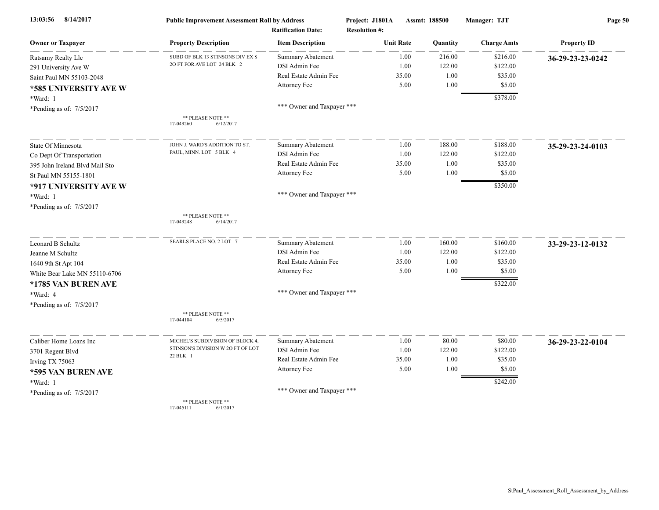| 13:03:56<br>8/14/2017          | <b>Public Improvement Assessment Roll by Address</b><br><b>Ratification Date:</b> |                            | Project: J1801A<br>Assmt: 188500<br><b>Resolution #:</b> |       |          | Manager: TJT       | Page 50            |  |
|--------------------------------|-----------------------------------------------------------------------------------|----------------------------|----------------------------------------------------------|-------|----------|--------------------|--------------------|--|
|                                |                                                                                   |                            |                                                          |       |          |                    |                    |  |
| <b>Owner or Taxpayer</b>       | <b>Property Description</b>                                                       | <b>Item Description</b>    | <b>Unit Rate</b>                                         |       | Quantity | <b>Charge Amts</b> | <b>Property ID</b> |  |
| Ratsamy Realty Llc             | SUBD OF BLK 13 STINSONS DIV EX S                                                  | <b>Summary Abatement</b>   |                                                          | 1.00  | 216.00   | \$216.00           | 36-29-23-23-0242   |  |
| 291 University Ave W           | 20 FT FOR AVE LOT 24 BLK 2                                                        | DSI Admin Fee              |                                                          | 1.00  | 122.00   | \$122.00           |                    |  |
| Saint Paul MN 55103-2048       |                                                                                   | Real Estate Admin Fee      |                                                          | 35.00 | 1.00     | \$35.00            |                    |  |
| *585 UNIVERSITY AVE W          |                                                                                   | Attorney Fee               |                                                          | 5.00  | 1.00     | \$5.00             |                    |  |
| *Ward: 1                       |                                                                                   |                            |                                                          |       |          | \$378.00           |                    |  |
| *Pending as of: $7/5/2017$     |                                                                                   | *** Owner and Taxpayer *** |                                                          |       |          |                    |                    |  |
|                                | ** PLEASE NOTE **                                                                 |                            |                                                          |       |          |                    |                    |  |
|                                | 17-049260<br>6/12/2017                                                            |                            |                                                          |       |          |                    |                    |  |
| State Of Minnesota             | JOHN J. WARD'S ADDITION TO ST.                                                    | <b>Summary Abatement</b>   |                                                          | 1.00  | 188.00   | \$188.00           | 35-29-23-24-0103   |  |
| Co Dept Of Transportation      | PAUL, MINN. LOT 5 BLK 4                                                           | DSI Admin Fee              |                                                          | 1.00  | 122.00   | \$122.00           |                    |  |
| 395 John Ireland Blvd Mail Sto |                                                                                   | Real Estate Admin Fee      |                                                          | 35.00 | 1.00     | \$35.00            |                    |  |
| St Paul MN 55155-1801          |                                                                                   | Attorney Fee               |                                                          | 5.00  | 1.00     | \$5.00             |                    |  |
| *917 UNIVERSITY AVE W          |                                                                                   |                            |                                                          |       |          | \$350.00           |                    |  |
| *Ward: 1                       |                                                                                   | *** Owner and Taxpayer *** |                                                          |       |          |                    |                    |  |
| *Pending as of: 7/5/2017       |                                                                                   |                            |                                                          |       |          |                    |                    |  |
|                                | ** PLEASE NOTE **                                                                 |                            |                                                          |       |          |                    |                    |  |
|                                | 17-049248<br>6/14/2017                                                            |                            |                                                          |       |          |                    |                    |  |
| Leonard B Schultz              | SEARLS PLACE NO. 2 LOT 7                                                          | <b>Summary Abatement</b>   |                                                          | 1.00  | 160.00   | \$160.00           | 33-29-23-12-0132   |  |
| Jeanne M Schultz               |                                                                                   | DSI Admin Fee              |                                                          | 1.00  | 122.00   | \$122.00           |                    |  |
| 1640 9th St Apt 104            |                                                                                   | Real Estate Admin Fee      |                                                          | 35.00 | 1.00     | \$35.00            |                    |  |
| White Bear Lake MN 55110-6706  |                                                                                   | Attorney Fee               |                                                          | 5.00  | 1.00     | \$5.00             |                    |  |
| *1785 VAN BUREN AVE            |                                                                                   |                            |                                                          |       |          | \$322.00           |                    |  |
| *Ward: 4                       |                                                                                   | *** Owner and Taxpayer *** |                                                          |       |          |                    |                    |  |
| *Pending as of: 7/5/2017       |                                                                                   |                            |                                                          |       |          |                    |                    |  |
|                                | ** PLEASE NOTE **<br>17-044104<br>6/5/2017                                        |                            |                                                          |       |          |                    |                    |  |
|                                |                                                                                   |                            |                                                          |       |          |                    |                    |  |
| Caliber Home Loans Inc         | MICHEL'S SUBDIVISION OF BLOCK 4,                                                  | <b>Summary Abatement</b>   |                                                          | 1.00  | 80.00    | \$80.00            | 36-29-23-22-0104   |  |
| 3701 Regent Blvd               | STINSON'S DIVISION W 2O FT OF LOT                                                 | DSI Admin Fee              |                                                          | 1.00  | 122.00   | \$122.00           |                    |  |
| Irving TX 75063                | 22 BLK 1                                                                          | Real Estate Admin Fee      |                                                          | 35.00 | 1.00     | \$35.00            |                    |  |
| *595 VAN BUREN AVE             |                                                                                   | Attorney Fee               |                                                          | 5.00  | 1.00     | \$5.00             |                    |  |
| *Ward: 1                       |                                                                                   |                            |                                                          |       |          | \$242.00           |                    |  |
| *Pending as of: 7/5/2017       |                                                                                   | *** Owner and Taxpayer *** |                                                          |       |          |                    |                    |  |
|                                | ** PLEASE NOTE **<br>17-045111<br>6/1/2017                                        |                            |                                                          |       |          |                    |                    |  |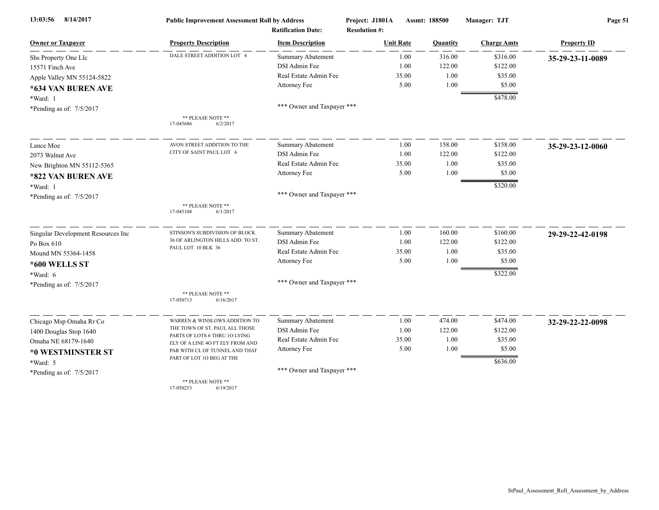| 13:03:56<br>8/14/2017              | <b>Public Improvement Assessment Roll by Address</b><br><b>Ratification Date:</b> |                            | Assmt: 188500<br>Project: J1801A<br><b>Resolution #:</b> |                | Manager: TJT       | Page 51            |  |
|------------------------------------|-----------------------------------------------------------------------------------|----------------------------|----------------------------------------------------------|----------------|--------------------|--------------------|--|
| <b>Owner or Taxpayer</b>           | <b>Property Description</b>                                                       | <b>Item Description</b>    | <b>Unit Rate</b>                                         | Quantity       | <b>Charge Amts</b> | <b>Property ID</b> |  |
| Shs Property One Llc               | DALE STREET ADDITION LOT 4                                                        | Summary Abatement          |                                                          | 1.00<br>316.00 | \$316.00           | 35-29-23-11-0089   |  |
| 15571 Finch Ave                    |                                                                                   | DSI Admin Fee              |                                                          | 122.00<br>1.00 | \$122.00           |                    |  |
| Apple Valley MN 55124-5822         |                                                                                   | Real Estate Admin Fee      | 35.00                                                    | 1.00           | \$35.00            |                    |  |
| *634 VAN BUREN AVE                 |                                                                                   | Attorney Fee               |                                                          | 1.00<br>5.00   | \$5.00             |                    |  |
| *Ward: 1                           |                                                                                   |                            |                                                          |                | \$478.00           |                    |  |
| *Pending as of: 7/5/2017           |                                                                                   | *** Owner and Taxpayer *** |                                                          |                |                    |                    |  |
|                                    | ** PLEASE NOTE **<br>17-045686<br>6/2/2017                                        |                            |                                                          |                |                    |                    |  |
| Lance Moe                          | AVON STREET ADDITION TO THE                                                       | <b>Summary Abatement</b>   |                                                          | 158.00<br>1.00 | \$158.00           | 35-29-23-12-0060   |  |
| 2073 Walnut Ave                    | CITY OF SAINT PAUL LOT 6                                                          | DSI Admin Fee              |                                                          | 1.00<br>122.00 | \$122.00           |                    |  |
| New Brighton MN 55112-5365         |                                                                                   | Real Estate Admin Fee      | 35.00                                                    | 1.00           | \$35.00            |                    |  |
| *822 VAN BUREN AVE                 |                                                                                   | Attorney Fee               |                                                          | 1.00<br>5.00   | \$5.00             |                    |  |
| *Ward: 1                           |                                                                                   |                            |                                                          |                | \$320.00           |                    |  |
| *Pending as of: 7/5/2017           |                                                                                   | *** Owner and Taxpayer *** |                                                          |                |                    |                    |  |
|                                    | ** PLEASE NOTE **<br>17-045108<br>6/1/2017                                        |                            |                                                          |                |                    |                    |  |
| Singular Development Resources Inc | STINSON'S SUBDIVISION OF BLOCK                                                    | <b>Summary Abatement</b>   |                                                          | 160.00<br>1.00 | \$160.00           | 29-29-22-42-0198   |  |
| Po Box 610                         | 36 OF ARLINGTON HILLS ADD. TO ST.                                                 | DSI Admin Fee              |                                                          | 122.00<br>1.00 | \$122.00           |                    |  |
| Mound MN 55364-1458                | PAUL LOT 10 BLK 36                                                                | Real Estate Admin Fee      | 35.00                                                    | 1.00           | \$35.00            |                    |  |
| *600 WELLS ST                      |                                                                                   | Attorney Fee               |                                                          | 5.00<br>1.00   | \$5.00             |                    |  |
| *Ward: 6                           |                                                                                   |                            |                                                          |                | \$322.00           |                    |  |
| *Pending as of: 7/5/2017           |                                                                                   | *** Owner and Taxpayer *** |                                                          |                |                    |                    |  |
|                                    | ** PLEASE NOTE **<br>6/16/2017<br>17-050713                                       |                            |                                                          |                |                    |                    |  |
| Chicago Msp Omaha Rr Co            | WARREN & WINSLOWS ADDITION TO                                                     | <b>Summary Abatement</b>   |                                                          | 474.00<br>1.00 | \$474.00           | 32-29-22-22-0098   |  |
| 1400 Douglas Stop 1640             | THE TOWN OF ST. PAUL ALL THOSE                                                    | DSI Admin Fee              |                                                          | 1.00<br>122.00 | \$122.00           |                    |  |
| Omaha NE 68179-1640                | PARTS OF LOTS 6 THRU 10 LYING<br>ELY OF A LINE 40 FT ELY FROM AND                 | Real Estate Admin Fee      | 35.00                                                    | 1.00           | \$35.00            |                    |  |
| *0 WESTMINSTER ST                  | PAR WITH CL OF TUNNEL AND THAT                                                    | Attorney Fee               |                                                          | 5.00<br>1.00   | \$5.00             |                    |  |
| *Ward: 5                           | PART OF LOT 10 BEG AT THE                                                         |                            |                                                          |                | \$636.00           |                    |  |
| *Pending as of: 7/5/2017           |                                                                                   | *** Owner and Taxpayer *** |                                                          |                |                    |                    |  |
|                                    | ** PLEASE NOTE **<br>17-050253<br>6/19/2017                                       |                            |                                                          |                |                    |                    |  |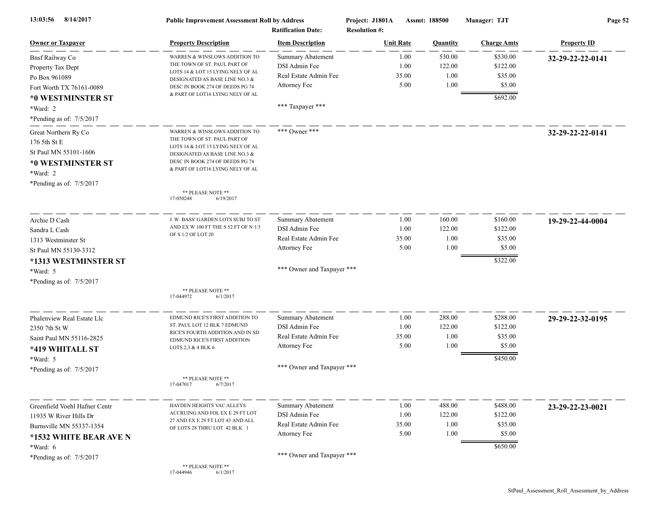| 8/14/2017<br>13:03:56                  | <b>Public Improvement Assessment Roll by Address</b><br><b>Ratification Date:</b> |                            | Assmt: 188500<br>Project: J1801A<br><b>Resolution #:</b> |          | Manager: TJT       | Page 52            |  |
|----------------------------------------|-----------------------------------------------------------------------------------|----------------------------|----------------------------------------------------------|----------|--------------------|--------------------|--|
| <b>Owner or Taxpayer</b>               | <b>Property Description</b>                                                       | <b>Item Description</b>    | <b>Unit Rate</b>                                         | Quantity | <b>Charge Amts</b> | <b>Property ID</b> |  |
| <b>Bnsf Railway Co</b>                 | WARREN & WINSLOWS ADDITION TO                                                     | <b>Summary Abatement</b>   | 1.00                                                     | 530.00   | \$530.00           | 32-29-22-22-0141   |  |
| Property Tax Dept                      | THE TOWN OF ST. PAUL PART OF                                                      | DSI Admin Fee              | 1.00                                                     | 122.00   | \$122.00           |                    |  |
| Po Box 961089                          | LOTS 14 & LOT 15 LYING NELY OF AL<br>DESIGNATED AS BASE LINE NO.3 &               | Real Estate Admin Fee      | 35.00                                                    | 1.00     | \$35.00            |                    |  |
| Fort Worth TX 76161-0089               | DESC IN BOOK 274 OF DEEDS PG 74                                                   | Attorney Fee               | 5.00                                                     | 1.00     | \$5.00             |                    |  |
| *0 WESTMINSTER ST                      | & PART OF LOT16 LYING NELY OF AL                                                  |                            |                                                          |          | \$692.00           |                    |  |
| *Ward: 2                               |                                                                                   | *** Taxpayer ***           |                                                          |          |                    |                    |  |
| *Pending as of: 7/5/2017               |                                                                                   |                            |                                                          |          |                    |                    |  |
| Great Northern Ry Co                   | WARREN & WINSLOWS ADDITION TO                                                     | *** Owner ***              |                                                          |          |                    | 32-29-22-22-0141   |  |
| 176 5th St E                           | THE TOWN OF ST. PAUL PART OF                                                      |                            |                                                          |          |                    |                    |  |
|                                        | LOTS 14 & LOT 15 LYING NELY OF AL                                                 |                            |                                                          |          |                    |                    |  |
| St Paul MN 55101-1606                  | DESIGNATED AS BASE LINE NO.3 &<br>DESC IN BOOK 274 OF DEEDS PG 74                 |                            |                                                          |          |                    |                    |  |
| *0 WESTMINSTER ST                      | & PART OF LOT16 LYING NELY OF AL                                                  |                            |                                                          |          |                    |                    |  |
| *Ward: 2                               |                                                                                   |                            |                                                          |          |                    |                    |  |
| *Pending as of: 7/5/2017               |                                                                                   |                            |                                                          |          |                    |                    |  |
|                                        | ** PLEASE NOTE **<br>17-050248<br>6/19/2017                                       |                            |                                                          |          |                    |                    |  |
| Archie D Cash                          | J. W. BASS' GARDEN LOTS SUBJ TO ST                                                | <b>Summary Abatement</b>   | 1.00                                                     | 160.00   | \$160.00           | 19-29-22-44-0004   |  |
| Sandra L Cash                          | AND EX W 100 FT THE S 52 FT OF N 1/3                                              | DSI Admin Fee              | 1.00                                                     | 122.00   | \$122.00           |                    |  |
| 1313 Westminster St                    | OF S 1/2 OF LOT 20                                                                | Real Estate Admin Fee      | 35.00                                                    | 1.00     | \$35.00            |                    |  |
| St Paul MN 55130-3312                  |                                                                                   | Attorney Fee               | 5.00                                                     | 1.00     | \$5.00             |                    |  |
| *1313 WESTMINSTER ST                   |                                                                                   |                            |                                                          |          | \$322.00           |                    |  |
|                                        |                                                                                   | *** Owner and Taxpayer *** |                                                          |          |                    |                    |  |
| *Ward: 5<br>*Pending as of: $7/5/2017$ |                                                                                   |                            |                                                          |          |                    |                    |  |
|                                        | ** PLEASE NOTE **                                                                 |                            |                                                          |          |                    |                    |  |
|                                        | 17-044972<br>6/1/2017                                                             |                            |                                                          |          |                    |                    |  |
| Phalenview Real Estate Llc             | EDMUND RICE'S FIRST ADDITION TO                                                   | <b>Summary Abatement</b>   | 1.00                                                     | 288.00   | \$288.00           | 29-29-22-32-0195   |  |
| 2350 7th St W                          | ST. PAUL LOT 12 BLK 7 EDMUND                                                      | DSI Admin Fee              | 1.00                                                     | 122.00   | \$122.00           |                    |  |
| Saint Paul MN 55116-2825               | RICE'S FOURTH ADDITION AND IN SD<br>EDMUND RICE'S FIRST ADDITION                  | Real Estate Admin Fee      | 35.00                                                    | 1.00     | \$35.00            |                    |  |
| *419 WHITALL ST                        | LOTS 2,3 & 4 BLK 6                                                                | Attorney Fee               | 5.00                                                     | 1.00     | \$5.00             |                    |  |
| *Ward: 5                               |                                                                                   |                            |                                                          |          | \$450.00           |                    |  |
| *Pending as of: 7/5/2017               |                                                                                   | *** Owner and Taxpayer *** |                                                          |          |                    |                    |  |
|                                        | ** PLEASE NOTE **<br>17-047017<br>6/7/2017                                        |                            |                                                          |          |                    |                    |  |
| Greenfield Voehl Hafner Centr          | HAYDEN HEIGHTS VAC ALLEYS                                                         | <b>Summary Abatement</b>   | 1.00                                                     | 488.00   | \$488.00           |                    |  |
| 11935 W River Hills Dr                 | ACCRUING AND FOL EX E 29 FT LOT                                                   | DSI Admin Fee              | 1.00                                                     | 122.00   | \$122.00           | 23-29-22-23-0021   |  |
|                                        | 27 AND EX E 29 FT LOT 43 AND ALL                                                  | Real Estate Admin Fee      | 35.00                                                    | 1.00     | \$35.00            |                    |  |
| Burnsville MN 55337-1354               | OF LOTS 28 THRU LOT 42 BLK 1                                                      | Attorney Fee               | 5.00                                                     | 1.00     | \$5.00             |                    |  |
| *1532 WHITE BEAR AVE N                 |                                                                                   |                            |                                                          |          |                    |                    |  |
| *Ward: 6                               |                                                                                   |                            |                                                          |          | \$650.00           |                    |  |
| *Pending as of: 7/5/2017               |                                                                                   | *** Owner and Taxpayer *** |                                                          |          |                    |                    |  |
|                                        | ** PLEASE NOTE **<br>17-044946<br>6/1/2017                                        |                            |                                                          |          |                    |                    |  |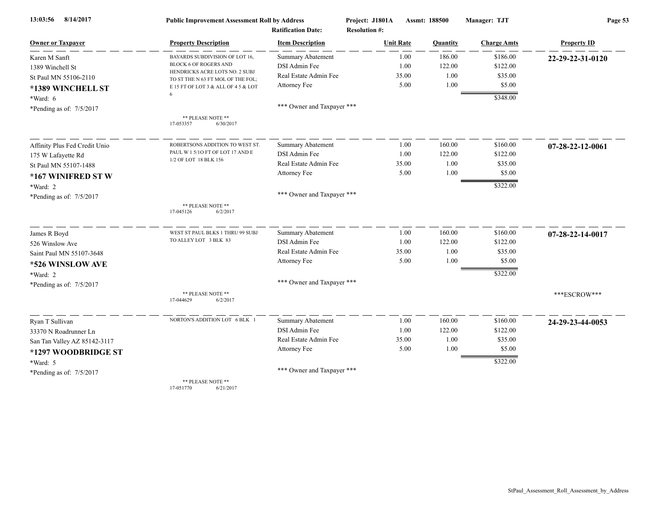| 8/14/2017<br>13:03:56         | <b>Public Improvement Assessment Roll by Address</b><br><b>Ratification Date:</b> |                            | Project: J1801A<br><b>Assmt: 188500</b> |          | Manager: TJT       | Page 53            |  |
|-------------------------------|-----------------------------------------------------------------------------------|----------------------------|-----------------------------------------|----------|--------------------|--------------------|--|
|                               |                                                                                   |                            | <b>Resolution #:</b>                    |          |                    |                    |  |
| <b>Owner or Taxpayer</b>      | <b>Property Description</b>                                                       | <b>Item Description</b>    | <b>Unit Rate</b>                        | Quantity | <b>Charge Amts</b> | <b>Property ID</b> |  |
| Karen M Sanft                 | BAYARDS SUBDIVISION OF LOT 16,                                                    | <b>Summary Abatement</b>   | 1.00                                    | 186.00   | \$186.00           | 22-29-22-31-0120   |  |
| 1389 Winchell St              | <b>BLOCK 6 OF ROGERS AND</b>                                                      | DSI Admin Fee              | 1.00                                    | 122.00   | \$122.00           |                    |  |
| St Paul MN 55106-2110         | HENDRICKS ACRE LOTS NO. 2 SUBJ<br>TO ST THE N 63 FT MOL OF THE FOL;               | Real Estate Admin Fee      | 35.00                                   | 1.00     | \$35.00            |                    |  |
| *1389 WINCHELL ST             | E 15 FT OF LOT 3 & ALL OF 4 5 & LOT                                               | Attorney Fee               | 5.00                                    | 1.00     | \$5.00             |                    |  |
| *Ward: 6                      | 6                                                                                 |                            |                                         |          | \$348.00           |                    |  |
| *Pending as of: 7/5/2017      |                                                                                   | *** Owner and Taxpayer *** |                                         |          |                    |                    |  |
|                               | ** PLEASE NOTE **<br>17-053357<br>6/30/2017                                       |                            |                                         |          |                    |                    |  |
| Affinity Plus Fed Credit Unio | ROBERTSONS ADDITION TO WEST ST.                                                   | Summary Abatement          | 1.00                                    | 160.00   | \$160.00           | 07-28-22-12-0061   |  |
| 175 W Lafayette Rd            | PAUL W 1 5/10 FT OF LOT 17 AND E                                                  | DSI Admin Fee              | 1.00                                    | 122.00   | \$122.00           |                    |  |
| St Paul MN 55107-1488         | 1/2 OF LOT 18 BLK 156                                                             | Real Estate Admin Fee      | 35.00                                   | 1.00     | \$35.00            |                    |  |
| *167 WINIFRED ST W            |                                                                                   | Attorney Fee               | 5.00                                    | 1.00     | \$5.00             |                    |  |
| *Ward: 2                      |                                                                                   |                            |                                         |          | \$322.00           |                    |  |
| *Pending as of: $7/5/2017$    |                                                                                   | *** Owner and Taxpayer *** |                                         |          |                    |                    |  |
|                               | ** PLEASE NOTE **<br>17-045126<br>6/2/2017                                        |                            |                                         |          |                    |                    |  |
| James R Boyd                  | WEST ST PAUL BLKS 1 THRU 99 SUBJ                                                  | Summary Abatement          | 1.00                                    | 160.00   | \$160.00           | 07-28-22-14-0017   |  |
| 526 Winslow Ave               | TO ALLEY LOT 3 BLK 83                                                             | DSI Admin Fee              | 1.00                                    | 122.00   | \$122.00           |                    |  |
| Saint Paul MN 55107-3648      |                                                                                   | Real Estate Admin Fee      | 35.00                                   | 1.00     | \$35.00            |                    |  |
| *526 WINSLOW AVE              |                                                                                   | Attorney Fee               | 5.00                                    | 1.00     | \$5.00             |                    |  |
| *Ward: 2                      |                                                                                   |                            |                                         |          | \$322.00           |                    |  |
| *Pending as of: 7/5/2017      |                                                                                   | *** Owner and Taxpayer *** |                                         |          |                    |                    |  |
|                               | ** PLEASE NOTE **<br>17-044629<br>6/2/2017                                        |                            |                                         |          |                    | ***ESCROW***       |  |
| Ryan T Sullivan               | NORTON'S ADDITION LOT 6 BLK 1                                                     | <b>Summary Abatement</b>   | 1.00                                    | 160.00   | \$160.00           | 24-29-23-44-0053   |  |
| 33370 N Roadrunner Ln         |                                                                                   | DSI Admin Fee              | 1.00                                    | 122.00   | \$122.00           |                    |  |
| San Tan Valley AZ 85142-3117  |                                                                                   | Real Estate Admin Fee      | 35.00                                   | 1.00     | \$35.00            |                    |  |
| *1297 WOODBRIDGE ST           |                                                                                   | Attorney Fee               | 5.00                                    | 1.00     | \$5.00             |                    |  |
| $*Ward: 5$                    |                                                                                   |                            |                                         |          | \$322.00           |                    |  |
| *Pending as of: 7/5/2017      |                                                                                   | *** Owner and Taxpayer *** |                                         |          |                    |                    |  |
|                               | ** PLEASE NOTE **                                                                 |                            |                                         |          |                    |                    |  |

17-051770 6/21/2017